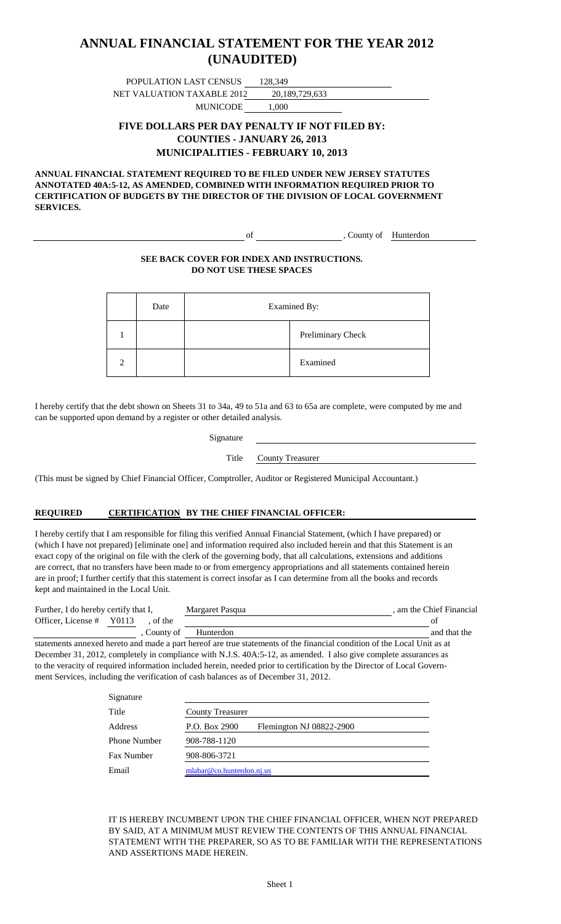### **(UNAUDITED) ANNUAL FINANCIAL STATEMENT FOR THE YEAR 2012**

POPULATION LAST CENSUS 128,349 NET VALUATION TAXABLE 2012 20,189,729,633

MUNICODE 1,000

#### **FIVE DOLLARS PER DAY PENALTY IF NOT FILED BY: COUNTIES - JANUARY 26, 2013 MUNICIPALITIES - FEBRUARY 10, 2013**

**ANNUAL FINANCIAL STATEMENT REQUIRED TO BE FILED UNDER NEW JERSEY STATUTES ANNOTATED 40A:5-12, AS AMENDED, COMBINED WITH INFORMATION REQUIRED PRIOR TO CERTIFICATION OF BUDGETS BY THE DIRECTOR OF THE DIVISION OF LOCAL GOVERNMENT SERVICES.**

of , County of Hunterdon

#### **SEE BACK COVER FOR INDEX AND INSTRUCTIONS. DO NOT USE THESE SPACES**

| Date | Examined By: |                   |
|------|--------------|-------------------|
|      |              | Preliminary Check |
|      |              | Examined          |

I hereby certify that the debt shown on Sheets 31 to 34a, 49 to 51a and 63 to 65a are complete, were computed by me and can be supported upon demand by a register or other detailed analysis.

Title County Treasurer

(This must be signed by Chief Financial Officer, Comptroller, Auditor or Registered Municipal Accountant.)

#### **REQUIRED CERTIFICATION BY THE CHIEF FINANCIAL OFFICER:**

I hereby certify that I am responsible for filing this verified Annual Financial Statement, (which I have prepared) or (which I have not prepared) [eliminate one] and information required also included herein and that this Statement is an exact copy of the original on file with the clerk of the governing body, that all calculations, extensions and additions are correct, that no transfers have been made to or from emergency appropriations and all statements contained herein are in proof; I further certify that this statement is correct insofar as I can determine from all the books and records kept and maintained in the Local Unit.

| Further, I do hereby certify that I, |  |           | Margaret Pasqua | . am the Chief Financial |
|--------------------------------------|--|-----------|-----------------|--------------------------|
| Officer, License $#$ Y0113           |  | of the    |                 |                          |
|                                      |  | County of | Hunterdon       | and that the             |

statements annexed hereto and made a part hereof are true statements of the financial condition of the Local Unit as at December 31, 2012, completely in compliance with N.J.S. 40A:5-12, as amended. I also give complete assurances as to the veracity of required information included herein, needed prior to certification by the Director of Local Government Services, including the verification of cash balances as of December 31, 2012.

| Signature           |                                           |
|---------------------|-------------------------------------------|
| Title               | <b>County Treasurer</b>                   |
| Address             | P.O. Box 2900<br>Flemington NJ 08822-2900 |
| <b>Phone Number</b> | 908-788-1120                              |
| Fax Number          | 908-806-3721                              |
| Email               | mlabar@co.hunterdon.nj.us                 |

IT IS HEREBY INCUMBENT UPON THE CHIEF FINANCIAL OFFICER, WHEN NOT PREPARED BY SAID, AT A MINIMUM MUST REVIEW THE CONTENTS OF THIS ANNUAL FINANCIAL STATEMENT WITH THE PREPARER, SO AS TO BE FAMILIAR WITH THE REPRESENTATIONS AND ASSERTIONS MADE HEREIN.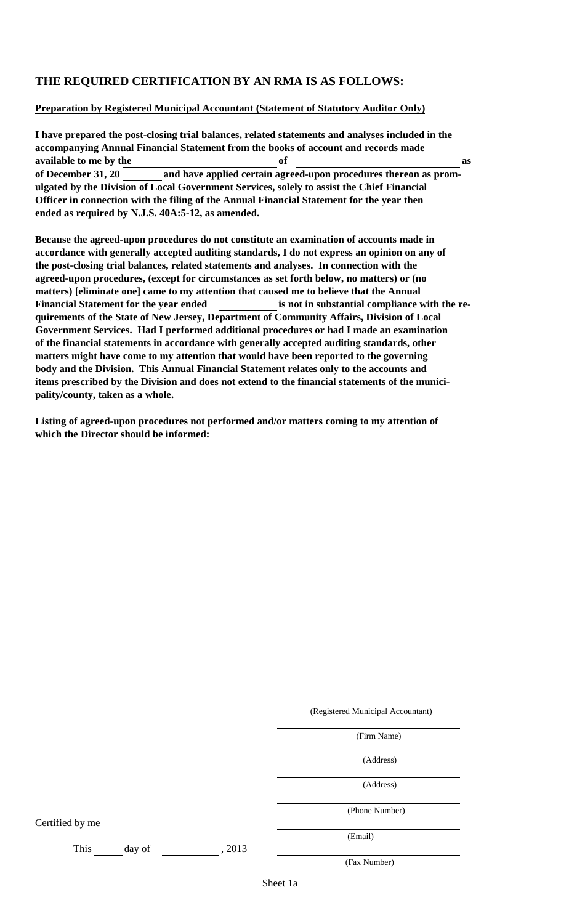### **THE REQUIRED CERTIFICATION BY AN RMA IS AS FOLLOWS:**

#### **Preparation by Registered Municipal Accountant (Statement of Statutory Auditor Only)**

**I have prepared the post-closing trial balances, related statements and analyses included in the accompanying Annual Financial Statement from the books of account and records made available to me by the of as of December 31, 20 and have applied certain agreed-upon procedures thereon as promulgated by the Division of Local Government Services, solely to assist the Chief Financial Officer in connection with the filing of the Annual Financial Statement for the year then ended as required by N.J.S. 40A:5-12, as amended.**

**Because the agreed-upon procedures do not constitute an examination of accounts made in accordance with generally accepted auditing standards, I do not express an opinion on any of the post-closing trial balances, related statements and analyses. In connection with the agreed-upon procedures, (except for circumstances as set forth below, no matters) or (no matters) [eliminate one] came to my attention that caused me to believe that the Annual** Financial Statement for the year ended **is not in substantial compliance with the requirements of the State of New Jersey, Department of Community Affairs, Division of Local Government Services. Had I performed additional procedures or had I made an examination of the financial statements in accordance with generally accepted auditing standards, other matters might have come to my attention that would have been reported to the governing body and the Division. This Annual Financial Statement relates only to the accounts and items prescribed by the Division and does not extend to the financial statements of the municipality/county, taken as a whole.**

**Listing of agreed-upon procedures not performed and/or matters coming to my attention of which the Director should be informed:**

(Registered Municipal Accountant)

(Firm Name)

(Address)

(Address)

(Phone Number)

Certified by me

This day of , 2013

(Fax Number)

(Email)

Sheet 1a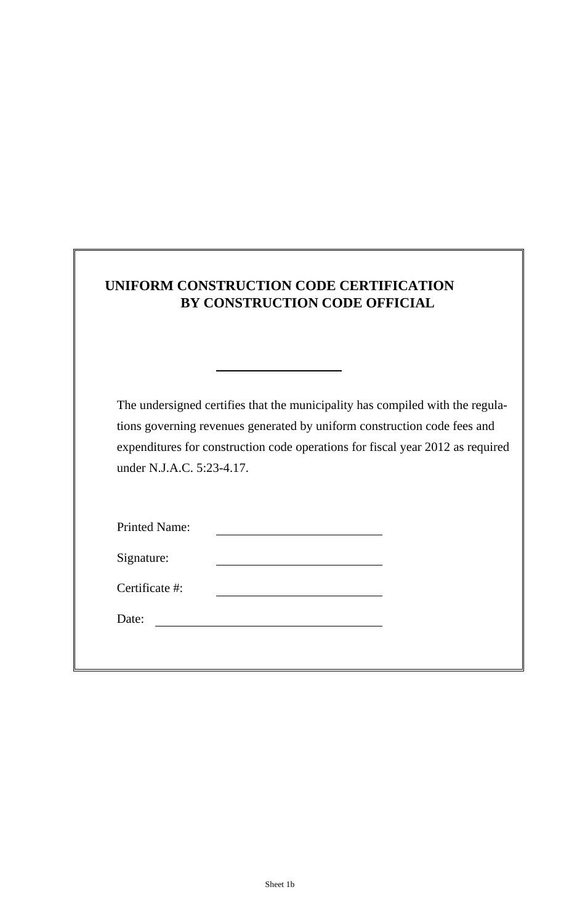| UNIFORM CONSTRUCTION CODE CERTIFICATION |
|-----------------------------------------|
| BY CONSTRUCTION CODE OFFICIAL           |

The undersigned certifies that the municipality has compiled with the regulations governing revenues generated by uniform construction code fees and expenditures for construction code operations for fiscal year 2012 as required under N.J.A.C. 5:23-4.17.

| <b>Printed Name:</b> |  |
|----------------------|--|
| Signature:           |  |

Date: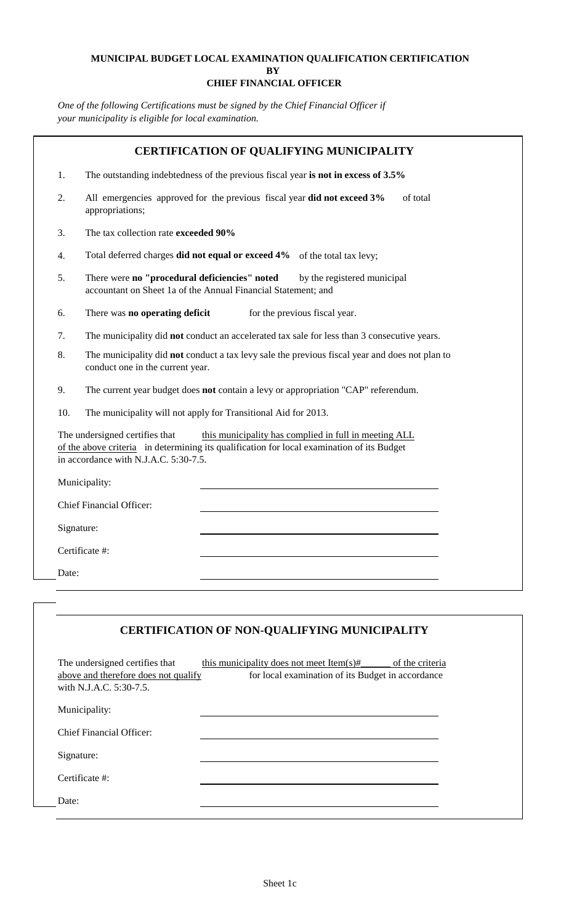#### **MUNICIPAL BUDGET LOCAL EXAMINATION QUALIFICATION CERTIFICATION BY CHIEF FINANCIAL OFFICER**

*One of the following Certifications must be signed by the Chief Financial Officer if your municipality is eligible for local examination.*

| 1.         | The outstanding indebtedness of the previous fiscal year is not in excess of 3.5%                                                                                                                                              |
|------------|--------------------------------------------------------------------------------------------------------------------------------------------------------------------------------------------------------------------------------|
| 2.         | All emergencies approved for the previous fiscal year did not exceed 3%<br>of total<br>appropriations;                                                                                                                         |
| 3.         | The tax collection rate exceeded 90%                                                                                                                                                                                           |
| 4.         | Total deferred charges <b>did not equal or exceed 4%</b> of the total tax levy;                                                                                                                                                |
| 5.         | There were no "procedural deficiencies" noted<br>by the registered municipal<br>accountant on Sheet 1a of the Annual Financial Statement; and                                                                                  |
| 6.         | There was no operating deficit<br>for the previous fiscal year.                                                                                                                                                                |
| 7.         | The municipality did not conduct an accelerated tax sale for less than 3 consecutive years.                                                                                                                                    |
| 8.         | The municipality did <b>not</b> conduct a tax levy sale the previous fiscal year and does not plan to<br>conduct one in the current year.                                                                                      |
| 9.         | The current year budget does not contain a levy or appropriation "CAP" referendum.                                                                                                                                             |
| 10.        | The municipality will not apply for Transitional Aid for 2013.                                                                                                                                                                 |
|            | The undersigned certifies that<br>this municipality has complied in full in meeting ALL<br>of the above criteria in determining its qualification for local examination of its Budget<br>in accordance with N.J.A.C. 5:30-7.5. |
|            | Municipality:                                                                                                                                                                                                                  |
|            | <b>Chief Financial Officer:</b>                                                                                                                                                                                                |
| Signature: |                                                                                                                                                                                                                                |
|            | Certificate #:                                                                                                                                                                                                                 |
|            |                                                                                                                                                                                                                                |

| The undersigned certifies that<br>above and therefore does not qualify<br>with N.J.A.C. 5:30-7.5. | this municipality does not meet Item(s)#<br>of the criteria<br>for local examination of its Budget in accordance |
|---------------------------------------------------------------------------------------------------|------------------------------------------------------------------------------------------------------------------|
| Municipality:                                                                                     |                                                                                                                  |
| Chief Financial Officer:                                                                          |                                                                                                                  |
| Signature:                                                                                        |                                                                                                                  |
| Certificate #:                                                                                    |                                                                                                                  |
| Date:                                                                                             |                                                                                                                  |
|                                                                                                   |                                                                                                                  |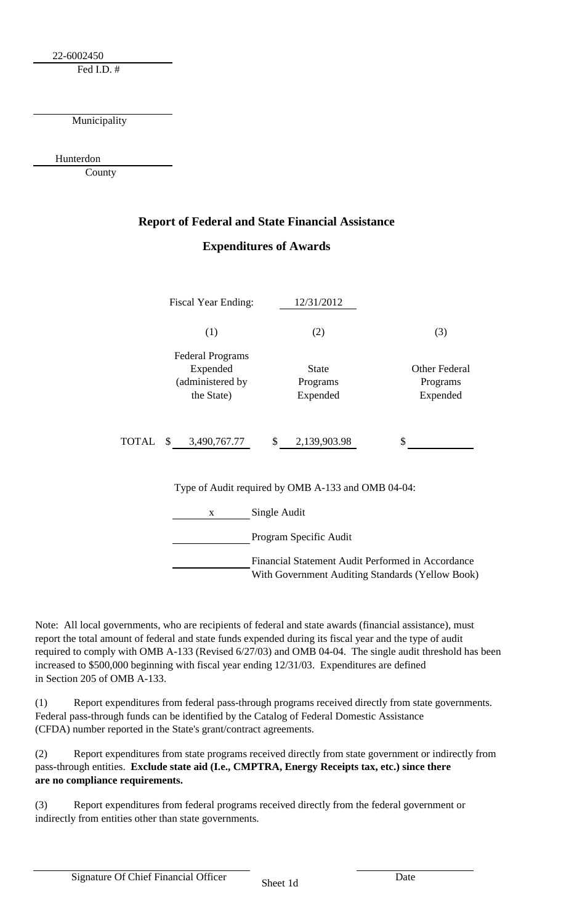22-6002450

Fed I.D. #

Municipality

Hunterdon

County

### **Report of Federal and State Financial Assistance Expenditures of Awards**

| <b>Fiscal Year Ending:</b>                                            | 12/31/2012                           |                                              |  |  |  |
|-----------------------------------------------------------------------|--------------------------------------|----------------------------------------------|--|--|--|
| (1)                                                                   | (2)                                  | (3)                                          |  |  |  |
| <b>Federal Programs</b><br>Expended<br>(administered by<br>the State) | <b>State</b><br>Programs<br>Expended | <b>Other Federal</b><br>Programs<br>Expended |  |  |  |
| TOTAL \$ 3,490,767.77                                                 | \$2,139,903.98                       | \$                                           |  |  |  |
| Type of Audit required by OMB A-133 and OMB 04-04:                    |                                      |                                              |  |  |  |
| Single Audit<br>X                                                     |                                      |                                              |  |  |  |
| Program Specific Audit                                                |                                      |                                              |  |  |  |
| Financial Statement Audit Performed in Accordance                     |                                      |                                              |  |  |  |

With Government Auditing Standards (Yellow Book)

Note: All local governments, who are recipients of federal and state awards (financial assistance), must report the total amount of federal and state funds expended during its fiscal year and the type of audit required to comply with OMB A-133 (Revised 6/27/03) and OMB 04-04. The single audit threshold has been increased to \$500,000 beginning with fiscal year ending 12/31/03. Expenditures are defined in Section 205 of OMB A-133.

(1) Report expenditures from federal pass-through programs received directly from state governments. Federal pass-through funds can be identified by the Catalog of Federal Domestic Assistance (CFDA) number reported in the State's grant/contract agreements.

(2) Report expenditures from state programs received directly from state government or indirectly from pass-through entities. **Exclude state aid (I.e., CMPTRA, Energy Receipts tax, etc.) since there are no compliance requirements.**

(3) Report expenditures from federal programs received directly from the federal government or indirectly from entities other than state governments.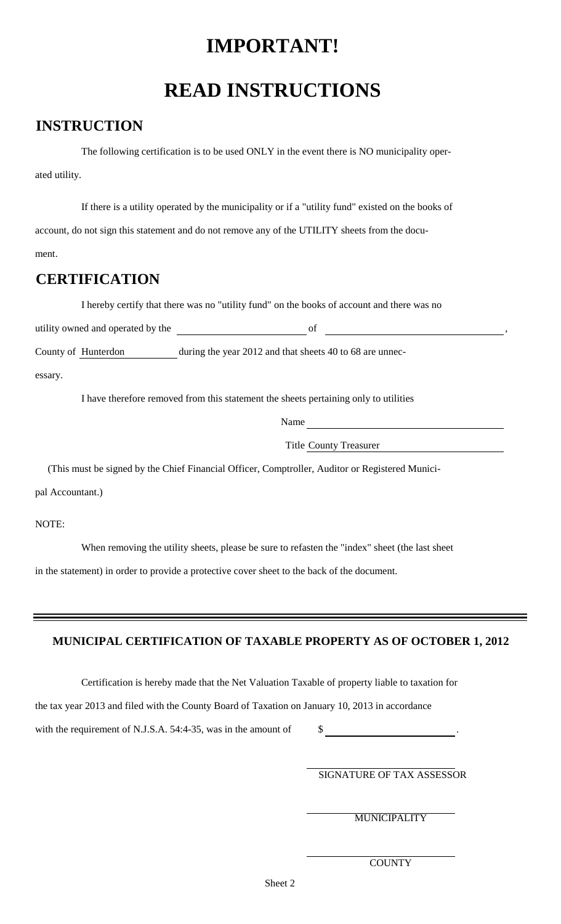## **IMPORTANT!**

# **READ INSTRUCTIONS**

### **INSTRUCTION**

The following certification is to be used ONLY in the event there is NO municipality operated utility.

If there is a utility operated by the municipality or if a "utility fund" existed on the books of account, do not sign this statement and do not remove any of the UTILITY sheets from the document.

### **CERTIFICATION**

I hereby certify that there was no "utility fund" on the books of account and there was no

utility owned and operated by the settlem and  $\frac{1}{2}$  of  $\frac{1}{2}$  of  $\frac{1}{2}$  of  $\frac{1}{2}$  of  $\frac{1}{2}$  of  $\frac{1}{2}$  of  $\frac{1}{2}$  of  $\frac{1}{2}$  of  $\frac{1}{2}$  of  $\frac{1}{2}$  of  $\frac{1}{2}$  or  $\frac{1}{2}$  or  $\frac{1}{2}$  or  $\frac{1}{2$ 

County of Hunterdon during the year 2012 and that sheets 40 to 68 are unnec-

essary.

I have therefore removed from this statement the sheets pertaining only to utilities

Name

Title County Treasurer

(This must be signed by the Chief Financial Officer, Comptroller, Auditor or Registered Munici-

pal Accountant.)

NOTE:

When removing the utility sheets, please be sure to refasten the "index" sheet (the last sheet

in the statement) in order to provide a protective cover sheet to the back of the document.

### **MUNICIPAL CERTIFICATION OF TAXABLE PROPERTY AS OF OCTOBER 1, 2012**

Certification is hereby made that the Net Valuation Taxable of property liable to taxation for

the tax year 2013 and filed with the County Board of Taxation on January 10, 2013 in accordance

with the requirement of N.J.S.A. 54:4-35, was in the amount of  $\qquad$  \$

SIGNATURE OF TAX ASSESSOR

MUNICIPALITY

**COUNTY**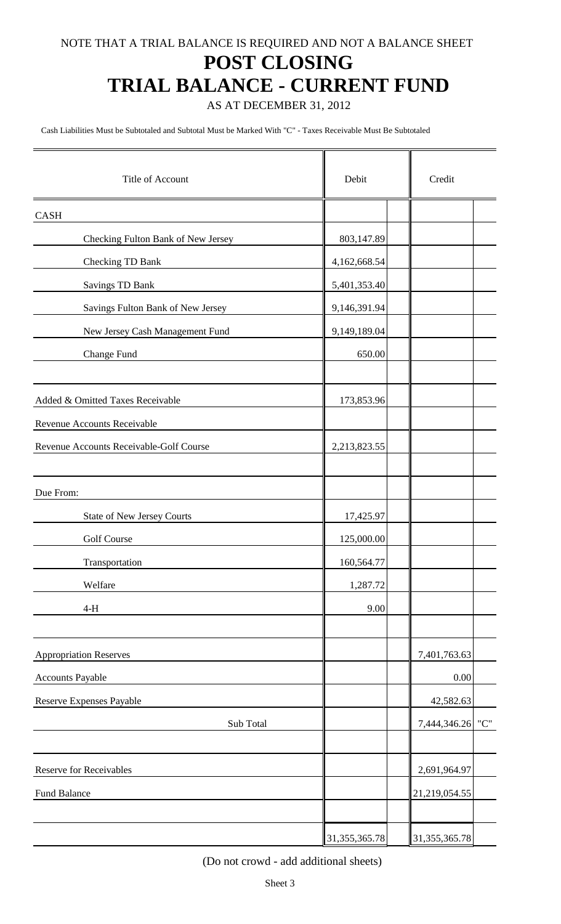### **POST CLOSING**

# **TRIAL BALANCE - CURRENT FUND**

AS AT DECEMBER 31, 2012

Cash Liabilities Must be Subtotaled and Subtotal Must be Marked With "C" - Taxes Receivable Must Be Subtotaled

| Title of Account                        | Debit            | Credit                |
|-----------------------------------------|------------------|-----------------------|
| <b>CASH</b>                             |                  |                       |
| Checking Fulton Bank of New Jersey      | 803,147.89       |                       |
| <b>Checking TD Bank</b>                 | 4,162,668.54     |                       |
| <b>Savings TD Bank</b>                  | 5,401,353.40     |                       |
| Savings Fulton Bank of New Jersey       | 9,146,391.94     |                       |
| New Jersey Cash Management Fund         | 9,149,189.04     |                       |
| Change Fund                             | 650.00           |                       |
| Added & Omitted Taxes Receivable        | 173,853.96       |                       |
| Revenue Accounts Receivable             |                  |                       |
| Revenue Accounts Receivable-Golf Course | 2,213,823.55     |                       |
| Due From:                               |                  |                       |
| <b>State of New Jersey Courts</b>       | 17,425.97        |                       |
| Golf Course                             | 125,000.00       |                       |
| Transportation                          | 160,564.77       |                       |
| Welfare                                 | 1,287.72         |                       |
| $4-H$                                   | 9.00             |                       |
| Appropriation Reserves                  |                  | 7,401,763.63          |
| Accounts Payable                        |                  | 0.00                  |
| Reserve Expenses Payable                |                  | 42,582.63             |
| Sub Total                               |                  | $"C"$<br>7,444,346.26 |
|                                         |                  |                       |
| <b>Reserve for Receivables</b>          |                  | 2,691,964.97          |
| Fund Balance                            |                  | 21,219,054.55         |
|                                         | 31, 355, 365. 78 | 31, 355, 365. 78      |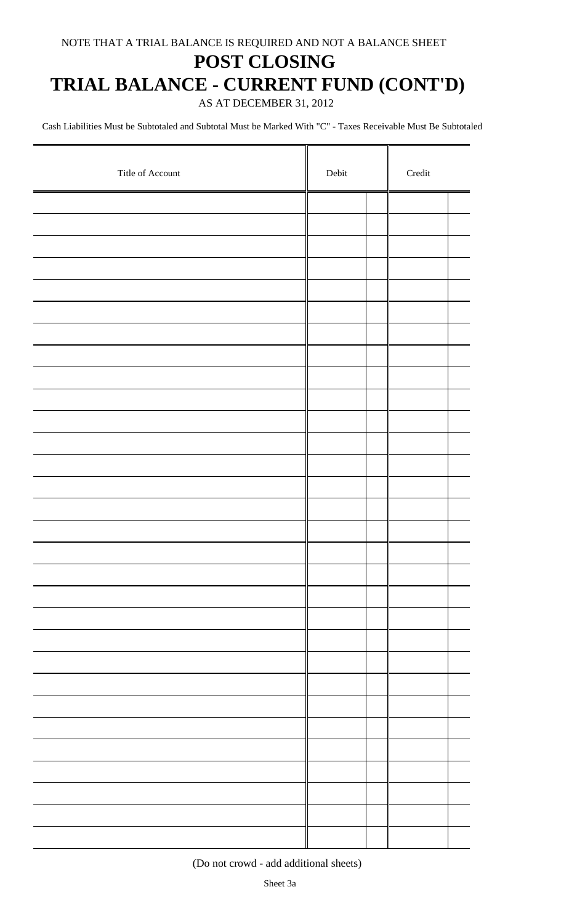### **POST CLOSING**

## **TRIAL BALANCE - CURRENT FUND (CONT'D)**

AS AT DECEMBER 31, 2012

Cash Liabilities Must be Subtotaled and Subtotal Must be Marked With "C" - Taxes Receivable Must Be Subtotaled

| Title of Account | Debit |  | $\bf Credit$ |  |
|------------------|-------|--|--------------|--|
|                  |       |  |              |  |
|                  |       |  |              |  |
|                  |       |  |              |  |
|                  |       |  |              |  |
|                  |       |  |              |  |
|                  |       |  |              |  |
|                  |       |  |              |  |
|                  |       |  |              |  |
|                  |       |  |              |  |
|                  |       |  |              |  |
|                  |       |  |              |  |
|                  |       |  |              |  |
|                  |       |  |              |  |
|                  |       |  |              |  |
|                  |       |  |              |  |
|                  |       |  |              |  |
|                  |       |  |              |  |
|                  |       |  |              |  |
|                  |       |  |              |  |
|                  |       |  |              |  |
|                  |       |  |              |  |
|                  |       |  |              |  |
|                  |       |  |              |  |
|                  |       |  |              |  |
|                  |       |  |              |  |
|                  |       |  |              |  |
|                  |       |  |              |  |
|                  |       |  |              |  |
|                  |       |  |              |  |
|                  |       |  |              |  |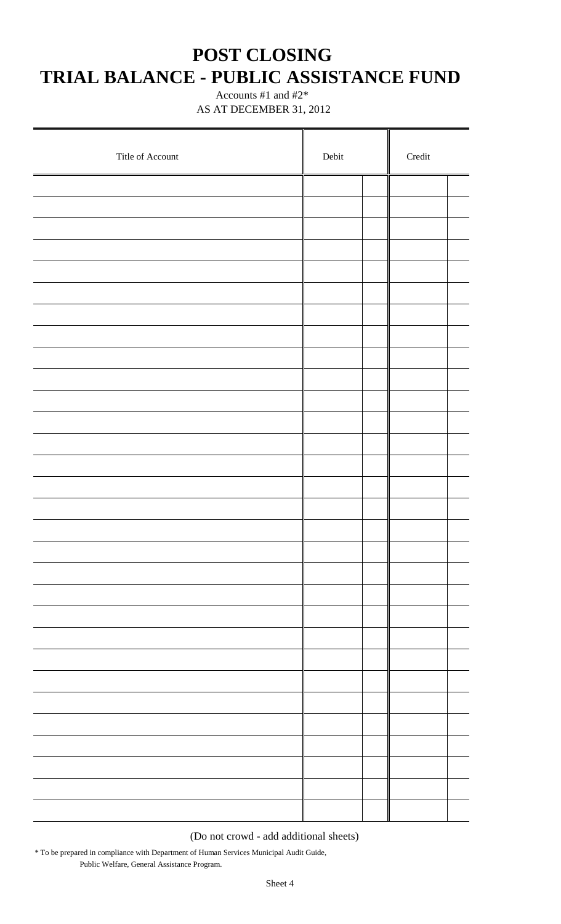### **POST CLOSING TRIAL BALANCE - PUBLIC ASSISTANCE FUND**

 Accounts #1 and #2\* AS AT DECEMBER 31, 2012

| Title of Account | ${\rm Debit}$ | $\operatorname{Credit}$ |  |  |
|------------------|---------------|-------------------------|--|--|
|                  |               |                         |  |  |
|                  |               |                         |  |  |
|                  |               |                         |  |  |
|                  |               |                         |  |  |
|                  |               |                         |  |  |
|                  |               |                         |  |  |
|                  |               |                         |  |  |
|                  |               |                         |  |  |
|                  |               |                         |  |  |
|                  |               |                         |  |  |
|                  |               |                         |  |  |
|                  |               |                         |  |  |
|                  |               |                         |  |  |
|                  |               |                         |  |  |
|                  |               |                         |  |  |
|                  |               |                         |  |  |
|                  |               |                         |  |  |
|                  |               |                         |  |  |
|                  |               |                         |  |  |
|                  |               |                         |  |  |
|                  |               |                         |  |  |
|                  |               |                         |  |  |
|                  |               |                         |  |  |
|                  |               |                         |  |  |
|                  |               |                         |  |  |
|                  |               |                         |  |  |
|                  |               |                         |  |  |
|                  |               |                         |  |  |
|                  |               |                         |  |  |
|                  |               |                         |  |  |

(Do not crowd - add additional sheets)

\* To be prepared in compliance with Department of Human Services Municipal Audit Guide, Public Welfare, General Assistance Program.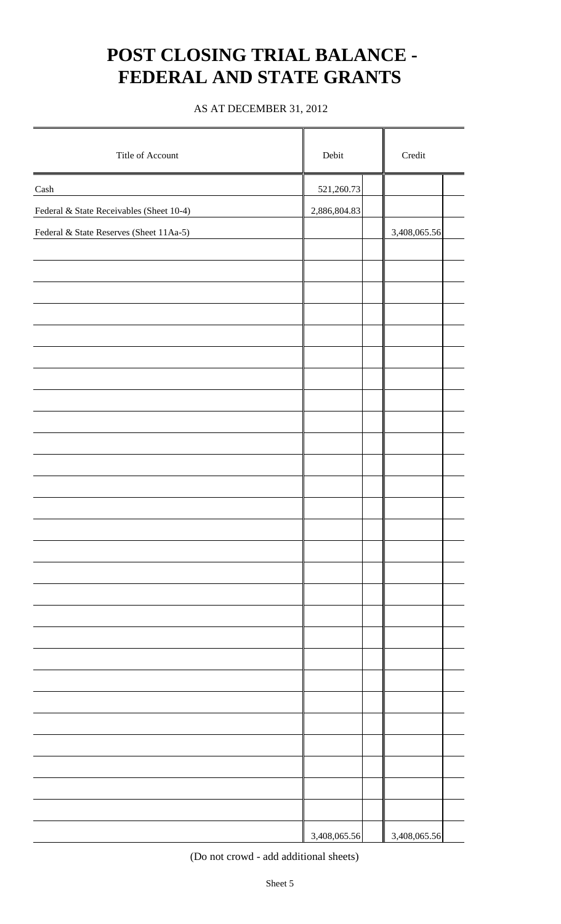# **POST CLOSING TRIAL BALANCE - FEDERAL AND STATE GRANTS**

#### AS AT DECEMBER 31, 2012

| Title of Account                         | Debit        | Credit       |  |  |  |
|------------------------------------------|--------------|--------------|--|--|--|
| Cash                                     | 521,260.73   |              |  |  |  |
| Federal & State Receivables (Sheet 10-4) | 2,886,804.83 |              |  |  |  |
| Federal & State Reserves (Sheet 11Aa-5)  |              | 3,408,065.56 |  |  |  |
|                                          |              |              |  |  |  |
|                                          |              |              |  |  |  |
|                                          |              |              |  |  |  |
|                                          |              |              |  |  |  |
|                                          |              |              |  |  |  |
|                                          |              |              |  |  |  |
|                                          |              |              |  |  |  |
|                                          |              |              |  |  |  |
|                                          |              |              |  |  |  |
|                                          |              |              |  |  |  |
|                                          |              |              |  |  |  |
|                                          |              |              |  |  |  |
|                                          |              |              |  |  |  |
|                                          |              |              |  |  |  |
|                                          |              |              |  |  |  |
|                                          |              |              |  |  |  |
|                                          |              |              |  |  |  |
|                                          |              |              |  |  |  |
|                                          |              |              |  |  |  |
|                                          |              |              |  |  |  |
|                                          |              |              |  |  |  |
|                                          |              |              |  |  |  |
|                                          |              |              |  |  |  |
|                                          |              |              |  |  |  |
|                                          |              |              |  |  |  |
|                                          |              |              |  |  |  |
|                                          |              |              |  |  |  |
|                                          | 3,408,065.56 | 3,408,065.56 |  |  |  |

(Do not crowd - add additional sheets)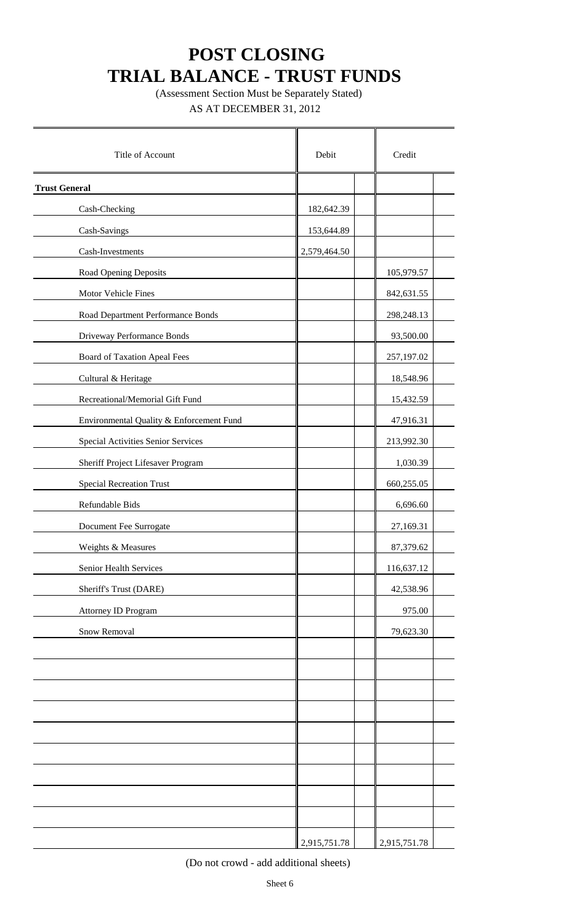(Assessment Section Must be Separately Stated) AS AT DECEMBER 31, 2012

| Title of Account                         | Debit        | Credit       |
|------------------------------------------|--------------|--------------|
| <b>Trust General</b>                     |              |              |
| Cash-Checking                            | 182,642.39   |              |
| Cash-Savings                             | 153,644.89   |              |
| Cash-Investments                         | 2,579,464.50 |              |
| Road Opening Deposits                    |              | 105,979.57   |
| Motor Vehicle Fines                      |              | 842,631.55   |
| Road Department Performance Bonds        |              | 298,248.13   |
| Driveway Performance Bonds               |              | 93,500.00    |
| <b>Board of Taxation Apeal Fees</b>      |              | 257,197.02   |
| Cultural & Heritage                      |              | 18,548.96    |
| Recreational/Memorial Gift Fund          |              | 15,432.59    |
| Environmental Quality & Enforcement Fund |              | 47,916.31    |
| Special Activities Senior Services       |              | 213,992.30   |
| Sheriff Project Lifesaver Program        |              | 1,030.39     |
| <b>Special Recreation Trust</b>          |              | 660,255.05   |
| Refundable Bids                          |              | 6,696.60     |
| Document Fee Surrogate                   |              | 27,169.31    |
| Weights & Measures                       |              | 87,379.62    |
| Senior Health Services                   |              | 116,637.12   |
| Sheriff's Trust (DARE)                   |              | 42,538.96    |
| Attorney ID Program                      |              | 975.00       |
| Snow Removal                             |              | 79,623.30    |
|                                          |              |              |
|                                          |              |              |
|                                          |              |              |
|                                          |              |              |
|                                          |              |              |
|                                          |              |              |
|                                          |              |              |
|                                          |              |              |
|                                          |              |              |
|                                          | 2,915,751.78 | 2,915,751.78 |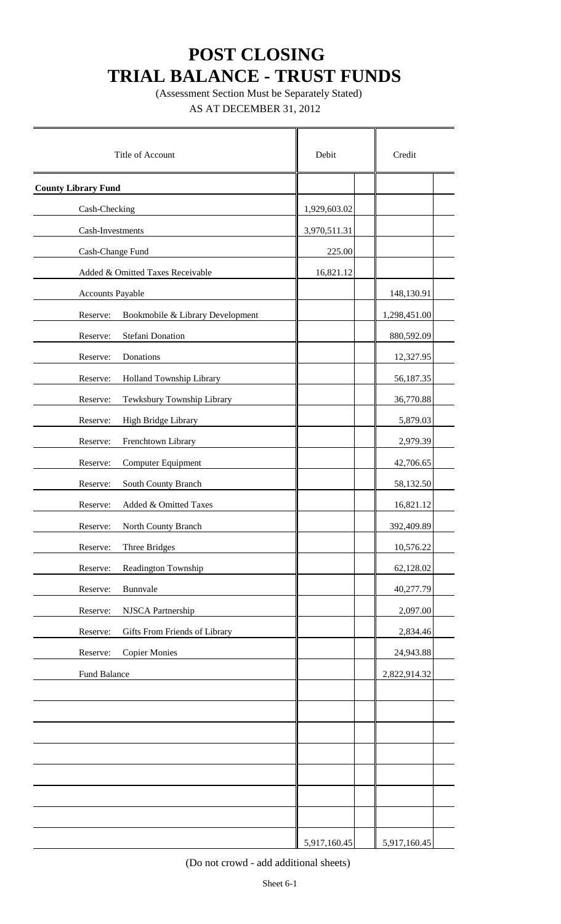(Assessment Section Must be Separately Stated) AS AT DECEMBER 31, 2012

| Title of Account                             | Debit        | Credit       |
|----------------------------------------------|--------------|--------------|
| <b>County Library Fund</b>                   |              |              |
| Cash-Checking                                | 1,929,603.02 |              |
| Cash-Investments                             | 3,970,511.31 |              |
| Cash-Change Fund                             | 225.00       |              |
| Added & Omitted Taxes Receivable             | 16,821.12    |              |
| Accounts Payable                             |              | 148,130.91   |
| Bookmobile & Library Development<br>Reserve: |              | 1,298,451.00 |
| Stefani Donation<br>Reserve:                 |              | 880,592.09   |
| Donations<br>Reserve:                        |              | 12,327.95    |
| Reserve:<br>Holland Township Library         |              | 56,187.35    |
| Reserve:<br>Tewksbury Township Library       |              | 36,770.88    |
| Reserve:<br>High Bridge Library              |              | 5,879.03     |
| Reserve:<br>Frenchtown Library               |              | 2,979.39     |
| Computer Equipment<br>Reserve:               |              | 42,706.65    |
| Reserve:<br>South County Branch              |              | 58,132.50    |
| Added & Omitted Taxes<br>Reserve:            |              | 16,821.12    |
| Reserve:<br>North County Branch              |              | 392,409.89   |
| Reserve:<br>Three Bridges                    |              | 10,576.22    |
| Reserve:<br>Readington Township              |              | 62,128.02    |
| Reserve:<br>Bunnvale                         |              | 40,277.79    |
| Reserve:<br>NJSCA Partnership                |              | 2,097.00     |
| Gifts From Friends of Library<br>Reserve:    |              | 2,834.46     |
| <b>Copier Monies</b><br>Reserve:             |              | 24,943.88    |
| Fund Balance                                 |              | 2,822,914.32 |
|                                              |              |              |
|                                              |              |              |
|                                              |              |              |
|                                              |              |              |
|                                              |              |              |
|                                              |              |              |
|                                              |              |              |
|                                              | 5,917,160.45 | 5,917,160.45 |

(Do not crowd - add additional sheets)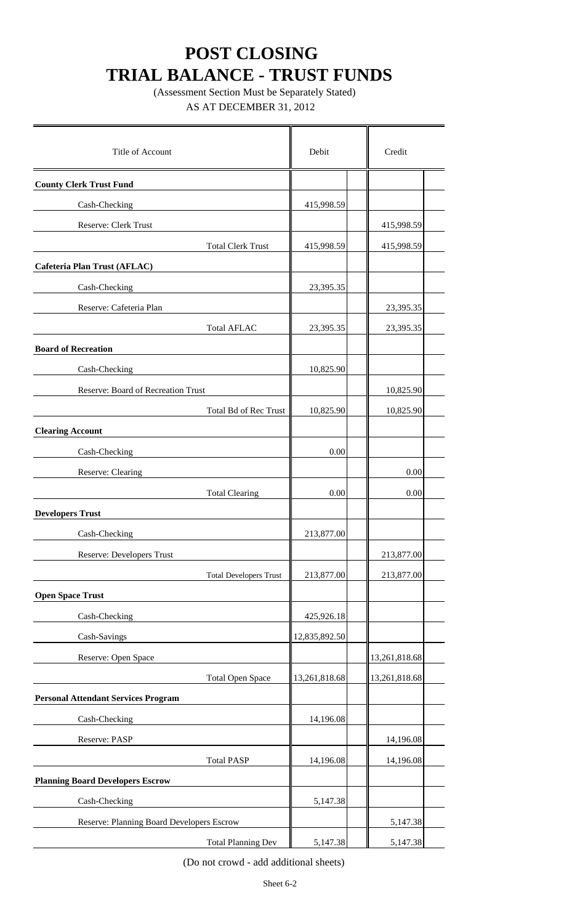(Assessment Section Must be Separately Stated) AS AT DECEMBER 31, 2012

| Title of Account                           | Debit         | Credit        |
|--------------------------------------------|---------------|---------------|
| <b>County Clerk Trust Fund</b>             |               |               |
| Cash-Checking                              | 415,998.59    |               |
| Reserve: Clerk Trust                       |               | 415,998.59    |
| <b>Total Clerk Trust</b>                   | 415,998.59    | 415,998.59    |
| Cafeteria Plan Trust (AFLAC)               |               |               |
| Cash-Checking                              | 23,395.35     |               |
| Reserve: Cafeteria Plan                    |               | 23,395.35     |
| <b>Total AFLAC</b>                         | 23,395.35     | 23,395.35     |
| <b>Board of Recreation</b>                 |               |               |
| Cash-Checking                              | 10,825.90     |               |
| Reserve: Board of Recreation Trust         |               | 10,825.90     |
| Total Bd of Rec Trust                      | 10,825.90     | 10,825.90     |
| <b>Clearing Account</b>                    |               |               |
| Cash-Checking                              | 0.00          |               |
| Reserve: Clearing                          |               | 0.00          |
| <b>Total Clearing</b>                      | 0.00          | 0.00          |
| <b>Developers Trust</b>                    |               |               |
| Cash-Checking                              | 213,877.00    |               |
| <b>Reserve: Developers Trust</b>           |               | 213,877.00    |
| <b>Total Developers Trust</b>              | 213,877.00    | 213,877.00    |
| <b>Open Space Trust</b>                    |               |               |
| Cash-Checking                              | 425,926.18    |               |
| Cash-Savings                               | 12,835,892.50 |               |
| Reserve: Open Space                        |               | 13,261,818.68 |
| <b>Total Open Space</b>                    | 13,261,818.68 | 13,261,818.68 |
| <b>Personal Attendant Services Program</b> |               |               |
| Cash-Checking                              | 14,196.08     |               |
| Reserve: PASP                              |               | 14,196.08     |
| <b>Total PASP</b>                          | 14,196.08     | 14,196.08     |
| <b>Planning Board Developers Escrow</b>    |               |               |
| Cash-Checking                              | 5,147.38      |               |
| Reserve: Planning Board Developers Escrow  |               | 5,147.38      |
| <b>Total Planning Dev</b>                  | 5,147.38      | 5,147.38      |

(Do not crowd - add additional sheets)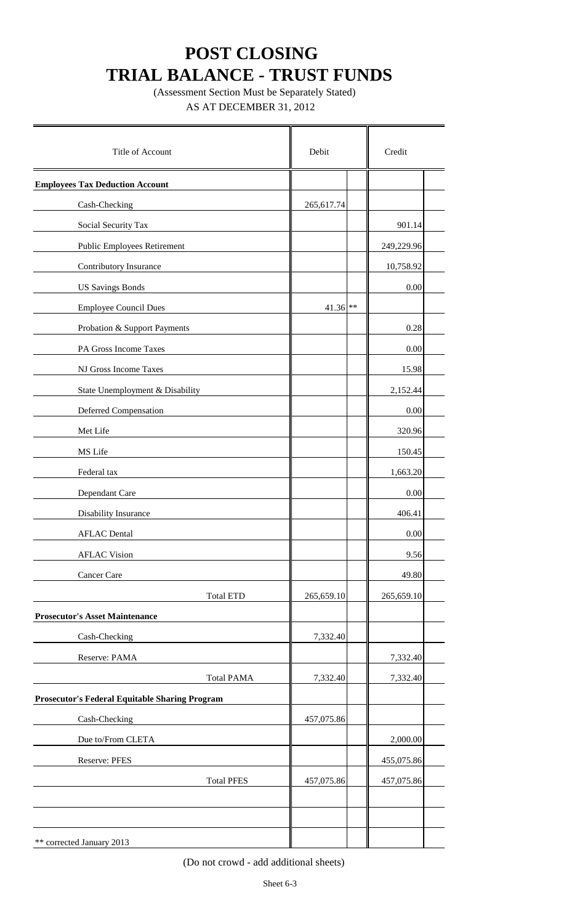(Assessment Section Must be Separately Stated) AS AT DECEMBER 31, 2012

| Title of Account                                      | Debit      | Credit     |  |  |
|-------------------------------------------------------|------------|------------|--|--|
| <b>Employees Tax Deduction Account</b>                |            |            |  |  |
| Cash-Checking                                         | 265,617.74 |            |  |  |
| Social Security Tax                                   |            | 901.14     |  |  |
| <b>Public Employees Retirement</b>                    |            | 249,229.96 |  |  |
| Contributory Insurance                                |            | 10,758.92  |  |  |
| <b>US Savings Bonds</b>                               |            | 0.00       |  |  |
| <b>Employee Council Dues</b>                          | $41.36$ ** |            |  |  |
| Probation & Support Payments                          |            | 0.28       |  |  |
| PA Gross Income Taxes                                 |            | 0.00       |  |  |
| NJ Gross Income Taxes                                 |            | 15.98      |  |  |
| State Unemployment & Disability                       |            | 2,152.44   |  |  |
| <b>Deferred Compensation</b>                          |            | 0.00       |  |  |
| Met Life                                              |            | 320.96     |  |  |
| MS Life                                               |            | 150.45     |  |  |
| Federal tax                                           |            | 1,663.20   |  |  |
| Dependant Care                                        |            | 0.00       |  |  |
| Disability Insurance                                  |            | 406.41     |  |  |
| <b>AFLAC</b> Dental                                   |            | 0.00       |  |  |
| <b>AFLAC Vision</b>                                   |            | 9.56       |  |  |
| Cancer Care                                           |            | 49.80      |  |  |
| <b>Total ETD</b>                                      | 265,659.10 | 265,659.10 |  |  |
| <b>Prosecutor's Asset Maintenance</b>                 |            |            |  |  |
| Cash-Checking                                         | 7,332.40   |            |  |  |
| Reserve: PAMA                                         |            | 7,332.40   |  |  |
| <b>Total PAMA</b>                                     | 7,332.40   | 7,332.40   |  |  |
| <b>Prosecutor's Federal Equitable Sharing Program</b> |            |            |  |  |
| Cash-Checking                                         | 457,075.86 |            |  |  |
| Due to/From CLETA                                     |            | 2,000.00   |  |  |
| Reserve: PFES                                         |            | 455,075.86 |  |  |
| <b>Total PFES</b>                                     | 457,075.86 | 457,075.86 |  |  |
|                                                       |            |            |  |  |
|                                                       |            |            |  |  |
| ** corrected January 2013                             |            |            |  |  |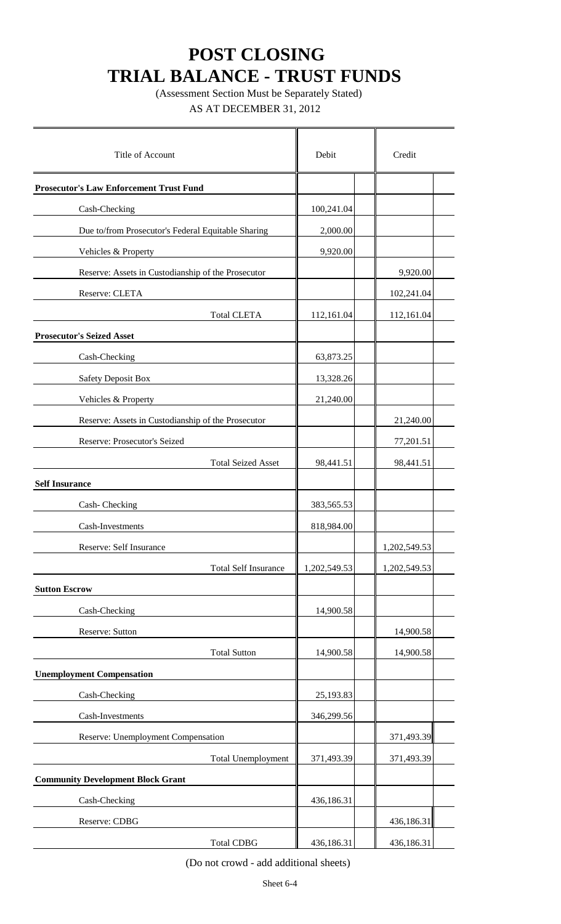(Assessment Section Must be Separately Stated)

AS AT DECEMBER 31, 2012

| Title of Account                                   | Debit        | Credit       |
|----------------------------------------------------|--------------|--------------|
| <b>Prosecutor's Law Enforcement Trust Fund</b>     |              |              |
| Cash-Checking                                      | 100,241.04   |              |
| Due to/from Prosecutor's Federal Equitable Sharing | 2,000.00     |              |
| Vehicles & Property                                | 9,920.00     |              |
| Reserve: Assets in Custodianship of the Prosecutor |              | 9,920.00     |
| Reserve: CLETA                                     |              | 102,241.04   |
| <b>Total CLETA</b>                                 | 112,161.04   | 112,161.04   |
| <b>Prosecutor's Seized Asset</b>                   |              |              |
| Cash-Checking                                      | 63,873.25    |              |
| Safety Deposit Box                                 | 13,328.26    |              |
| Vehicles & Property                                | 21,240.00    |              |
| Reserve: Assets in Custodianship of the Prosecutor |              | 21,240.00    |
| Reserve: Prosecutor's Seized                       |              | 77,201.51    |
| <b>Total Seized Asset</b>                          | 98,441.51    | 98,441.51    |
| <b>Self Insurance</b>                              |              |              |
| Cash-Checking                                      | 383,565.53   |              |
| Cash-Investments                                   | 818,984.00   |              |
| Reserve: Self Insurance                            |              | 1,202,549.53 |
| <b>Total Self Insurance</b>                        | 1,202,549.53 | 1,202,549.53 |
| <b>Sutton Escrow</b>                               |              |              |
| Cash-Checking                                      | 14,900.58    |              |
| Reserve: Sutton                                    |              | 14,900.58    |
| <b>Total Sutton</b>                                | 14,900.58    | 14,900.58    |
| <b>Unemployment Compensation</b>                   |              |              |
| Cash-Checking                                      | 25,193.83    |              |
| Cash-Investments                                   | 346,299.56   |              |
| Reserve: Unemployment Compensation                 |              | 371,493.39   |
| <b>Total Unemployment</b>                          | 371,493.39   | 371,493.39   |
| <b>Community Development Block Grant</b>           |              |              |
| Cash-Checking                                      | 436,186.31   |              |
| Reserve: CDBG                                      |              | 436,186.31   |
| <b>Total CDBG</b>                                  | 436,186.31   | 436,186.31   |

(Do not crowd - add additional sheets)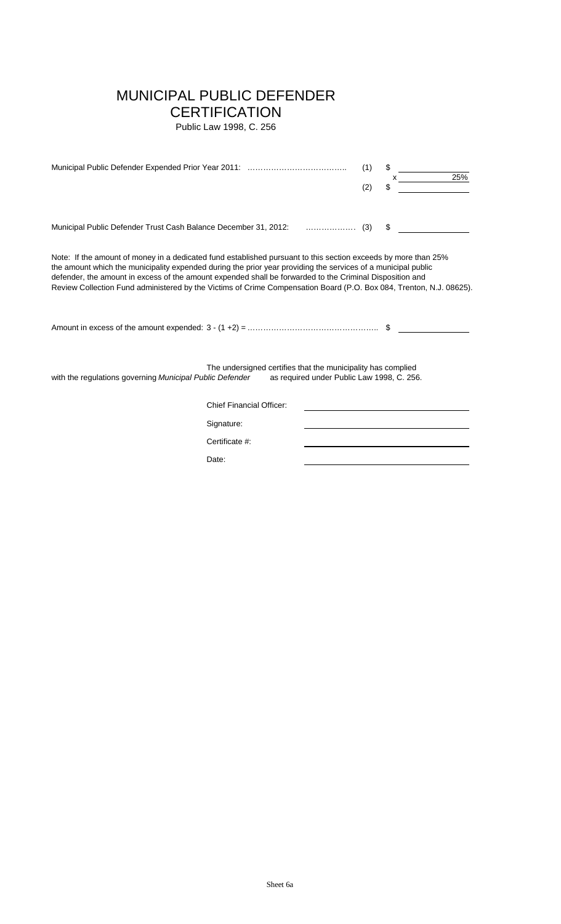### MUNICIPAL PUBLIC DEFENDER

### **CERTIFICATION**

Public Law 1998, C. 256

|                                                                                                                                                                                                                                                                                                                                                                                                                                                                    |                                                              |                                            | (1)<br>(2) | \$<br>25%<br>\$ |
|--------------------------------------------------------------------------------------------------------------------------------------------------------------------------------------------------------------------------------------------------------------------------------------------------------------------------------------------------------------------------------------------------------------------------------------------------------------------|--------------------------------------------------------------|--------------------------------------------|------------|-----------------|
| Municipal Public Defender Trust Cash Balance December 31, 2012:  (3)                                                                                                                                                                                                                                                                                                                                                                                               |                                                              |                                            |            | \$              |
| Note: If the amount of money in a dedicated fund established pursuant to this section exceeds by more than 25%<br>the amount which the municipality expended during the prior year providing the services of a municipal public<br>defender, the amount in excess of the amount expended shall be forwarded to the Criminal Disposition and<br>Review Collection Fund administered by the Victims of Crime Compensation Board (P.O. Box 084, Trenton, N.J. 08625). |                                                              |                                            |            |                 |
| with the regulations governing Municipal Public Defender                                                                                                                                                                                                                                                                                                                                                                                                           | The undersigned certifies that the municipality has complied | as required under Public Law 1998, C. 256. |            |                 |
|                                                                                                                                                                                                                                                                                                                                                                                                                                                                    | <b>Chief Financial Officer:</b>                              |                                            |            |                 |
|                                                                                                                                                                                                                                                                                                                                                                                                                                                                    | Signature:                                                   |                                            |            |                 |
|                                                                                                                                                                                                                                                                                                                                                                                                                                                                    | Certificate #:                                               |                                            |            |                 |
|                                                                                                                                                                                                                                                                                                                                                                                                                                                                    | Date:                                                        |                                            |            |                 |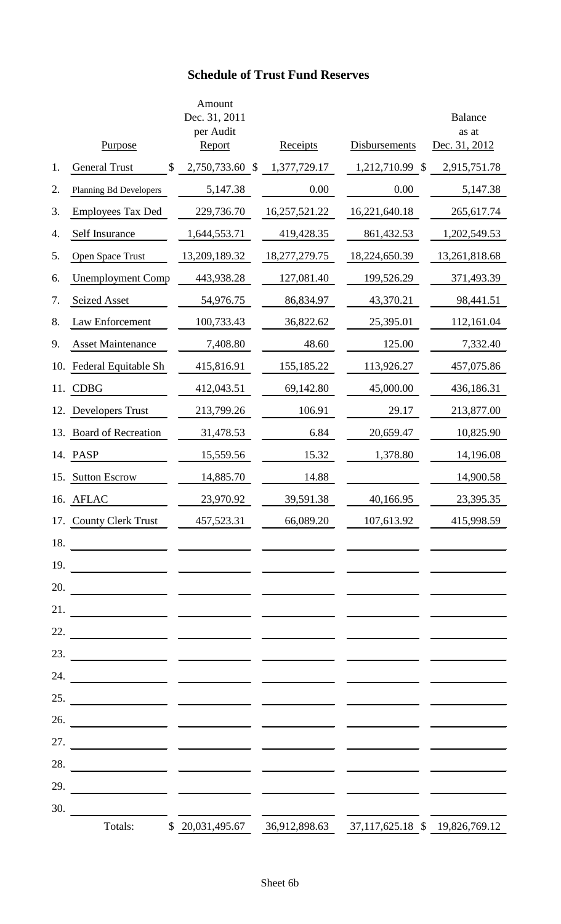### **Schedule of Trust Fund Reserves**

|     | Purpose                       | Amount<br>Dec. 31, 2011<br>per Audit<br>Report |              | Receipts      | Disbursements                  | <b>Balance</b><br>as at<br>Dec. 31, 2012 |
|-----|-------------------------------|------------------------------------------------|--------------|---------------|--------------------------------|------------------------------------------|
| 1.  | <b>General Trust</b><br>\$    | 2,750,733.60                                   | $\mathbb{S}$ | 1,377,729.17  | 1,212,710.99<br>$\mathcal{S}$  | 2,915,751.78                             |
| 2.  | <b>Planning Bd Developers</b> | 5,147.38                                       |              | 0.00          | 0.00                           | 5,147.38                                 |
| 3.  | <b>Employees Tax Ded</b>      | 229,736.70                                     |              | 16,257,521.22 | 16,221,640.18                  | 265,617.74                               |
| 4.  | Self Insurance                | 1,644,553.71                                   |              | 419,428.35    | 861,432.53                     | 1,202,549.53                             |
| 5.  | Open Space Trust              | 13,209,189.32                                  |              | 18,277,279.75 | 18,224,650.39                  | 13,261,818.68                            |
| 6.  | <b>Unemployment Comp</b>      | 443,938.28                                     |              | 127,081.40    | 199,526.29                     | 371,493.39                               |
| 7.  | <b>Seized Asset</b>           | 54,976.75                                      |              | 86,834.97     | 43,370.21                      | 98,441.51                                |
| 8.  | Law Enforcement               | 100,733.43                                     |              | 36,822.62     | 25,395.01                      | 112,161.04                               |
| 9.  | <b>Asset Maintenance</b>      | 7,408.80                                       |              | 48.60         | 125.00                         | 7,332.40                                 |
| 10. | Federal Equitable Sh          | 415,816.91                                     |              | 155,185.22    | 113,926.27                     | 457,075.86                               |
| 11. | <b>CDBG</b>                   | 412,043.51                                     |              | 69,142.80     | 45,000.00                      | 436,186.31                               |
| 12. | Developers Trust              | 213,799.26                                     |              | 106.91        | 29.17                          | 213,877.00                               |
| 13. | <b>Board of Recreation</b>    | 31,478.53                                      |              | 6.84          | 20,659.47                      | 10,825.90                                |
| 14. | PASP                          | 15,559.56                                      |              | 15.32         | 1,378.80                       | 14,196.08                                |
| 15. | <b>Sutton Escrow</b>          | 14,885.70                                      |              | 14.88         |                                | 14,900.58                                |
|     | 16. AFLAC                     | 23,970.92                                      |              | 39,591.38     | 40,166.95                      | 23,395.35                                |
|     | 17. County Clerk Trust        | 457,523.31                                     |              | 66,089.20     | 107,613.92                     | 415,998.59                               |
| 18. |                               |                                                |              |               |                                |                                          |
| 19. |                               |                                                |              |               |                                |                                          |
| 20. |                               |                                                |              |               |                                |                                          |
| 21. |                               |                                                |              |               |                                |                                          |
| 22. |                               |                                                |              |               |                                |                                          |
| 23. |                               |                                                |              |               |                                |                                          |
| 24. |                               |                                                |              |               |                                |                                          |
| 25. |                               |                                                |              |               |                                |                                          |
| 26. |                               |                                                |              |               |                                |                                          |
| 27. |                               |                                                |              |               |                                |                                          |
| 28. |                               |                                                |              |               |                                |                                          |
| 29. |                               |                                                |              |               |                                |                                          |
| 30. |                               |                                                |              |               |                                |                                          |
|     | Totals:                       | \$ 20,031,495.67                               |              | 36,912,898.63 | 37,117,625.18 \$ 19,826,769.12 |                                          |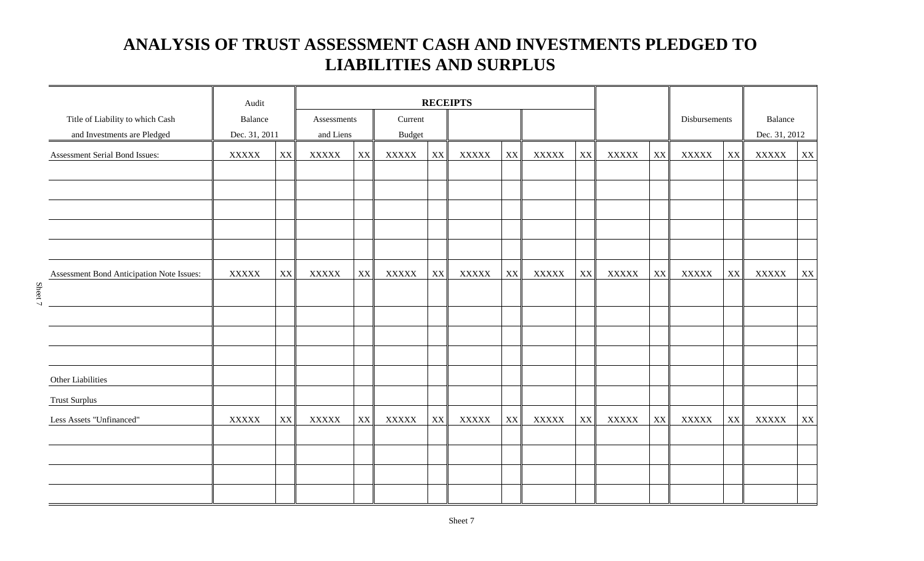### **ANALYSIS OF TRUST ASSESSMENT CASH AND INVESTMENTS PLEDGED TO LIABILITIES AND SURPLUS**

|                                                                 | Audit                    |                         | <b>RECEIPTS</b>          |    |              |               |                          |               |              |                         |              |    |               |                          |              |    |
|-----------------------------------------------------------------|--------------------------|-------------------------|--------------------------|----|--------------|---------------|--------------------------|---------------|--------------|-------------------------|--------------|----|---------------|--------------------------|--------------|----|
| Title of Liability to which Cash<br>and Investments are Pledged | Balance<br>Dec. 31, 2011 |                         | Assessments<br>and Liens |    |              |               | Current<br><b>Budget</b> |               |              |                         |              |    | Disbursements | Balance<br>Dec. 31, 2012 |              |    |
| Assessment Serial Bond Issues:                                  | <b>XXXXX</b>             | XX                      | <b>XXXXX</b>             | XX | <b>XXXXX</b> | $\mathbf{XX}$ | <b>XXXXX</b>             | XX            | <b>XXXXX</b> | XX                      | <b>XXXXX</b> | XX | <b>XXXXX</b>  | XX                       | <b>XXXXX</b> | XX |
|                                                                 |                          |                         |                          |    |              |               |                          |               |              |                         |              |    |               |                          |              |    |
|                                                                 |                          |                         |                          |    |              |               |                          |               |              |                         |              |    |               |                          |              |    |
|                                                                 |                          |                         |                          |    |              |               |                          |               |              |                         |              |    |               |                          |              |    |
|                                                                 |                          |                         |                          |    |              |               |                          |               |              |                         |              |    |               |                          |              |    |
| Assessment Bond Anticipation Note Issues:                       | <b>XXXXX</b>             | $\mathbf{X} \mathbf{X}$ | <b>XXXXX</b>             | XX | <b>XXXXX</b> | XX            | <b>XXXXX</b>             | $\mathbf{XX}$ | <b>XXXXX</b> | $\mathbf{X} \mathbf{X}$ | <b>XXXXX</b> | XX | <b>XXXXX</b>  | XX                       | <b>XXXXX</b> | XX |
|                                                                 |                          |                         |                          |    |              |               |                          |               |              |                         |              |    |               |                          |              |    |
|                                                                 |                          |                         |                          |    |              |               |                          |               |              |                         |              |    |               |                          |              |    |
|                                                                 |                          |                         |                          |    |              |               |                          |               |              |                         |              |    |               |                          |              |    |
|                                                                 |                          |                         |                          |    |              |               |                          |               |              |                         |              |    |               |                          |              |    |
| Other Liabilities                                               |                          |                         |                          |    |              |               |                          |               |              |                         |              |    |               |                          |              |    |
| <b>Trust Surplus</b>                                            |                          |                         |                          |    |              |               |                          |               |              |                         |              |    |               |                          |              |    |
| Less Assets "Unfinanced"                                        | <b>XXXXX</b>             | XX                      | <b>XXXXX</b>             | XX | <b>XXXXX</b> | XX            | <b>XXXXX</b>             | XX            | <b>XXXXX</b> | $\mathbf{X} \mathbf{X}$ | <b>XXXXX</b> | XX | <b>XXXXX</b>  | XX                       | <b>XXXXX</b> | XX |
|                                                                 |                          |                         |                          |    |              |               |                          |               |              |                         |              |    |               |                          |              |    |
|                                                                 |                          |                         |                          |    |              |               |                          |               |              |                         |              |    |               |                          |              |    |
|                                                                 |                          |                         |                          |    |              |               |                          |               |              |                         |              |    |               |                          |              |    |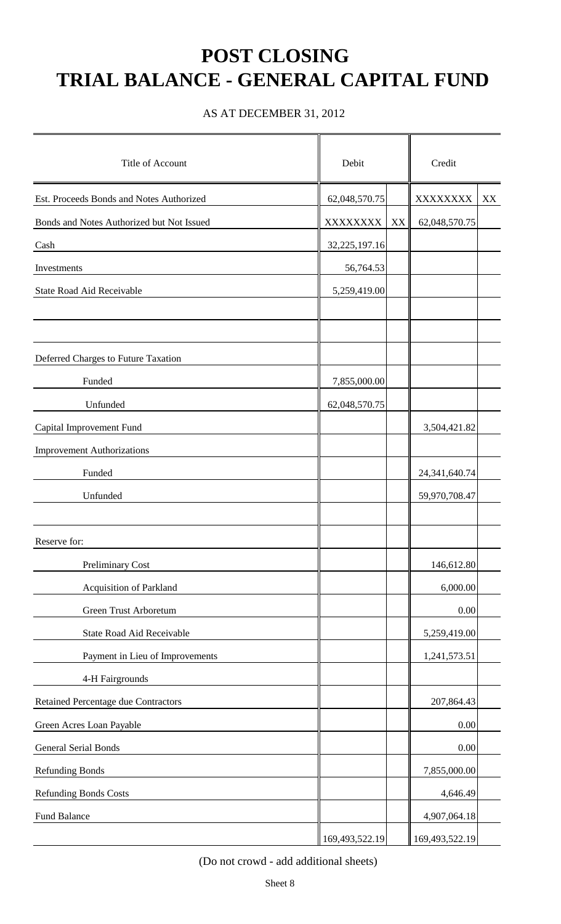# **POST CLOSING TRIAL BALANCE - GENERAL CAPITAL FUND**

AS AT DECEMBER 31, 2012

| Title of Account                          | Debit          |    | Credit           |    |  |
|-------------------------------------------|----------------|----|------------------|----|--|
| Est. Proceeds Bonds and Notes Authorized  | 62,048,570.75  |    | XXXXXXXX         | XX |  |
| Bonds and Notes Authorized but Not Issued | XXXXXXXX       | XX | 62,048,570.75    |    |  |
| Cash                                      | 32,225,197.16  |    |                  |    |  |
| Investments                               | 56,764.53      |    |                  |    |  |
| State Road Aid Receivable                 | 5,259,419.00   |    |                  |    |  |
|                                           |                |    |                  |    |  |
|                                           |                |    |                  |    |  |
| Deferred Charges to Future Taxation       |                |    |                  |    |  |
| Funded                                    | 7,855,000.00   |    |                  |    |  |
| Unfunded                                  | 62,048,570.75  |    |                  |    |  |
| Capital Improvement Fund                  |                |    | 3,504,421.82     |    |  |
| <b>Improvement Authorizations</b>         |                |    |                  |    |  |
| Funded                                    |                |    | 24, 341, 640. 74 |    |  |
| Unfunded                                  |                |    | 59,970,708.47    |    |  |
|                                           |                |    |                  |    |  |
| Reserve for:                              |                |    |                  |    |  |
| <b>Preliminary Cost</b>                   |                |    | 146,612.80       |    |  |
| Acquisition of Parkland                   |                |    | 6,000.00         |    |  |
| Green Trust Arboretum                     |                |    | 0.00             |    |  |
| State Road Aid Receivable                 |                |    | 5,259,419.00     |    |  |
| Payment in Lieu of Improvements           |                |    | 1,241,573.51     |    |  |
| 4-H Fairgrounds                           |                |    |                  |    |  |
| Retained Percentage due Contractors       |                |    | 207,864.43       |    |  |
| Green Acres Loan Payable                  |                |    | 0.00             |    |  |
| <b>General Serial Bonds</b>               |                |    | 0.00             |    |  |
| <b>Refunding Bonds</b>                    |                |    | 7,855,000.00     |    |  |
| <b>Refunding Bonds Costs</b>              |                |    | 4,646.49         |    |  |
| Fund Balance                              |                |    | 4,907,064.18     |    |  |
|                                           | 169,493,522.19 |    | 169,493,522.19   |    |  |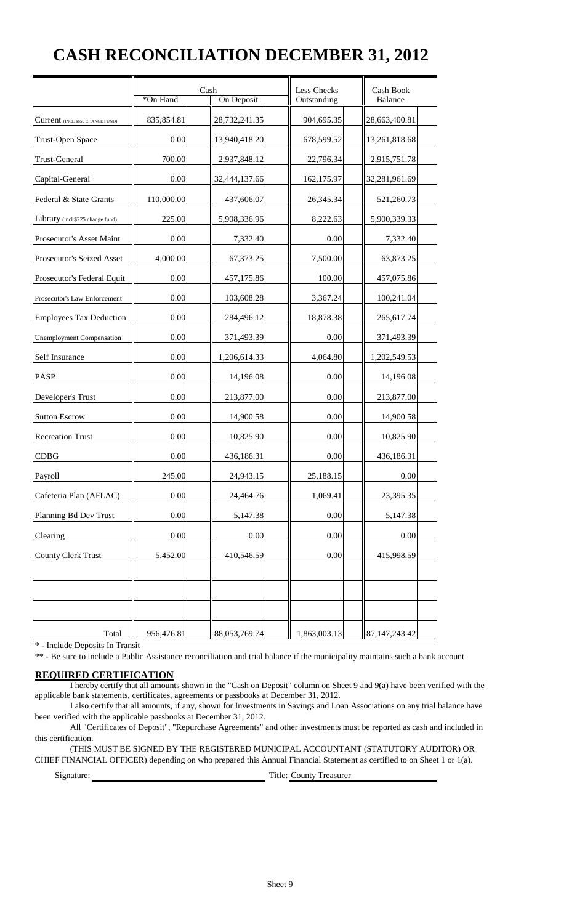## **CASH RECONCILIATION DECEMBER 31, 2012**

|                                  | *On Hand   | Cash<br>On Deposit | <b>Less Checks</b><br>Outstanding | Cash Book<br>Balance |
|----------------------------------|------------|--------------------|-----------------------------------|----------------------|
| Current (INCL \$650 CHANGE FUND) | 835,854.81 | 28,732,241.35      | 904,695.35                        | 28,663,400.81        |
| <b>Trust-Open Space</b>          | 0.00       | 13,940,418.20      | 678,599.52                        | 13,261,818.68        |
| Trust-General                    | 700.00     | 2,937,848.12       | 22,796.34                         | 2,915,751.78         |
| Capital-General                  | 0.00       | 32,444,137.66      | 162,175.97                        | 32,281,961.69        |
| Federal & State Grants           | 110,000.00 | 437,606.07         | 26,345.34                         | 521,260.73           |
| Library (incl \$225 change fund) | 225.00     | 5,908,336.96       | 8,222.63                          | 5,900,339.33         |
| Prosecutor's Asset Maint         | 0.00       | 7,332.40           | 0.00                              | 7,332.40             |
| Prosecutor's Seized Asset        | 4,000.00   | 67,373.25          | 7,500.00                          | 63,873.25            |
| Prosecutor's Federal Equit       | 0.00       | 457,175.86         | 100.00                            | 457,075.86           |
| Prosecutor's Law Enforcement     | 0.00       | 103,608.28         | 3,367.24                          | 100,241.04           |
| <b>Employees Tax Deduction</b>   | 0.00       | 284,496.12         | 18,878.38                         | 265,617.74           |
| <b>Unemployment Compensation</b> | 0.00       | 371,493.39         | 0.00                              | 371,493.39           |
| Self Insurance                   | 0.00       | 1,206,614.33       | 4,064.80                          | 1,202,549.53         |
| PASP                             | 0.00       | 14,196.08          | 0.00                              | 14,196.08            |
| Developer's Trust                | 0.00       | 213,877.00         | 0.00                              | 213,877.00           |
| <b>Sutton Escrow</b>             | 0.00       | 14,900.58          | 0.00                              | 14,900.58            |
| <b>Recreation Trust</b>          | 0.00       | 10,825.90          | 0.00                              | 10,825.90            |
| <b>CDBG</b>                      | 0.00       | 436,186.31         | 0.00                              | 436,186.31           |
| Payroll                          | 245.00     | 24,943.15          | 25,188.15                         | 0.00                 |
| Cafeteria Plan (AFLAC)           | $0.00\,$   | 24,464.76          | 1,069.41                          | 23,395.35            |
| Planning Bd Dev Trust            | 0.00       | 5,147.38           | 0.00                              | 5,147.38             |
| Clearing                         | $0.00\,$   | 0.00               | 0.00                              | 0.00                 |
| <b>County Clerk Trust</b>        | 5,452.00   | 410,546.59         | $0.00\,$                          | 415,998.59           |
|                                  |            |                    |                                   |                      |
|                                  |            |                    |                                   |                      |
|                                  |            |                    |                                   |                      |
| Total                            | 956,476.81 | 88,053,769.74      | 1,863,003.13                      | 87, 147, 243. 42     |

\* - Include Deposits In Transit

\*\* - Be sure to include a Public Assistance reconciliation and trial balance if the municipality maintains such a bank account

#### **REQUIRED CERTIFICATION**

 I hereby certify that all amounts shown in the "Cash on Deposit" column on Sheet 9 and 9(a) have been verified with the applicable bank statements, certificates, agreements or passbooks at December 31, 2012.

 I also certify that all amounts, if any, shown for Investments in Savings and Loan Associations on any trial balance have been verified with the applicable passbooks at December 31, 2012.

 All "Certificates of Deposit", "Repurchase Agreements" and other investments must be reported as cash and included in this certification.

 (THIS MUST BE SIGNED BY THE REGISTERED MUNICIPAL ACCOUNTANT (STATUTORY AUDITOR) OR CHIEF FINANCIAL OFFICER) depending on who prepared this Annual Financial Statement as certified to on Sheet 1 or 1(a).

Signature: Title: County Treasurer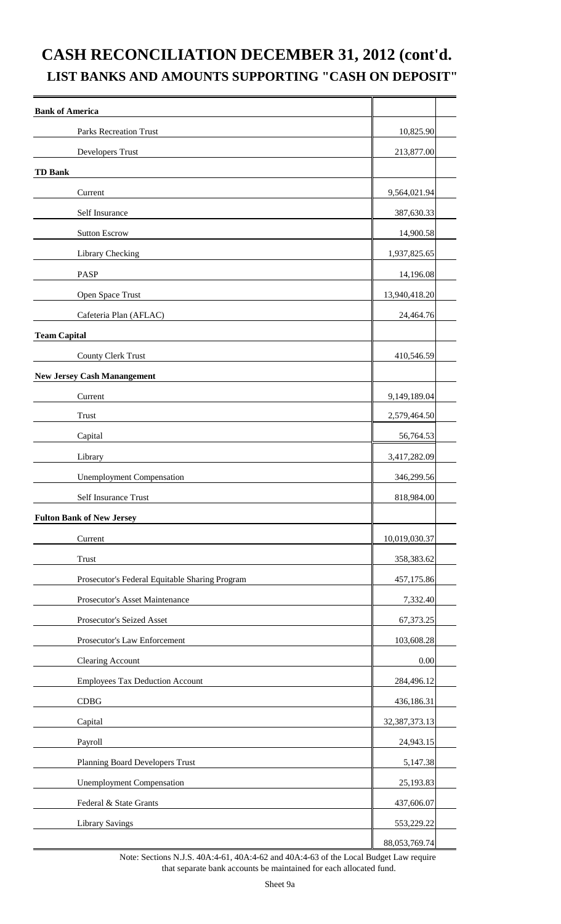### **CASH RECONCILIATION DECEMBER 31, 2012 (cont'd. LIST BANKS AND AMOUNTS SUPPORTING "CASH ON DEPOSIT"**

| <b>Bank of America</b>                         |                  |
|------------------------------------------------|------------------|
| <b>Parks Recreation Trust</b>                  | 10,825.90        |
| Developers Trust                               | 213,877.00       |
| <b>TD Bank</b>                                 |                  |
| Current                                        | 9,564,021.94     |
| Self Insurance                                 | 387,630.33       |
| <b>Sutton Escrow</b>                           | 14,900.58        |
| Library Checking                               | 1,937,825.65     |
| <b>PASP</b>                                    | 14,196.08        |
| Open Space Trust                               | 13,940,418.20    |
| Cafeteria Plan (AFLAC)                         | 24,464.76        |
| <b>Team Capital</b>                            |                  |
| County Clerk Trust                             | 410,546.59       |
| <b>New Jersey Cash Manangement</b>             |                  |
| Current                                        | 9,149,189.04     |
| <b>Trust</b>                                   | 2,579,464.50     |
| Capital                                        | 56,764.53        |
| Library                                        | 3,417,282.09     |
| <b>Unemployment Compensation</b>               | 346,299.56       |
| Self Insurance Trust                           | 818,984.00       |
| <b>Fulton Bank of New Jersey</b>               |                  |
| Current                                        | 10,019,030.37    |
| <b>Trust</b>                                   | 358,383.62       |
| Prosecutor's Federal Equitable Sharing Program | 457,175.86       |
| Prosecutor's Asset Maintenance                 | 7,332.40         |
| Prosecutor's Seized Asset                      | 67,373.25        |
| Prosecutor's Law Enforcement                   | 103,608.28       |
| <b>Clearing Account</b>                        | 0.00             |
| <b>Employees Tax Deduction Account</b>         | 284,496.12       |
| CDBG                                           | 436,186.31       |
| Capital                                        | 32, 387, 373. 13 |
| Payroll                                        | 24,943.15        |
| Planning Board Developers Trust                | 5,147.38         |
| <b>Unemployment Compensation</b>               | 25,193.83        |
| Federal & State Grants                         | 437,606.07       |
| <b>Library Savings</b>                         | 553,229.22       |
|                                                | 88,053,769.74    |

Note: Sections N.J.S. 40A:4-61, 40A:4-62 and 40A:4-63 of the Local Budget Law require that separate bank accounts be maintained for each allocated fund.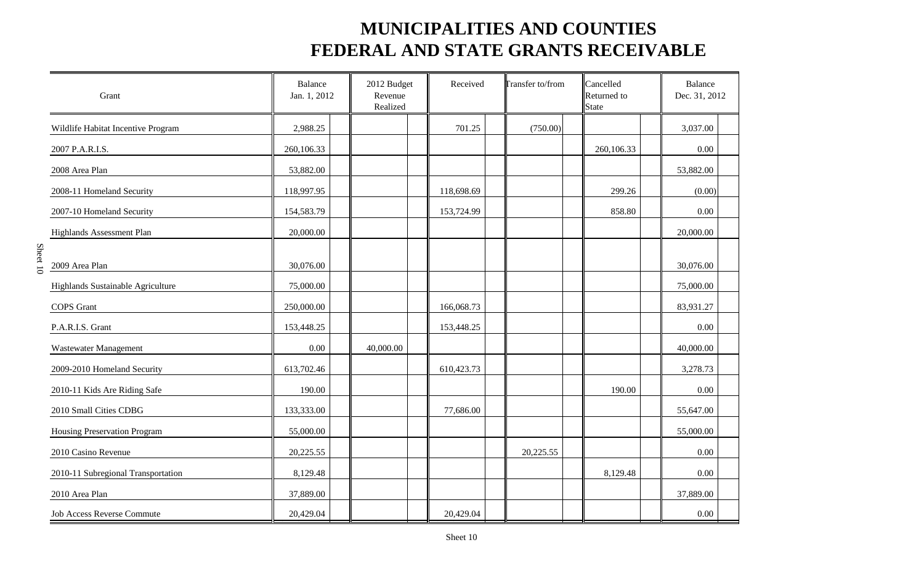| Grant                              | <b>Balance</b><br>Jan. 1, 2012 | 2012 Budget<br>Revenue<br>Realized | Received   | <b>Transfer to/from</b> | Cancelled<br>Returned to<br><b>State</b> | <b>Balance</b><br>Dec. 31, 2012 |
|------------------------------------|--------------------------------|------------------------------------|------------|-------------------------|------------------------------------------|---------------------------------|
| Wildlife Habitat Incentive Program | 2,988.25                       |                                    | 701.25     | (750.00)                |                                          | 3,037.00                        |
| 2007 P.A.R.I.S.                    | 260,106.33                     |                                    |            |                         | 260,106.33                               | 0.00                            |
| 2008 Area Plan                     | 53,882.00                      |                                    |            |                         |                                          | 53,882.00                       |
| 2008-11 Homeland Security          | 118,997.95                     |                                    | 118,698.69 |                         | 299.26                                   | (0.00)                          |
| 2007-10 Homeland Security          | 154,583.79                     |                                    | 153,724.99 |                         | 858.80                                   | 0.00                            |
| Highlands Assessment Plan          | 20,000.00                      |                                    |            |                         |                                          | 20,000.00                       |
| 2009 Area Plan                     | 30,076.00                      |                                    |            |                         |                                          | 30,076.00                       |
| Highlands Sustainable Agriculture  | 75,000.00                      |                                    |            |                         |                                          | 75,000.00                       |
| <b>COPS</b> Grant                  | 250,000.00                     |                                    | 166,068.73 |                         |                                          | 83,931.27                       |
| P.A.R.I.S. Grant                   | 153,448.25                     |                                    | 153,448.25 |                         |                                          | 0.00                            |
| Wastewater Management              | 0.00                           | 40,000.00                          |            |                         |                                          | 40,000.00                       |
| 2009-2010 Homeland Security        | 613,702.46                     |                                    | 610,423.73 |                         |                                          | 3,278.73                        |
| 2010-11 Kids Are Riding Safe       | 190.00                         |                                    |            |                         | 190.00                                   | 0.00                            |
| 2010 Small Cities CDBG             | 133,333.00                     |                                    | 77,686.00  |                         |                                          | 55,647.00                       |
| Housing Preservation Program       | 55,000.00                      |                                    |            |                         |                                          | 55,000.00                       |
| 2010 Casino Revenue                | 20,225.55                      |                                    |            | 20,225.55               |                                          | 0.00                            |
| 2010-11 Subregional Transportation | 8,129.48                       |                                    |            |                         | 8,129.48                                 | 0.00                            |
| 2010 Area Plan                     | 37,889.00                      |                                    |            |                         |                                          | 37,889.00                       |
| Job Access Reverse Commute         | 20,429.04                      |                                    | 20,429.04  |                         |                                          | 0.00                            |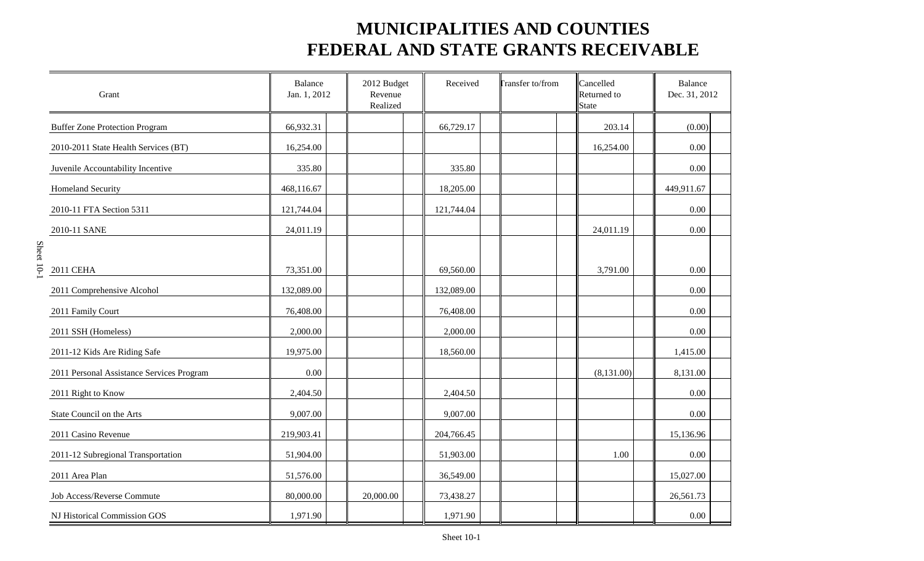| Grant                                     | Balance<br>Jan. 1, 2012 | 2012 Budget<br>Revenue<br>Realized | Received   | <b>Transfer to/from</b> | Cancelled<br>Returned to<br><b>State</b> | <b>Balance</b><br>Dec. 31, 2012 |
|-------------------------------------------|-------------------------|------------------------------------|------------|-------------------------|------------------------------------------|---------------------------------|
| <b>Buffer Zone Protection Program</b>     | 66,932.31               |                                    | 66,729.17  |                         | 203.14                                   | (0.00)                          |
| 2010-2011 State Health Services (BT)      | 16,254.00               |                                    |            |                         | 16,254.00                                | 0.00                            |
| Juvenile Accountability Incentive         | 335.80                  |                                    | 335.80     |                         |                                          | 0.00                            |
| <b>Homeland Security</b>                  | 468,116.67              |                                    | 18,205.00  |                         |                                          | 449,911.67                      |
| 2010-11 FTA Section 5311                  | 121,744.04              |                                    | 121,744.04 |                         |                                          | 0.00                            |
| 2010-11 SANE                              | 24,011.19               |                                    |            |                         | 24,011.19                                | 0.00                            |
|                                           |                         |                                    |            |                         |                                          |                                 |
| 2011 CEHA                                 | 73,351.00               |                                    | 69,560.00  |                         | 3,791.00                                 | 0.00                            |
| 2011 Comprehensive Alcohol                | 132,089.00              |                                    | 132,089.00 |                         |                                          | 0.00                            |
| 2011 Family Court                         | 76,408.00               |                                    | 76,408.00  |                         |                                          | 0.00                            |
| 2011 SSH (Homeless)                       | 2,000.00                |                                    | 2,000.00   |                         |                                          | 0.00                            |
| 2011-12 Kids Are Riding Safe              | 19,975.00               |                                    | 18,560.00  |                         |                                          | 1,415.00                        |
| 2011 Personal Assistance Services Program | 0.00                    |                                    |            |                         | (8,131.00)                               | 8,131.00                        |
| 2011 Right to Know                        | 2,404.50                |                                    | 2,404.50   |                         |                                          | 0.00                            |
| State Council on the Arts                 | 9,007.00                |                                    | 9,007.00   |                         |                                          | 0.00                            |
| 2011 Casino Revenue                       | 219,903.41              |                                    | 204,766.45 |                         |                                          | 15,136.96                       |
| 2011-12 Subregional Transportation        | 51,904.00               |                                    | 51,903.00  |                         | 1.00                                     | 0.00                            |
| 2011 Area Plan                            | 51,576.00               |                                    | 36,549.00  |                         |                                          | 15,027.00                       |
| Job Access/Reverse Commute                | 80,000.00               | 20,000.00                          | 73,438.27  |                         |                                          | 26,561.73                       |
| NJ Historical Commission GOS              | 1,971.90                |                                    | 1,971.90   |                         |                                          | 0.00                            |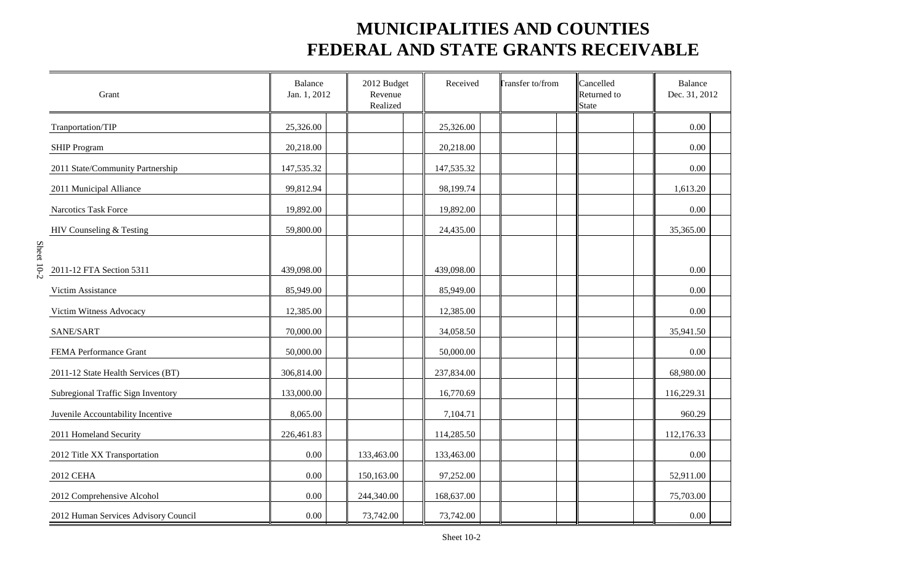| Grant                                | <b>Balance</b><br>Jan. 1, 2012 | 2012 Budget<br>Revenue<br>Realized | Received   | <b>Transfer to/from</b> | Cancelled<br>Returned to<br><b>State</b> | <b>Balance</b><br>Dec. 31, 2012 |
|--------------------------------------|--------------------------------|------------------------------------|------------|-------------------------|------------------------------------------|---------------------------------|
| Tranportation/TIP                    | 25,326.00                      |                                    | 25,326.00  |                         |                                          | 0.00                            |
| SHIP Program                         | 20,218.00                      |                                    | 20,218.00  |                         |                                          | 0.00                            |
| 2011 State/Community Partnership     | 147,535.32                     |                                    | 147,535.32 |                         |                                          | 0.00                            |
| 2011 Municipal Alliance              | 99,812.94                      |                                    | 98,199.74  |                         |                                          | 1,613.20                        |
| Narcotics Task Force                 | 19,892.00                      |                                    | 19,892.00  |                         |                                          | 0.00                            |
| HIV Counseling & Testing             | 59,800.00                      |                                    | 24,435.00  |                         |                                          | 35,365.00                       |
| 2011-12 FTA Section 5311             | 439,098.00                     |                                    | 439,098.00 |                         |                                          | 0.00                            |
| Victim Assistance                    | 85,949.00                      |                                    | 85,949.00  |                         |                                          | 0.00                            |
| Victim Witness Advocacy              | 12,385.00                      |                                    | 12,385.00  |                         |                                          | 0.00                            |
| SANE/SART                            | 70,000.00                      |                                    | 34,058.50  |                         |                                          | 35,941.50                       |
| FEMA Performance Grant               | 50,000.00                      |                                    | 50,000.00  |                         |                                          | 0.00                            |
| 2011-12 State Health Services (BT)   | 306,814.00                     |                                    | 237,834.00 |                         |                                          | 68,980.00                       |
| Subregional Traffic Sign Inventory   | 133,000.00                     |                                    | 16,770.69  |                         |                                          | 116,229.31                      |
| Juvenile Accountability Incentive    | 8,065.00                       |                                    | 7,104.71   |                         |                                          | 960.29                          |
| 2011 Homeland Security               | 226,461.83                     |                                    | 114,285.50 |                         |                                          | 112,176.33                      |
| 2012 Title XX Transportation         | 0.00                           | 133,463.00                         | 133,463.00 |                         |                                          | 0.00                            |
| 2012 CEHA                            | 0.00                           | 150,163.00                         | 97,252.00  |                         |                                          | 52,911.00                       |
| 2012 Comprehensive Alcohol           | 0.00                           | 244,340.00                         | 168,637.00 |                         |                                          | 75,703.00                       |
| 2012 Human Services Advisory Council | 0.00                           | 73,742.00                          | 73,742.00  |                         |                                          | 0.00                            |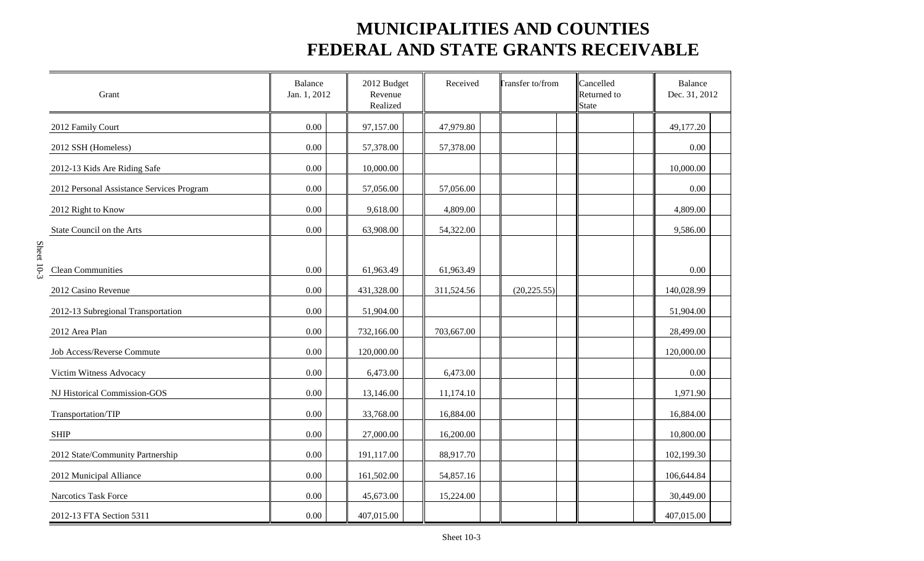| Grant                                     | <b>Balance</b><br>Jan. 1, 2012 | 2012 Budget<br>Revenue<br>Realized | Received   | <b>Transfer to/from</b> | Cancelled<br>Returned to<br><b>State</b> | <b>Balance</b><br>Dec. 31, 2012 |  |
|-------------------------------------------|--------------------------------|------------------------------------|------------|-------------------------|------------------------------------------|---------------------------------|--|
| 2012 Family Court                         | 0.00                           | 97,157.00                          | 47,979.80  |                         |                                          | 49,177.20                       |  |
| 2012 SSH (Homeless)                       | 0.00                           | 57,378.00                          | 57,378.00  |                         |                                          | 0.00                            |  |
| 2012-13 Kids Are Riding Safe              | 0.00                           | 10,000.00                          |            |                         |                                          | 10,000.00                       |  |
| 2012 Personal Assistance Services Program | 0.00                           | 57,056.00                          | 57,056.00  |                         |                                          | 0.00                            |  |
| 2012 Right to Know                        | 0.00                           | 9,618.00                           | 4,809.00   |                         |                                          | 4,809.00                        |  |
| State Council on the Arts                 | 0.00                           | 63,908.00                          | 54,322.00  |                         |                                          | 9,586.00                        |  |
|                                           |                                |                                    |            |                         |                                          |                                 |  |
| <b>Clean Communities</b>                  | 0.00                           | 61,963.49                          | 61,963.49  |                         |                                          | 0.00                            |  |
| 2012 Casino Revenue                       | 0.00                           | 431,328.00                         | 311,524.56 | (20, 225.55)            |                                          | 140,028.99                      |  |
| 2012-13 Subregional Transportation        | 0.00                           | 51,904.00                          |            |                         |                                          | 51,904.00                       |  |
| 2012 Area Plan                            | 0.00                           | 732,166.00                         | 703,667.00 |                         |                                          | 28,499.00                       |  |
| Job Access/Reverse Commute                | 0.00                           | 120,000.00                         |            |                         |                                          | 120,000.00                      |  |
| Victim Witness Advocacy                   | 0.00                           | 6,473.00                           | 6,473.00   |                         |                                          | 0.00                            |  |
| NJ Historical Commission-GOS              | 0.00                           | 13,146.00                          | 11,174.10  |                         |                                          | 1,971.90                        |  |
| Transportation/TIP                        | 0.00                           | 33,768.00                          | 16,884.00  |                         |                                          | 16,884.00                       |  |
| <b>SHIP</b>                               | 0.00                           | 27,000.00                          | 16,200.00  |                         |                                          | 10,800.00                       |  |
| 2012 State/Community Partnership          | 0.00                           | 191,117.00                         | 88,917.70  |                         |                                          | 102,199.30                      |  |
| 2012 Municipal Alliance                   | 0.00                           | 161,502.00                         | 54,857.16  |                         |                                          | 106,644.84                      |  |
| Narcotics Task Force                      | 0.00                           | 45,673.00                          | 15,224.00  |                         |                                          | 30,449.00                       |  |
| 2012-13 FTA Section 5311                  | 0.00                           | 407,015.00                         |            |                         |                                          | 407,015.00                      |  |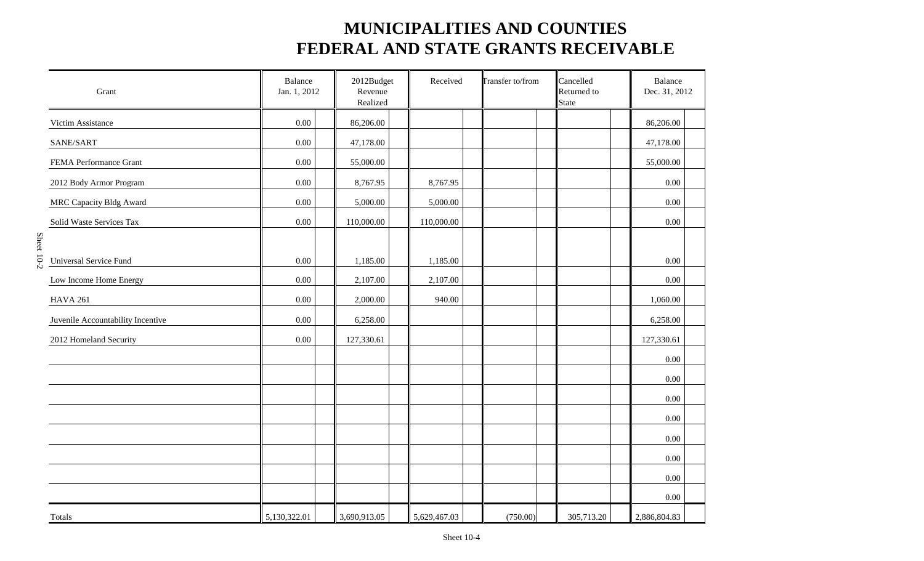| Grant                             | Balance<br>Jan. 1, 2012 | 2012Budget<br>Revenue<br>Realized | Received<br><b>Transfer to/from</b> |  |          | Cancelled<br>Returned to<br><b>State</b> | Balance<br>Dec. 31, 2012 |
|-----------------------------------|-------------------------|-----------------------------------|-------------------------------------|--|----------|------------------------------------------|--------------------------|
| Victim Assistance                 | 0.00                    | 86,206.00                         |                                     |  |          |                                          | 86,206.00                |
| SANE/SART                         | 0.00                    | 47,178.00                         |                                     |  |          |                                          | 47,178.00                |
| FEMA Performance Grant            | 0.00                    | 55,000.00                         |                                     |  |          |                                          | 55,000.00                |
| 2012 Body Armor Program           | 0.00                    | 8,767.95                          | 8,767.95                            |  |          |                                          | $0.00\,$                 |
| <b>MRC Capacity Bldg Award</b>    | $0.00\,$                | 5,000.00                          | 5,000.00                            |  |          |                                          | 0.00                     |
| Solid Waste Services Tax          | 0.00                    | 110,000.00                        | 110,000.00                          |  |          |                                          | 0.00                     |
| Universal Service Fund            | $0.00\,$                | 1,185.00                          | 1,185.00                            |  |          |                                          | 0.00                     |
| Low Income Home Energy            | 0.00                    | 2,107.00                          | 2,107.00                            |  |          |                                          | 0.00                     |
| <b>HAVA 261</b>                   | $0.00\,$                | 2,000.00                          | 940.00                              |  |          |                                          | 1,060.00                 |
| Juvenile Accountability Incentive | 0.00                    | 6,258.00                          |                                     |  |          |                                          | 6,258.00                 |
| 2012 Homeland Security            | $0.00\,$                | 127,330.61                        |                                     |  |          |                                          | 127,330.61               |
|                                   |                         |                                   |                                     |  |          |                                          | 0.00                     |
|                                   |                         |                                   |                                     |  |          |                                          | 0.00                     |
|                                   |                         |                                   |                                     |  |          |                                          | 0.00                     |
|                                   |                         |                                   |                                     |  |          |                                          | 0.00                     |
|                                   |                         |                                   |                                     |  |          |                                          | $0.00\,$                 |
|                                   |                         |                                   |                                     |  |          |                                          | 0.00                     |
|                                   |                         |                                   |                                     |  |          |                                          | 0.00                     |
|                                   |                         |                                   |                                     |  |          |                                          | 0.00                     |
| Totals                            | 5,130,322.01            | 3,690,913.05                      | 5,629,467.03                        |  | (750.00) | 305,713.20                               | 2,886,804.83             |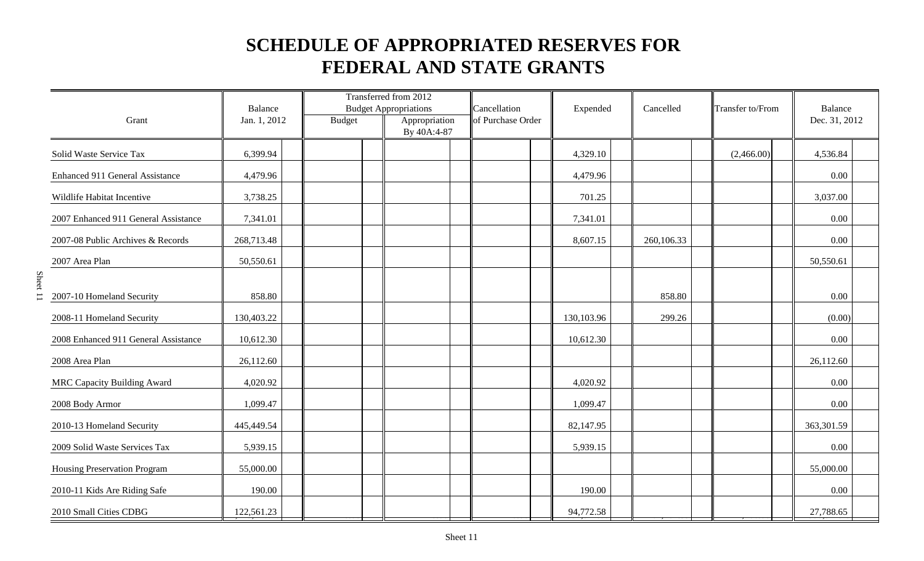| Grant                                | Balance<br>Jan. 1, 2012 | <b>Budget</b> | Transferred from 2012<br><b>Budget Appropriations</b><br>Appropriation<br>By 40A:4-87 | Cancellation<br>of Purchase Order | Expended   | Cancelled  | Transfer to/From | Balance<br>Dec. 31, 2012 |  |
|--------------------------------------|-------------------------|---------------|---------------------------------------------------------------------------------------|-----------------------------------|------------|------------|------------------|--------------------------|--|
| Solid Waste Service Tax              | 6,399.94                |               |                                                                                       |                                   | 4,329.10   |            | (2,466.00)       | 4,536.84                 |  |
| Enhanced 911 General Assistance      | 4,479.96                |               |                                                                                       |                                   | 4,479.96   |            |                  | 0.00                     |  |
| Wildlife Habitat Incentive           | 3,738.25                |               |                                                                                       |                                   | 701.25     |            |                  | 3,037.00                 |  |
| 2007 Enhanced 911 General Assistance | 7,341.01                |               |                                                                                       |                                   | 7,341.01   |            |                  | 0.00                     |  |
| 2007-08 Public Archives & Records    | 268,713.48              |               |                                                                                       |                                   | 8,607.15   | 260,106.33 |                  | 0.00                     |  |
| 2007 Area Plan                       | 50,550.61               |               |                                                                                       |                                   |            |            |                  | 50,550.61                |  |
| 2007-10 Homeland Security            | 858.80                  |               |                                                                                       |                                   |            | 858.80     |                  | 0.00                     |  |
| 2008-11 Homeland Security            | 130,403.22              |               |                                                                                       |                                   | 130,103.96 | 299.26     |                  | (0.00)                   |  |
| 2008 Enhanced 911 General Assistance | 10,612.30               |               |                                                                                       |                                   | 10,612.30  |            |                  | 0.00                     |  |
| 2008 Area Plan                       | 26,112.60               |               |                                                                                       |                                   |            |            |                  | 26,112.60                |  |
| <b>MRC Capacity Building Award</b>   | 4,020.92                |               |                                                                                       |                                   | 4,020.92   |            |                  | 0.00                     |  |
| 2008 Body Armor                      | 1,099.47                |               |                                                                                       |                                   | 1,099.47   |            |                  | 0.00                     |  |
| 2010-13 Homeland Security            | 445,449.54              |               |                                                                                       |                                   | 82,147.95  |            |                  | 363,301.59               |  |
| 2009 Solid Waste Services Tax        | 5,939.15                |               |                                                                                       |                                   | 5,939.15   |            |                  | 0.00                     |  |
| Housing Preservation Program         | 55,000.00               |               |                                                                                       |                                   |            |            |                  | 55,000.00                |  |
| 2010-11 Kids Are Riding Safe         | 190.00                  |               |                                                                                       |                                   | 190.00     |            |                  | 0.00                     |  |
| 2010 Small Cities CDBG               | 122,561.23              |               |                                                                                       |                                   | 94,772.58  |            |                  | 27,788.65                |  |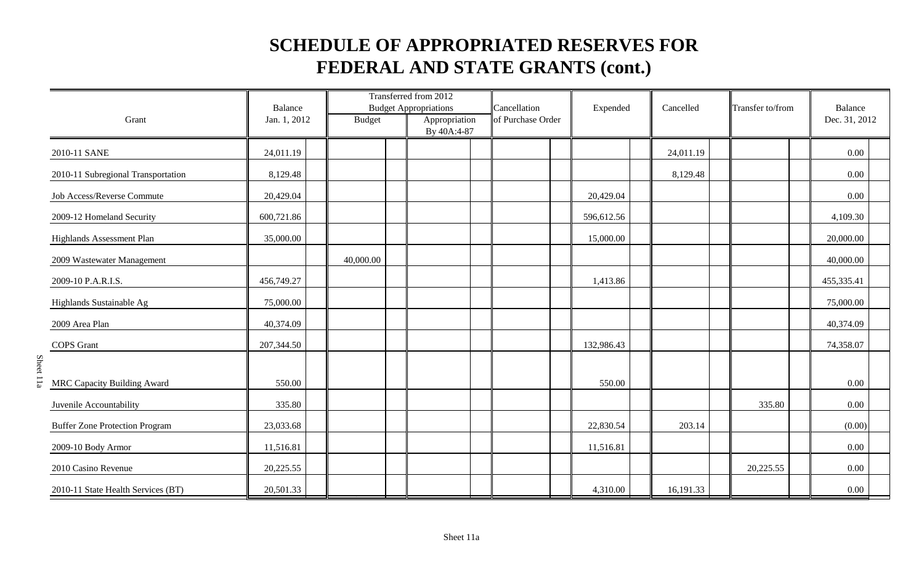|                                       | <b>Balance</b> |               | Transferred from 2012<br><b>Budget Appropriations</b> | Cancellation      | Expended   | Cancelled |  | Transfer to/from |  | <b>Balance</b> |  |
|---------------------------------------|----------------|---------------|-------------------------------------------------------|-------------------|------------|-----------|--|------------------|--|----------------|--|
| Grant                                 | Jan. 1, 2012   | <b>Budget</b> | Appropriation<br>By 40A:4-87                          | of Purchase Order |            |           |  |                  |  | Dec. 31, 2012  |  |
| 2010-11 SANE                          | 24,011.19      |               |                                                       |                   |            | 24,011.19 |  |                  |  | 0.00           |  |
| 2010-11 Subregional Transportation    | 8,129.48       |               |                                                       |                   |            | 8,129.48  |  |                  |  | 0.00           |  |
| Job Access/Reverse Commute            | 20,429.04      |               |                                                       |                   | 20,429.04  |           |  |                  |  | 0.00           |  |
| 2009-12 Homeland Security             | 600,721.86     |               |                                                       |                   | 596,612.56 |           |  |                  |  | 4,109.30       |  |
| Highlands Assessment Plan             | 35,000.00      |               |                                                       |                   | 15,000.00  |           |  |                  |  | 20,000.00      |  |
| 2009 Wastewater Management            |                | 40,000.00     |                                                       |                   |            |           |  |                  |  | 40,000.00      |  |
| 2009-10 P.A.R.I.S.                    | 456,749.27     |               |                                                       |                   | 1,413.86   |           |  |                  |  | 455,335.41     |  |
| Highlands Sustainable Ag              | 75,000.00      |               |                                                       |                   |            |           |  |                  |  | 75,000.00      |  |
| 2009 Area Plan                        | 40,374.09      |               |                                                       |                   |            |           |  |                  |  | 40,374.09      |  |
| <b>COPS</b> Grant                     | 207,344.50     |               |                                                       |                   | 132,986.43 |           |  |                  |  | 74,358.07      |  |
| MRC Capacity Building Award           | 550.00         |               |                                                       |                   | 550.00     |           |  |                  |  | 0.00           |  |
| Juvenile Accountability               | 335.80         |               |                                                       |                   |            |           |  | 335.80           |  | 0.00           |  |
| <b>Buffer Zone Protection Program</b> | 23,033.68      |               |                                                       |                   | 22,830.54  | 203.14    |  |                  |  | (0.00)         |  |
| 2009-10 Body Armor                    | 11,516.81      |               |                                                       |                   | 11,516.81  |           |  |                  |  | 0.00           |  |
| 2010 Casino Revenue                   | 20,225.55      |               |                                                       |                   |            |           |  | 20,225.55        |  | 0.00           |  |
| 2010-11 State Health Services (BT)    | 20,501.33      |               |                                                       |                   | 4,310.00   | 16,191.33 |  |                  |  | 0.00           |  |

Sheet 11a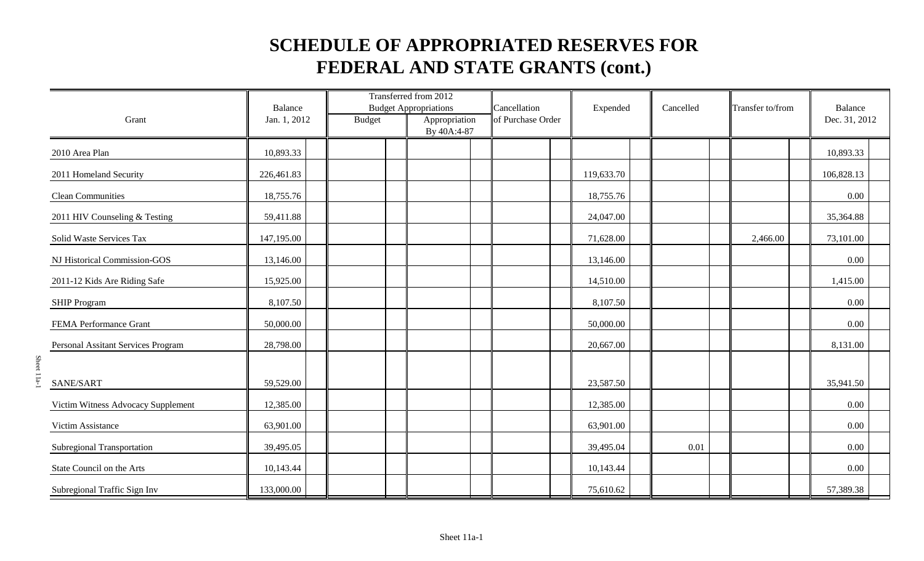|                                    | <b>Balance</b> |               | Transferred from 2012<br><b>Budget Appropriations</b> | Cancellation      | Expended   | Cancelled | Transfer to/from | Balance       |
|------------------------------------|----------------|---------------|-------------------------------------------------------|-------------------|------------|-----------|------------------|---------------|
| Grant                              | Jan. 1, 2012   | <b>Budget</b> | Appropriation<br>By 40A:4-87                          | of Purchase Order |            |           |                  | Dec. 31, 2012 |
| 2010 Area Plan                     | 10,893.33      |               |                                                       |                   |            |           |                  | 10,893.33     |
| 2011 Homeland Security             | 226,461.83     |               |                                                       |                   | 119,633.70 |           |                  | 106,828.13    |
| <b>Clean Communities</b>           | 18,755.76      |               |                                                       |                   | 18,755.76  |           |                  | 0.00          |
| 2011 HIV Counseling & Testing      | 59,411.88      |               |                                                       |                   | 24,047.00  |           |                  | 35,364.88     |
| Solid Waste Services Tax           | 147,195.00     |               |                                                       |                   | 71,628.00  |           | 2,466.00         | 73,101.00     |
| NJ Historical Commission-GOS       | 13,146.00      |               |                                                       |                   | 13,146.00  |           |                  | 0.00          |
| 2011-12 Kids Are Riding Safe       | 15,925.00      |               |                                                       |                   | 14,510.00  |           |                  | 1,415.00      |
| <b>SHIP Program</b>                | 8,107.50       |               |                                                       |                   | 8,107.50   |           |                  | 0.00          |
| FEMA Performance Grant             | 50,000.00      |               |                                                       |                   | 50,000.00  |           |                  | 0.00          |
| Personal Assitant Services Program | 28,798.00      |               |                                                       |                   | 20,667.00  |           |                  | 8,131.00      |
| SANE/SART                          | 59,529.00      |               |                                                       |                   | 23,587.50  |           |                  | 35,941.50     |
| Victim Witness Advocacy Supplement | 12,385.00      |               |                                                       |                   | 12,385.00  |           |                  | 0.00          |
| Victim Assistance                  | 63,901.00      |               |                                                       |                   | 63,901.00  |           |                  | 0.00          |
| Subregional Transportation         | 39,495.05      |               |                                                       |                   | 39,495.04  | 0.01      |                  | 0.00          |
| State Council on the Arts          | 10,143.44      |               |                                                       |                   | 10,143.44  |           |                  | 0.00          |
| Subregional Traffic Sign Inv       | 133,000.00     |               |                                                       |                   | 75,610.62  |           |                  | 57,389.38     |

Sheet 11a-1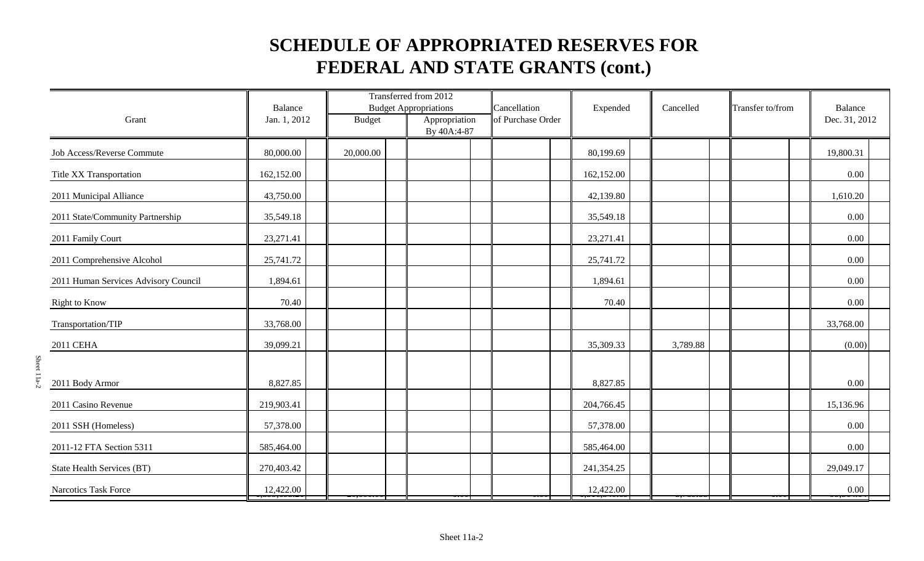|                                      | <b>Balance</b> |               | Transferred from 2012<br><b>Budget Appropriations</b> | Cancellation      | Expended   | Cancelled | Transfer to/from | <b>Balance</b> |
|--------------------------------------|----------------|---------------|-------------------------------------------------------|-------------------|------------|-----------|------------------|----------------|
| Grant                                | Jan. 1, 2012   | <b>Budget</b> | Appropriation<br>By 40A:4-87                          | of Purchase Order |            |           |                  | Dec. 31, 2012  |
| Job Access/Reverse Commute           | 80,000.00      | 20,000.00     |                                                       |                   | 80,199.69  |           |                  | 19,800.31      |
| Title XX Transportation              | 162,152.00     |               |                                                       |                   | 162,152.00 |           |                  | 0.00           |
| 2011 Municipal Alliance              | 43,750.00      |               |                                                       |                   | 42,139.80  |           |                  | 1,610.20       |
| 2011 State/Community Partnership     | 35,549.18      |               |                                                       |                   | 35,549.18  |           |                  | 0.00           |
| 2011 Family Court                    | 23,271.41      |               |                                                       |                   | 23,271.41  |           |                  | 0.00           |
| 2011 Comprehensive Alcohol           | 25,741.72      |               |                                                       |                   | 25,741.72  |           |                  | 0.00           |
| 2011 Human Services Advisory Council | 1,894.61       |               |                                                       |                   | 1,894.61   |           |                  | 0.00           |
| <b>Right to Know</b>                 | 70.40          |               |                                                       |                   | 70.40      |           |                  | 0.00           |
| Transportation/TIP                   | 33,768.00      |               |                                                       |                   |            |           |                  | 33,768.00      |
| 2011 CEHA                            | 39,099.21      |               |                                                       |                   | 35,309.33  | 3,789.88  |                  | (0.00)         |
| 2011 Body Armor                      | 8,827.85       |               |                                                       |                   | 8,827.85   |           |                  | 0.00           |
| 2011 Casino Revenue                  | 219,903.41     |               |                                                       |                   | 204,766.45 |           |                  | 15,136.96      |
| 2011 SSH (Homeless)                  | 57,378.00      |               |                                                       |                   | 57,378.00  |           |                  | 0.00           |
| 2011-12 FTA Section 5311             | 585,464.00     |               |                                                       |                   | 585,464.00 |           |                  | 0.00           |
| State Health Services (BT)           | 270,403.42     |               |                                                       |                   | 241,354.25 |           |                  | 29,049.17      |
| Narcotics Task Force                 | 12,422.00      |               |                                                       |                   | 12,422.00  |           |                  | 0.00           |

Sheet 11a-2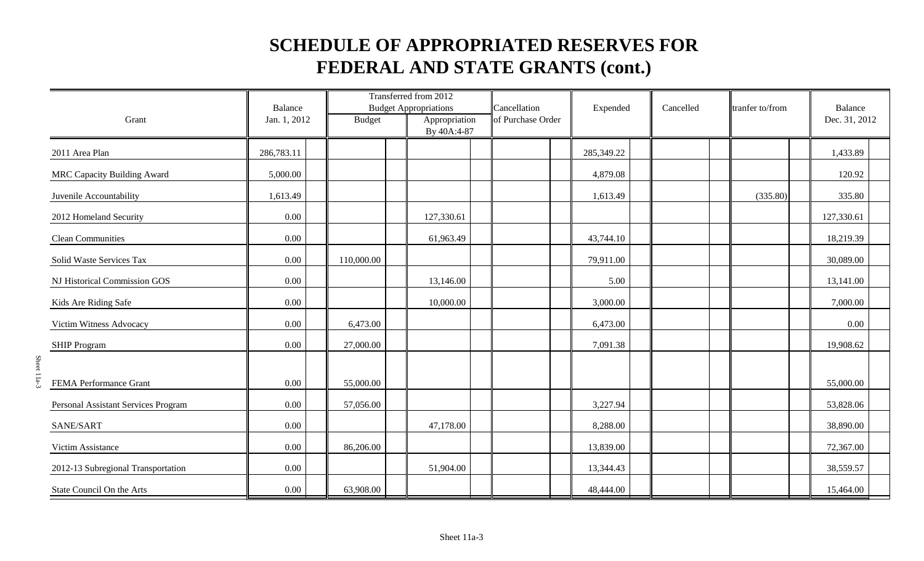|                                     | Balance      |               | Transferred from 2012<br><b>Budget Appropriations</b> | Cancellation      | Expended   | Cancelled | tranfer to/from | Balance       |
|-------------------------------------|--------------|---------------|-------------------------------------------------------|-------------------|------------|-----------|-----------------|---------------|
| Grant                               | Jan. 1, 2012 | <b>Budget</b> | Appropriation<br>By 40A:4-87                          | of Purchase Order |            |           |                 | Dec. 31, 2012 |
| 2011 Area Plan                      | 286,783.11   |               |                                                       |                   | 285,349.22 |           |                 | 1,433.89      |
| <b>MRC Capacity Building Award</b>  | 5,000.00     |               |                                                       |                   | 4,879.08   |           |                 | 120.92        |
| Juvenile Accountability             | 1,613.49     |               |                                                       |                   | 1,613.49   |           | (335.80)        | 335.80        |
| 2012 Homeland Security              | 0.00         |               | 127,330.61                                            |                   |            |           |                 | 127,330.61    |
| <b>Clean Communities</b>            | $0.00\,$     |               | 61,963.49                                             |                   | 43,744.10  |           |                 | 18,219.39     |
| Solid Waste Services Tax            | $0.00\,$     | 110,000.00    |                                                       |                   | 79,911.00  |           |                 | 30,089.00     |
| NJ Historical Commission GOS        | 0.00         |               | 13,146.00                                             |                   | 5.00       |           |                 | 13,141.00     |
| Kids Are Riding Safe                | $0.00\,$     |               | 10,000.00                                             |                   | 3,000.00   |           |                 | 7,000.00      |
| Victim Witness Advocacy             | 0.00         | 6,473.00      |                                                       |                   | 6,473.00   |           |                 | 0.00          |
| <b>SHIP Program</b>                 | 0.00         | 27,000.00     |                                                       |                   | 7,091.38   |           |                 | 19,908.62     |
| FEMA Performance Grant              | 0.00         | 55,000.00     |                                                       |                   |            |           |                 | 55,000.00     |
| Personal Assistant Services Program | 0.00         | 57,056.00     |                                                       |                   | 3,227.94   |           |                 | 53,828.06     |
| SANE/SART                           | $0.00\,$     |               | 47,178.00                                             |                   | 8,288.00   |           |                 | 38,890.00     |
| Victim Assistance                   | 0.00         | 86,206.00     |                                                       |                   | 13,839.00  |           |                 | 72,367.00     |
| 2012-13 Subregional Transportation  | $0.00\,$     |               | 51,904.00                                             |                   | 13,344.43  |           |                 | 38,559.57     |
| State Council On the Arts           | $0.00\,$     | 63,908.00     |                                                       |                   | 48,444.00  |           |                 | 15,464.00     |

Sheet 11a-3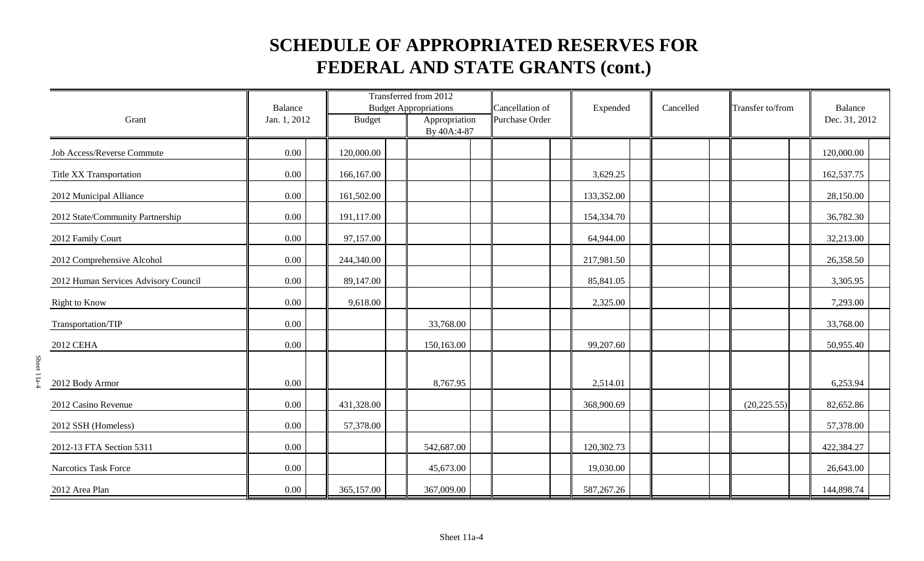|                                      | <b>Balance</b> |               | Transferred from 2012<br><b>Budget Appropriations</b> | Cancellation of | Expended     | Cancelled | Transfer to/from | <b>Balance</b> |
|--------------------------------------|----------------|---------------|-------------------------------------------------------|-----------------|--------------|-----------|------------------|----------------|
| Grant                                | Jan. 1, 2012   | <b>Budget</b> | Appropriation<br>By 40A:4-87                          | Purchase Order  |              |           |                  | Dec. 31, 2012  |
| Job Access/Reverse Commute           | 0.00           | 120,000.00    |                                                       |                 |              |           |                  | 120,000.00     |
| Title XX Transportation              | 0.00           | 166,167.00    |                                                       |                 | 3,629.25     |           |                  | 162,537.75     |
| 2012 Municipal Alliance              | 0.00           | 161,502.00    |                                                       |                 | 133,352.00   |           |                  | 28,150.00      |
| 2012 State/Community Partnership     | 0.00           | 191,117.00    |                                                       |                 | 154,334.70   |           |                  | 36,782.30      |
| 2012 Family Court                    | 0.00           | 97,157.00     |                                                       |                 | 64,944.00    |           |                  | 32,213.00      |
| 2012 Comprehensive Alcohol           | 0.00           | 244,340.00    |                                                       |                 | 217,981.50   |           |                  | 26,358.50      |
| 2012 Human Services Advisory Council | 0.00           | 89,147.00     |                                                       |                 | 85,841.05    |           |                  | 3,305.95       |
| <b>Right to Know</b>                 | 0.00           | 9,618.00      |                                                       |                 | 2,325.00     |           |                  | 7,293.00       |
| Transportation/TIP                   | 0.00           |               | 33,768.00                                             |                 |              |           |                  | 33,768.00      |
| 2012 CEHA                            | 0.00           |               | 150,163.00                                            |                 | 99,207.60    |           |                  | 50,955.40      |
|                                      |                |               |                                                       |                 |              |           |                  |                |
| 2012 Body Armor                      | 0.00           |               | 8,767.95                                              |                 | 2,514.01     |           |                  | 6,253.94       |
| 2012 Casino Revenue                  | 0.00           | 431,328.00    |                                                       |                 | 368,900.69   |           | (20, 225.55)     | 82,652.86      |
| 2012 SSH (Homeless)                  | 0.00           | 57,378.00     |                                                       |                 |              |           |                  | 57,378.00      |
| 2012-13 FTA Section 5311             | 0.00           |               | 542,687.00                                            |                 | 120,302.73   |           |                  | 422,384.27     |
| Narcotics Task Force                 | 0.00           |               | 45,673.00                                             |                 | 19,030.00    |           |                  | 26,643.00      |
| 2012 Area Plan                       | 0.00           | 365,157.00    | 367,009.00                                            |                 | 587, 267. 26 |           |                  | 144,898.74     |

Sheet 11a-4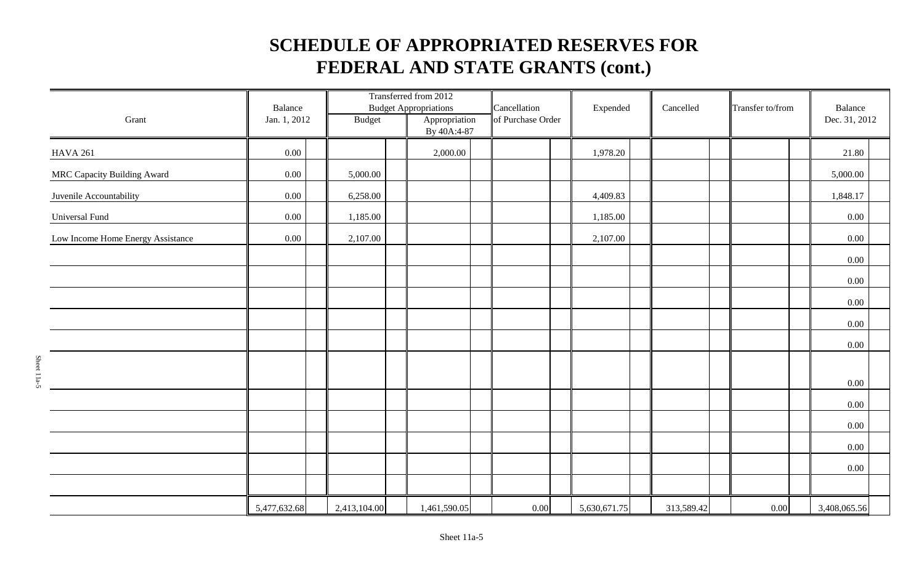| Grant                             | Balance<br>Jan. 1, 2012 |  | Transferred from 2012<br><b>Budget Appropriations</b><br><b>Budget</b><br>Appropriation |  | Cancellation<br>of Purchase Order |  | Expended |  | Cancelled    |  | Transfer to/from |  | Balance<br>Dec. 31, 2012 |  |              |  |
|-----------------------------------|-------------------------|--|-----------------------------------------------------------------------------------------|--|-----------------------------------|--|----------|--|--------------|--|------------------|--|--------------------------|--|--------------|--|
|                                   |                         |  |                                                                                         |  | By 40A:4-87                       |  |          |  |              |  |                  |  |                          |  |              |  |
| <b>HAVA 261</b>                   | $0.00\,$                |  |                                                                                         |  | 2,000.00                          |  |          |  | 1,978.20     |  |                  |  |                          |  | 21.80        |  |
| MRC Capacity Building Award       | $0.00\,$                |  | 5,000.00                                                                                |  |                                   |  |          |  |              |  |                  |  |                          |  | 5,000.00     |  |
| Juvenile Accountability           | $0.00\,$                |  | 6,258.00                                                                                |  |                                   |  |          |  | 4,409.83     |  |                  |  |                          |  | 1,848.17     |  |
| <b>Universal Fund</b>             | 0.00                    |  | 1,185.00                                                                                |  |                                   |  |          |  | 1,185.00     |  |                  |  |                          |  | 0.00         |  |
| Low Income Home Energy Assistance | 0.00                    |  | 2,107.00                                                                                |  |                                   |  |          |  | 2,107.00     |  |                  |  |                          |  | 0.00         |  |
|                                   |                         |  |                                                                                         |  |                                   |  |          |  |              |  |                  |  |                          |  | 0.00         |  |
|                                   |                         |  |                                                                                         |  |                                   |  |          |  |              |  |                  |  |                          |  | $0.00\,$     |  |
|                                   |                         |  |                                                                                         |  |                                   |  |          |  |              |  |                  |  |                          |  | 0.00         |  |
|                                   |                         |  |                                                                                         |  |                                   |  |          |  |              |  |                  |  |                          |  | 0.00         |  |
|                                   |                         |  |                                                                                         |  |                                   |  |          |  |              |  |                  |  |                          |  | 0.00         |  |
|                                   |                         |  |                                                                                         |  |                                   |  |          |  |              |  |                  |  |                          |  |              |  |
|                                   |                         |  |                                                                                         |  |                                   |  |          |  |              |  |                  |  |                          |  | 0.00         |  |
|                                   |                         |  |                                                                                         |  |                                   |  |          |  |              |  |                  |  |                          |  | 0.00         |  |
|                                   |                         |  |                                                                                         |  |                                   |  |          |  |              |  |                  |  |                          |  | 0.00         |  |
|                                   |                         |  |                                                                                         |  |                                   |  |          |  |              |  |                  |  |                          |  | 0.00         |  |
|                                   |                         |  |                                                                                         |  |                                   |  |          |  |              |  |                  |  |                          |  | $0.00\,$     |  |
|                                   |                         |  |                                                                                         |  |                                   |  |          |  |              |  |                  |  |                          |  |              |  |
|                                   | 5,477,632.68            |  | 2,413,104.00                                                                            |  | 1,461,590.05                      |  | 0.00     |  | 5,630,671.75 |  | 313,589.42       |  | 0.00                     |  | 3,408,065.56 |  |

Sheet 11a-5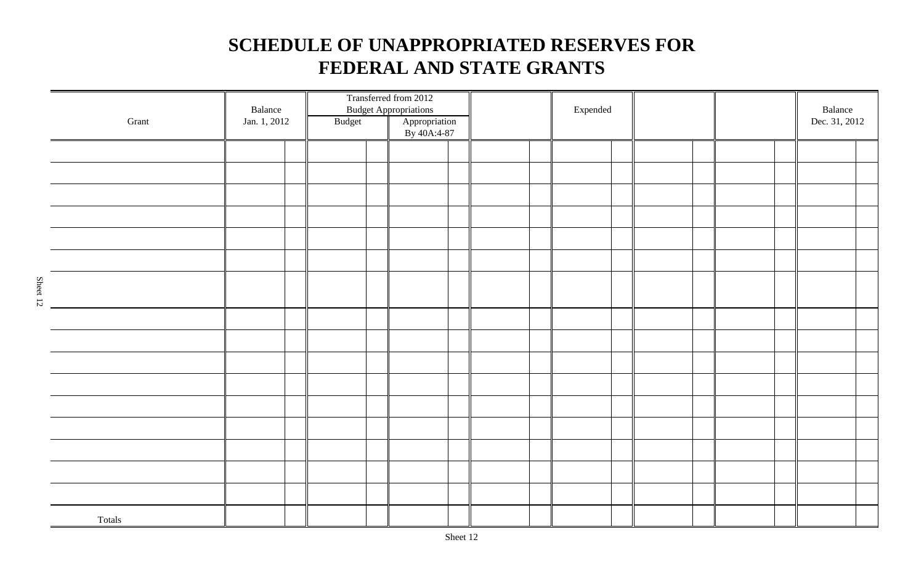| Grant  | Balance<br>Jan. 1, 2012 | Budget |  | Transferred from 2012<br><b>Budget Appropriations</b><br>Appropriation<br>By 40A:4-87 |  |  |  | Expended |  |  |  |  |  | Balance<br>Dec. 31, 2012 |  |
|--------|-------------------------|--------|--|---------------------------------------------------------------------------------------|--|--|--|----------|--|--|--|--|--|--------------------------|--|
|        |                         |        |  |                                                                                       |  |  |  |          |  |  |  |  |  |                          |  |
|        |                         |        |  |                                                                                       |  |  |  |          |  |  |  |  |  |                          |  |
|        |                         |        |  |                                                                                       |  |  |  |          |  |  |  |  |  |                          |  |
|        |                         |        |  |                                                                                       |  |  |  |          |  |  |  |  |  |                          |  |
|        |                         |        |  |                                                                                       |  |  |  |          |  |  |  |  |  |                          |  |
|        |                         |        |  |                                                                                       |  |  |  |          |  |  |  |  |  |                          |  |
|        |                         |        |  |                                                                                       |  |  |  |          |  |  |  |  |  |                          |  |
|        |                         |        |  |                                                                                       |  |  |  |          |  |  |  |  |  |                          |  |
|        |                         |        |  |                                                                                       |  |  |  |          |  |  |  |  |  |                          |  |
|        |                         |        |  |                                                                                       |  |  |  |          |  |  |  |  |  |                          |  |
|        |                         |        |  |                                                                                       |  |  |  |          |  |  |  |  |  |                          |  |
|        |                         |        |  |                                                                                       |  |  |  |          |  |  |  |  |  |                          |  |
|        |                         |        |  |                                                                                       |  |  |  |          |  |  |  |  |  |                          |  |
|        |                         |        |  |                                                                                       |  |  |  |          |  |  |  |  |  |                          |  |
|        |                         |        |  |                                                                                       |  |  |  |          |  |  |  |  |  |                          |  |
|        |                         |        |  |                                                                                       |  |  |  |          |  |  |  |  |  |                          |  |
| Totals |                         |        |  |                                                                                       |  |  |  |          |  |  |  |  |  |                          |  |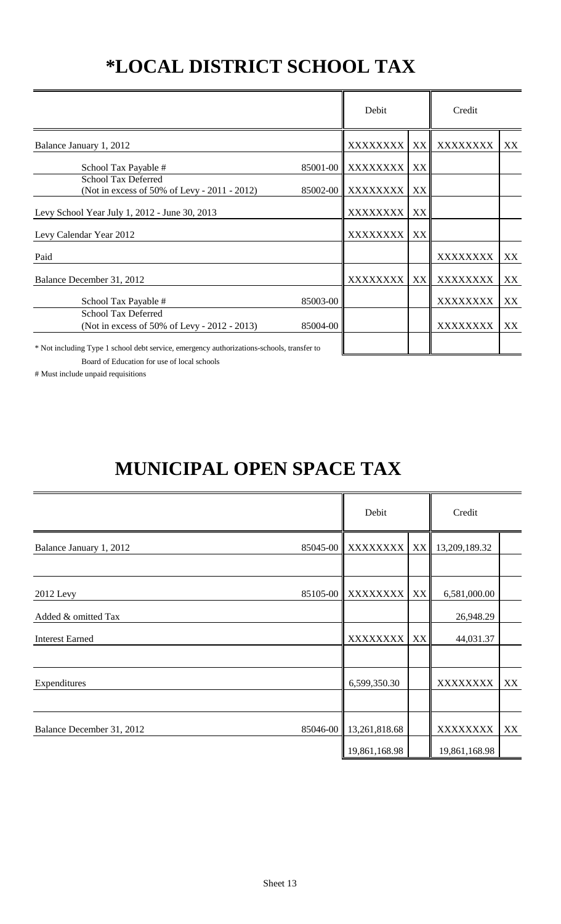# **\*LOCAL DISTRICT SCHOOL TAX**

|                                                                                           |          | Debit             |    | Credit          |    |
|-------------------------------------------------------------------------------------------|----------|-------------------|----|-----------------|----|
| Balance January 1, 2012                                                                   |          | XXXXXXXX          | XX | XXXXXXXX        | XX |
| School Tax Payable #                                                                      |          | 85001-00 XXXXXXXX | XX |                 |    |
| <b>School Tax Deferred</b><br>(Not in excess of 50% of Levy - 2011 - 2012)                |          | 85002-00 XXXXXXXX | XX |                 |    |
| Levy School Year July 1, 2012 - June 30, 2013                                             |          | XXXXXXXX          | XX |                 |    |
| Levy Calendar Year 2012                                                                   |          | XXXXXXXX          | XX |                 |    |
| Paid                                                                                      |          |                   |    | XXXXXXXX        | XX |
| Balance December 31, 2012                                                                 |          | XXXXXXXX          | XX | XXXXXXXX        | XX |
| School Tax Payable #                                                                      | 85003-00 |                   |    | <b>XXXXXXXX</b> | XX |
| <b>School Tax Deferred</b><br>(Not in excess of 50% of Levy - 2012 - 2013)                | 85004-00 |                   |    | XXXXXXXX        | XX |
| $*$ Not including Type 1 school debt service emergency authorizations schools transfer to |          |                   |    |                 |    |

Not including Type 1 school debt service, emergency authorizations-schools, transfer to

Board of Education for use of local schools

# Must include unpaid requisitions

# **MUNICIPAL OPEN SPACE TAX**

|                           |          | Debit                  |    | Credit           |    |
|---------------------------|----------|------------------------|----|------------------|----|
| Balance January 1, 2012   | 85045-00 | XXXXXXXX               |    | XX 13,209,189.32 |    |
|                           |          |                        |    |                  |    |
| 2012 Levy                 |          | 85105-00 XXXXXXXX      | XX | 6,581,000.00     |    |
| Added & omitted Tax       |          |                        |    | 26,948.29        |    |
| <b>Interest Earned</b>    |          | <b>XXXXXXXX</b>        | XX | 44,031.37        |    |
|                           |          |                        |    |                  |    |
| Expenditures              |          | 6,599,350.30           |    | XXXXXXXX         | XX |
|                           |          |                        |    |                  |    |
| Balance December 31, 2012 |          | 85046-00 13,261,818.68 |    | <b>XXXXXXXX</b>  | XX |
|                           |          | 19,861,168.98          |    | 19,861,168.98    |    |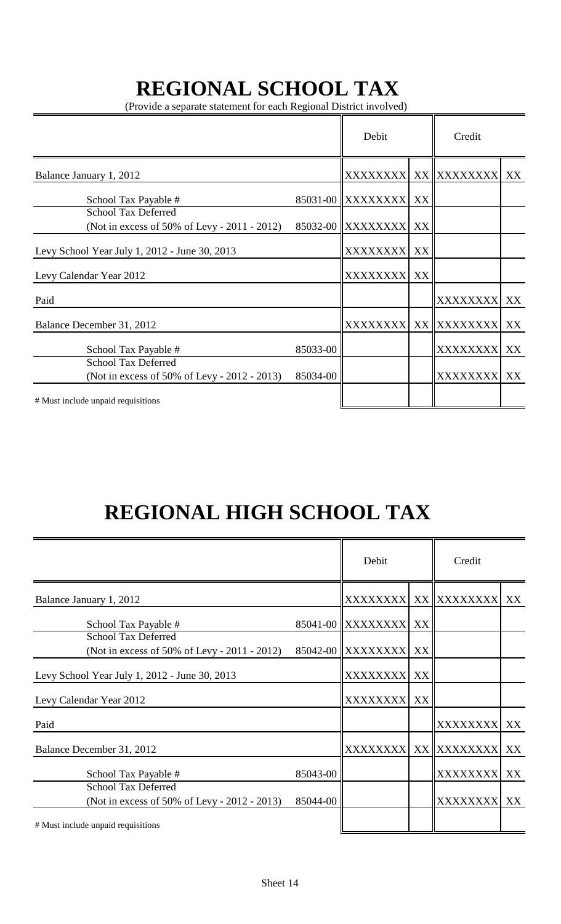# **REGIONAL SCHOOL TAX**

(Provide a separate statement for each Regional District involved)

|                                                                            | Debit    |                   | Credit |                 |    |
|----------------------------------------------------------------------------|----------|-------------------|--------|-----------------|----|
| Balance January 1, 2012                                                    |          | <b>XXXXXXXXI</b>  |        | XX XXXXXXXX     | XX |
| School Tax Payable #                                                       |          | 85031-00 XXXXXXXX | XX     |                 |    |
| <b>School Tax Deferred</b><br>(Not in excess of 50% of Levy - 2011 - 2012) |          | 85032-00 XXXXXXXX | XX     |                 |    |
| Levy School Year July 1, 2012 - June 30, 2013                              |          | <b>XXXXXXXX</b>   | XX     |                 |    |
| Levy Calendar Year 2012                                                    |          | <b>XXXXXXXX</b>   | XX     |                 |    |
| Paid                                                                       |          |                   |        | <b>XXXXXXXX</b> | XX |
| Balance December 31, 2012                                                  |          | <b>XXXXXXXX</b>   |        | XX XXXXXXXX     | XX |
| School Tax Payable #                                                       | 85033-00 |                   |        | <b>XXXXXXXX</b> | XX |
| <b>School Tax Deferred</b><br>(Not in excess of 50% of Levy - 2012 - 2013) | 85034-00 |                   |        | <b>XXXXXXXX</b> | XX |
| # Must include unpaid requisitions                                         |          |                   |        |                 |    |

# **REGIONAL HIGH SCHOOL TAX**

|                                                                            |          | Debit             |    | Credit          |    |
|----------------------------------------------------------------------------|----------|-------------------|----|-----------------|----|
| Balance January 1, 2012                                                    |          | <b>XXXXXXXXI</b>  |    | XX XXXXXXXX     | XX |
| School Tax Payable #                                                       |          | 85041-00 XXXXXXXX | XX |                 |    |
| <b>School Tax Deferred</b><br>(Not in excess of 50% of Levy - 2011 - 2012) |          | 85042-00 XXXXXXXX | XX |                 |    |
| Levy School Year July 1, 2012 - June 30, 2013                              |          | <b>XXXXXXXXI</b>  | XX |                 |    |
| Levy Calendar Year 2012                                                    |          | <b>XXXXXXXX</b>   | XX |                 |    |
| Paid                                                                       |          |                   |    | XXXXXXXX XX     |    |
| Balance December 31, 2012                                                  |          | <b>XXXXXXXX</b>   |    | XX XXXXXXXX XX  |    |
| School Tax Payable #                                                       | 85043-00 |                   |    | <b>XXXXXXXX</b> | XX |
| <b>School Tax Deferred</b><br>(Not in excess of 50% of Levy - 2012 - 2013) | 85044-00 |                   |    | XXXXXXXX XX     |    |
| # Must include unpaid requisitions                                         |          |                   |    |                 |    |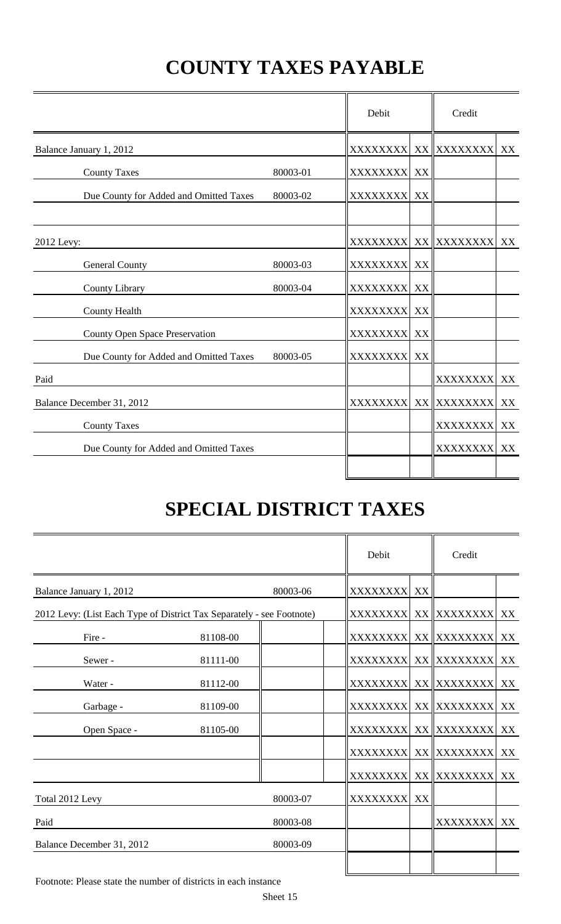# **COUNTY TAXES PAYABLE**

|                                        |          | Debit            |    | Credit                |    |
|----------------------------------------|----------|------------------|----|-----------------------|----|
| Balance January 1, 2012                |          | XXXXXXXX         |    | XX XXXXXXXX           | XX |
| <b>County Taxes</b>                    | 80003-01 | XXXXXXXX XX      |    |                       |    |
| Due County for Added and Omitted Taxes | 80003-02 | XXXXXXXX         | XX |                       |    |
| 2012 Levy:                             |          |                  |    | XXXXXXXX  XX XXXXXXXX | XX |
| <b>General County</b>                  | 80003-03 | <b>XXXXXXXX</b>  | XX |                       |    |
| County Library                         | 80003-04 | <b>XXXXXXXXI</b> | XX |                       |    |
| <b>County Health</b>                   |          | <b>XXXXXXXX</b>  | XX |                       |    |
| <b>County Open Space Preservation</b>  |          | XXXXXXXX XX      |    |                       |    |
| Due County for Added and Omitted Taxes | 80003-05 | <b>XXXXXXXXI</b> | XX |                       |    |
| Paid                                   |          |                  |    | XXXXXXXX XX           |    |
| Balance December 31, 2012              |          | <b>XXXXXXXXI</b> |    | XX XXXXXXXX           | XX |
| <b>County Taxes</b>                    |          |                  |    | <b>XXXXXXXXI</b>      | XX |
| Due County for Added and Omitted Taxes |          |                  |    | <b>XXXXXXXXI</b>      | XX |
|                                        |          |                  |    |                       |    |

# **SPECIAL DISTRICT TAXES**

|                                                                       |          |          | Debit       |    | Credit                  |    |
|-----------------------------------------------------------------------|----------|----------|-------------|----|-------------------------|----|
| Balance January 1, 2012                                               |          | 80003-06 | XXXXXXXX XX |    |                         |    |
| 2012 Levy: (List Each Type of District Tax Separately - see Footnote) |          |          |             |    | XXXXXXXX  XX XXXXXXXX   | XX |
| Fire -                                                                | 81108-00 |          |             |    | XXXXXXXX  XX   XXXXXXXX | XX |
| Sewer-                                                                | 81111-00 |          |             |    | XXXXXXXX  XX XXXXXXXX   | XX |
| Water -                                                               | 81112-00 |          |             |    | XXXXXXXX  XX   XXXXXXXX | XX |
| Garbage -                                                             | 81109-00 |          |             |    | XXXXXXXX  XX XXXXXXXX   | XX |
| Open Space -                                                          | 81105-00 |          |             |    | XXXXXXXX  XX XXXXXXXX   | XX |
|                                                                       |          |          |             |    | XXXXXXXX  XX XXXXXXXX   | XX |
|                                                                       |          |          |             |    | XXXXXXXX  XX XXXXXXXX   | XX |
| Total 2012 Levy                                                       |          | 80003-07 | XXXXXXXX    | XX |                         |    |
| Paid                                                                  |          | 80003-08 |             |    | XXXXXXXX XX             |    |
| Balance December 31, 2012                                             |          | 80003-09 |             |    |                         |    |
|                                                                       |          |          |             |    |                         |    |

Footnote: Please state the number of districts in each instance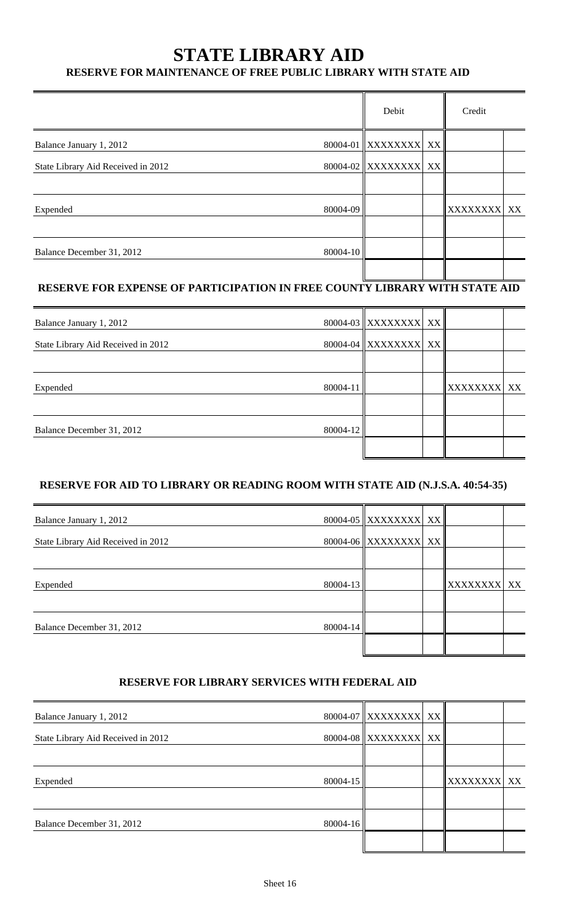### **STATE LIBRARY AID**

#### **RESERVE FOR MAINTENANCE OF FREE PUBLIC LIBRARY WITH STATE AID**

| XXXXXXXX XX |
|-------------|
|             |
|             |
|             |

### **RESERVE FOR EXPENSE OF PARTICIPATION IN FREE COUNTY LIBRARY WITH STATE AID**

| Balance January 1, 2012            |          | 80004-03 XXXXXXXX XX |             |  |
|------------------------------------|----------|----------------------|-------------|--|
| State Library Aid Received in 2012 |          | 80004-04 XXXXXXXX XX |             |  |
|                                    |          |                      |             |  |
| Expended                           | 80004-11 |                      | XXXXXXXX XX |  |
|                                    |          |                      |             |  |
| Balance December 31, 2012          | 80004-12 |                      |             |  |
|                                    |          |                      |             |  |

#### **RESERVE FOR AID TO LIBRARY OR READING ROOM WITH STATE AID (N.J.S.A. 40:54-35)**

| Balance January 1, 2012            |          | 80004-05 XXXXXXXX XX |             |  |
|------------------------------------|----------|----------------------|-------------|--|
| State Library Aid Received in 2012 |          | 80004-06 XXXXXXXX XX |             |  |
|                                    |          |                      |             |  |
| Expended                           | 80004-13 |                      | XXXXXXXX XX |  |
|                                    |          |                      |             |  |
| Balance December 31, 2012          | 80004-14 |                      |             |  |
|                                    |          |                      |             |  |

#### **RESERVE FOR LIBRARY SERVICES WITH FEDERAL AID**

| Balance January 1, 2012            |          | 80004-07 XXXXXXXX XX |                 |    |
|------------------------------------|----------|----------------------|-----------------|----|
| State Library Aid Received in 2012 |          | 80004-08 XXXXXXXX XX |                 |    |
|                                    |          |                      |                 |    |
| Expended                           | 80004-15 |                      | <b>XXXXXXXX</b> | XX |
|                                    |          |                      |                 |    |
| Balance December 31, 2012          | 80004-16 |                      |                 |    |
|                                    |          |                      |                 |    |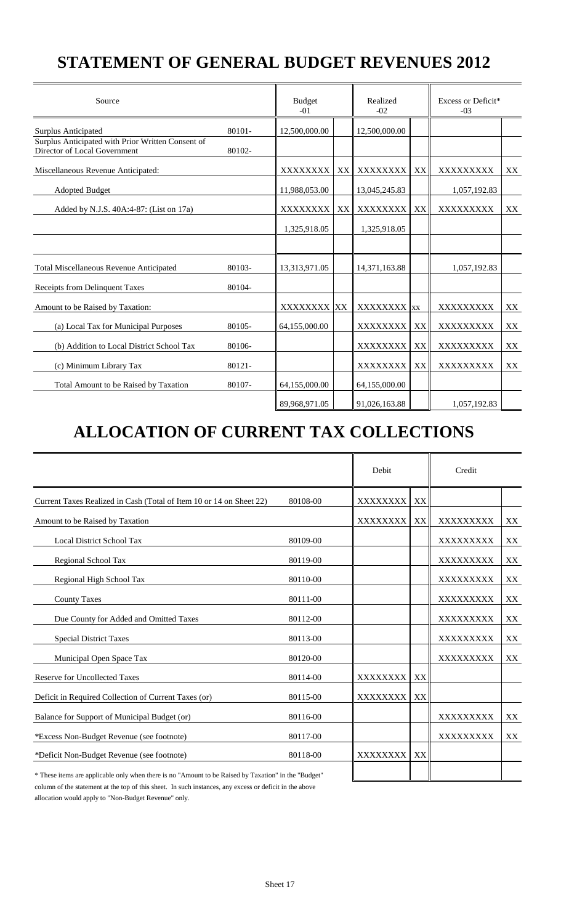## **STATEMENT OF GENERAL BUDGET REVENUES 2012**

| Source                                                                            |        | <b>Budget</b><br>$-01$ |      |                 | Realized<br>$-02$ |                  | Excess or Deficit*<br>$-03$ |  |  |
|-----------------------------------------------------------------------------------|--------|------------------------|------|-----------------|-------------------|------------------|-----------------------------|--|--|
| Surplus Anticipated                                                               | 80101- | 12,500,000.00          |      | 12,500,000.00   |                   |                  |                             |  |  |
| Surplus Anticipated with Prior Written Consent of<br>Director of Local Government | 80102- |                        |      |                 |                   |                  |                             |  |  |
| Miscellaneous Revenue Anticipated:                                                |        | XXXXXXXX               | XX I | XXXXXXXX        | XX                | XXXXXXXXX        | XX                          |  |  |
| <b>Adopted Budget</b>                                                             |        | 11,988,053.00          |      | 13,045,245.83   |                   | 1,057,192.83     |                             |  |  |
| Added by N.J.S. 40A:4-87: (List on 17a)                                           |        | XXXXXXXX               | XX   | XXXXXXXX        | XX                | XXXXXXXXX        | XX                          |  |  |
|                                                                                   |        | 1,325,918.05           |      | 1,325,918.05    |                   |                  |                             |  |  |
|                                                                                   |        |                        |      |                 |                   |                  |                             |  |  |
| <b>Total Miscellaneous Revenue Anticipated</b>                                    | 80103- | 13,313,971.05          |      | 14,371,163.88   |                   | 1,057,192.83     |                             |  |  |
| Receipts from Delinquent Taxes                                                    | 80104- |                        |      |                 |                   |                  |                             |  |  |
| Amount to be Raised by Taxation:                                                  |        | XXXXXXXX XX            |      | <b>XXXXXXXX</b> | <b>XX</b>         | <b>XXXXXXXXX</b> | XX                          |  |  |
| (a) Local Tax for Municipal Purposes                                              | 80105- | 64,155,000.00          |      | XXXXXXXX        | XX                | XXXXXXXXX        | XX                          |  |  |
| (b) Addition to Local District School Tax                                         | 80106- |                        |      | XXXXXXXX        | XX                | XXXXXXXXX        | XX                          |  |  |
| (c) Minimum Library Tax                                                           | 80121- |                        |      | <b>XXXXXXXX</b> | XX                | XXXXXXXXX        | XX                          |  |  |
| Total Amount to be Raised by Taxation                                             | 80107- | 64,155,000.00          |      | 64,155,000.00   |                   |                  |                             |  |  |
|                                                                                   |        | 89,968,971.05          |      | 91,026,163.88   |                   | 1,057,192.83     |                             |  |  |

## **ALLOCATION OF CURRENT TAX COLLECTIONS**

|                                                                                                      |          | Debit           |    | Credit    |    |
|------------------------------------------------------------------------------------------------------|----------|-----------------|----|-----------|----|
| Current Taxes Realized in Cash (Total of Item 10 or 14 on Sheet 22)                                  | 80108-00 | XXXXXXXX        | XX |           |    |
| Amount to be Raised by Taxation                                                                      |          | XXXXXXXX        | XX | XXXXXXXXX | XX |
| <b>Local District School Tax</b>                                                                     | 80109-00 |                 |    | XXXXXXXXX | XX |
| Regional School Tax                                                                                  | 80119-00 |                 |    | XXXXXXXXX | XX |
| Regional High School Tax                                                                             | 80110-00 |                 |    | XXXXXXXXX | XX |
| <b>County Taxes</b>                                                                                  | 80111-00 |                 |    | XXXXXXXXX | XX |
| Due County for Added and Omitted Taxes                                                               | 80112-00 |                 |    | XXXXXXXXX | XX |
| <b>Special District Taxes</b>                                                                        | 80113-00 |                 |    | XXXXXXXXX | XX |
| Municipal Open Space Tax                                                                             | 80120-00 |                 |    | XXXXXXXXX | XX |
| <b>Reserve for Uncollected Taxes</b>                                                                 | 80114-00 | XXXXXXXX        | XX |           |    |
| Deficit in Required Collection of Current Taxes (or)                                                 | 80115-00 | <b>XXXXXXXX</b> | XX |           |    |
| Balance for Support of Municipal Budget (or)                                                         | 80116-00 |                 |    | XXXXXXXXX | XX |
| *Excess Non-Budget Revenue (see footnote)                                                            | 80117-00 |                 |    | XXXXXXXXX | XX |
| *Deficit Non-Budget Revenue (see footnote)                                                           | 80118-00 | <b>XXXXXXXX</b> | XX |           |    |
| * These items are applicable only when there is no "Amount to be Raised by Taxation" in the "Budget" |          |                 |    |           |    |

column of the statement at the top of this sheet. In such instances, any excess or deficit in the above allocation would apply to "Non-Budget Revenue" only.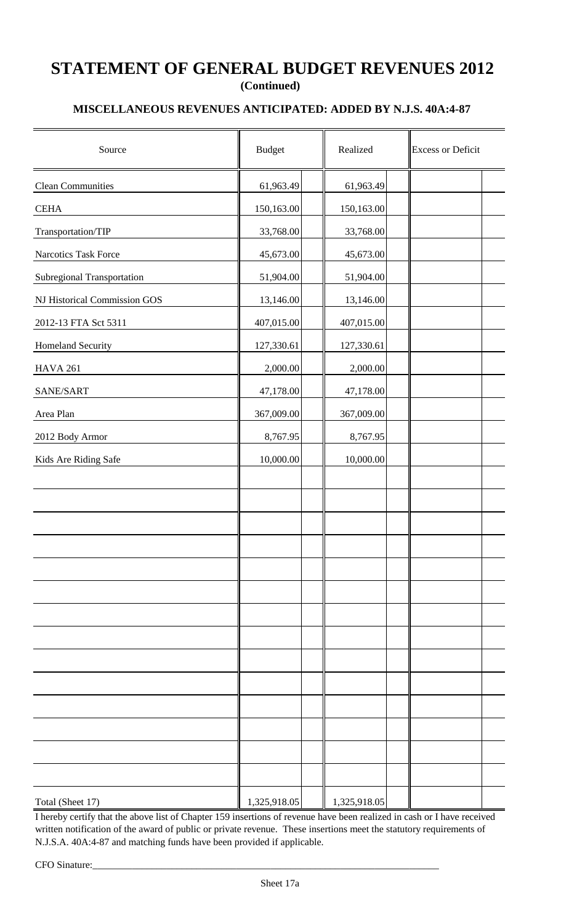### **STATEMENT OF GENERAL BUDGET REVENUES 2012 (Continued)**

#### **MISCELLANEOUS REVENUES ANTICIPATED: ADDED BY N.J.S. 40A:4-87**

| Source                            | <b>Budget</b> | Realized     | <b>Excess or Deficit</b> |
|-----------------------------------|---------------|--------------|--------------------------|
| <b>Clean Communities</b>          | 61,963.49     | 61,963.49    |                          |
| <b>CEHA</b>                       | 150,163.00    | 150,163.00   |                          |
| Transportation/TIP                | 33,768.00     | 33,768.00    |                          |
| Narcotics Task Force              | 45,673.00     | 45,673.00    |                          |
| <b>Subregional Transportation</b> | 51,904.00     | 51,904.00    |                          |
| NJ Historical Commission GOS      | 13,146.00     | 13,146.00    |                          |
| 2012-13 FTA Sct 5311              | 407,015.00    | 407,015.00   |                          |
| Homeland Security                 | 127,330.61    | 127,330.61   |                          |
| <b>HAVA 261</b>                   | 2,000.00      | 2,000.00     |                          |
| SANE/SART                         | 47,178.00     | 47,178.00    |                          |
| Area Plan                         | 367,009.00    | 367,009.00   |                          |
| 2012 Body Armor                   | 8,767.95      | 8,767.95     |                          |
| Kids Are Riding Safe              | 10,000.00     | 10,000.00    |                          |
|                                   |               |              |                          |
|                                   |               |              |                          |
|                                   |               |              |                          |
|                                   |               |              |                          |
|                                   |               |              |                          |
|                                   |               |              |                          |
|                                   |               |              |                          |
|                                   |               |              |                          |
|                                   |               |              |                          |
|                                   |               |              |                          |
|                                   |               |              |                          |
|                                   |               |              |                          |
|                                   |               |              |                          |
|                                   |               |              |                          |
| Total (Sheet 17)                  | 1,325,918.05  | 1,325,918.05 |                          |

I hereby certify that the above list of Chapter 159 insertions of revenue have been realized in cash or I have received written notification of the award of public or private revenue. These insertions meet the statutory requirements of N.J.S.A. 40A:4-87 and matching funds have been provided if applicable.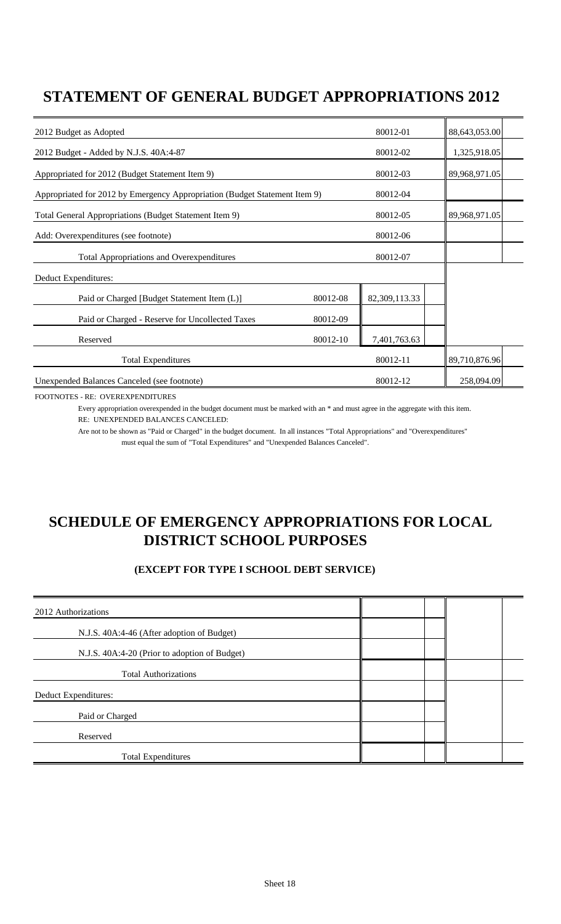### **STATEMENT OF GENERAL BUDGET APPROPRIATIONS 2012**

| 2012 Budget as Adopted                                                     |          | 80012-01      | 88,643,053.00 |  |
|----------------------------------------------------------------------------|----------|---------------|---------------|--|
| 2012 Budget - Added by N.J.S. 40A:4-87                                     |          | 80012-02      | 1,325,918.05  |  |
| Appropriated for 2012 (Budget Statement Item 9)                            |          | 80012-03      | 89,968,971.05 |  |
| Appropriated for 2012 by Emergency Appropriation (Budget Statement Item 9) |          | 80012-04      |               |  |
| Total General Appropriations (Budget Statement Item 9)                     |          | 80012-05      | 89,968,971.05 |  |
| Add: Overexpenditures (see footnote)                                       |          | 80012-06      |               |  |
| <b>Total Appropriations and Overexpenditures</b>                           |          | 80012-07      |               |  |
| Deduct Expenditures:                                                       |          |               |               |  |
| Paid or Charged [Budget Statement Item (L)]                                | 80012-08 | 82,309,113.33 |               |  |
| Paid or Charged - Reserve for Uncollected Taxes                            | 80012-09 |               |               |  |
| Reserved                                                                   | 80012-10 | 7,401,763.63  |               |  |
| <b>Total Expenditures</b>                                                  |          | 80012-11      | 89,710,876.96 |  |
| Unexpended Balances Canceled (see footnote)                                |          | 80012-12      | 258,094.09    |  |

FOOTNOTES - RE: OVEREXPENDITURES

Every appropriation overexpended in the budget document must be marked with an \* and must agree in the aggregate with this item. RE: UNEXPENDED BALANCES CANCELED:

Are not to be shown as "Paid or Charged" in the budget document. In all instances "Total Appropriations" and "Overexpenditures" must equal the sum of "Total Expenditures" and "Unexpended Balances Canceled".

### **SCHEDULE OF EMERGENCY APPROPRIATIONS FOR LOCAL DISTRICT SCHOOL PURPOSES**

#### **(EXCEPT FOR TYPE I SCHOOL DEBT SERVICE)**

| 2012 Authorizations                           |  |  |
|-----------------------------------------------|--|--|
| N.J.S. 40A:4-46 (After adoption of Budget)    |  |  |
| N.J.S. 40A:4-20 (Prior to adoption of Budget) |  |  |
| <b>Total Authorizations</b>                   |  |  |
| Deduct Expenditures:                          |  |  |
| Paid or Charged                               |  |  |
| Reserved                                      |  |  |
| <b>Total Expenditures</b>                     |  |  |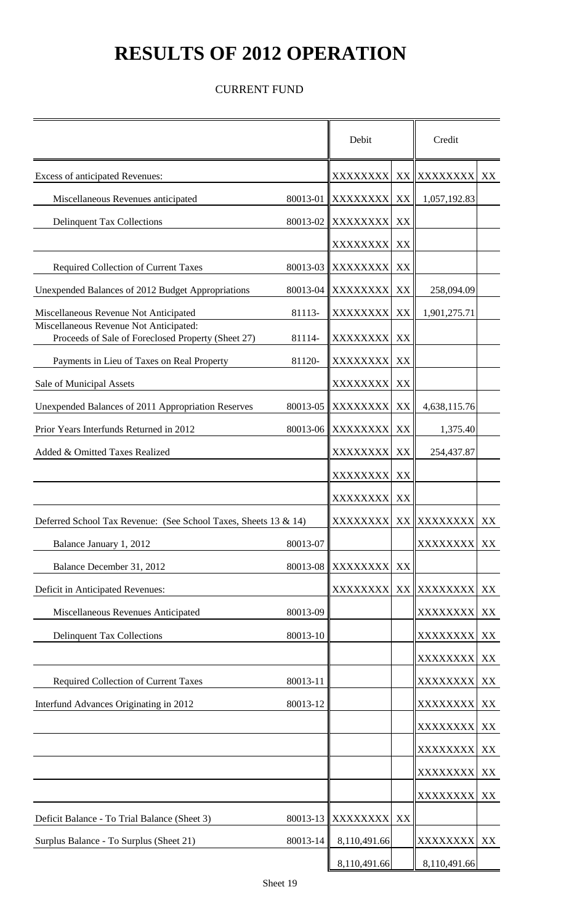# **RESULTS OF 2012 OPERATION**

#### CURRENT FUND

|                                                                                              |          | Debit           |    | Credit          |    |
|----------------------------------------------------------------------------------------------|----------|-----------------|----|-----------------|----|
| Excess of anticipated Revenues:                                                              |          | XXXXXXXX        |    | XX XXXXXXXX     | XX |
| Miscellaneous Revenues anticipated                                                           | 80013-01 | XXXXXXXX        | XX | 1,057,192.83    |    |
| <b>Delinquent Tax Collections</b>                                                            | 80013-02 | <b>XXXXXXXX</b> | XX |                 |    |
|                                                                                              |          | <b>XXXXXXXX</b> | XX |                 |    |
| <b>Required Collection of Current Taxes</b>                                                  | 80013-03 | <b>XXXXXXXX</b> | XX |                 |    |
| Unexpended Balances of 2012 Budget Appropriations                                            | 80013-04 | XXXXXXXX        | XX | 258,094.09      |    |
| Miscellaneous Revenue Not Anticipated                                                        | 81113-   | XXXXXXXX        | XX | 1,901,275.71    |    |
| Miscellaneous Revenue Not Anticipated:<br>Proceeds of Sale of Foreclosed Property (Sheet 27) | 81114-   | XXXXXXXX        | XX |                 |    |
| Payments in Lieu of Taxes on Real Property                                                   | 81120-   | XXXXXXXX        | XX |                 |    |
| Sale of Municipal Assets                                                                     |          | XXXXXXXX        | XX |                 |    |
| Unexpended Balances of 2011 Appropriation Reserves                                           | 80013-05 | XXXXXXXX        | XX | 4,638,115.76    |    |
| Prior Years Interfunds Returned in 2012                                                      | 80013-06 | XXXXXXXX        | XX | 1,375.40        |    |
| Added & Omitted Taxes Realized                                                               |          | XXXXXXXX        | XX | 254,437.87      |    |
|                                                                                              |          | <b>XXXXXXXX</b> | XX |                 |    |
|                                                                                              |          | <b>XXXXXXXX</b> | XX |                 |    |
| Deferred School Tax Revenue: (See School Taxes, Sheets 13 & 14)                              |          | <b>XXXXXXXX</b> |    | XX XXXXXXXX     | XX |
| Balance January 1, 2012                                                                      | 80013-07 |                 |    | XXXXXXXX        | XX |
| Balance December 31, 2012                                                                    | 80013-08 | XXXXXXXX        | XX |                 |    |
| Deficit in Anticipated Revenues:                                                             |          | XXXXXXXX        |    | XX XXXXXXXX     | XX |
| Miscellaneous Revenues Anticipated                                                           | 80013-09 |                 |    | <b>XXXXXXXX</b> | XX |
| <b>Delinquent Tax Collections</b>                                                            | 80013-10 |                 |    | XXXXXXXX XX     |    |
|                                                                                              |          |                 |    | <b>XXXXXXXX</b> | XX |
| Required Collection of Current Taxes                                                         | 80013-11 |                 |    | XXXXXXXX        | XX |
| Interfund Advances Originating in 2012                                                       | 80013-12 |                 |    | XXXXXXXX        | XX |
|                                                                                              |          |                 |    | XXXXXXXX        | XX |
|                                                                                              |          |                 |    | <b>XXXXXXXX</b> | XX |
|                                                                                              |          |                 |    | XXXXXXXX XX     |    |
|                                                                                              |          |                 |    | <b>XXXXXXXX</b> | XX |
| Deficit Balance - To Trial Balance (Sheet 3)                                                 | 80013-13 | XXXXXXXX        | XX |                 |    |
| Surplus Balance - To Surplus (Sheet 21)                                                      | 80013-14 | 8,110,491.66    |    | XXXXXXXX        | XX |
|                                                                                              |          | 8,110,491.66    |    | 8,110,491.66    |    |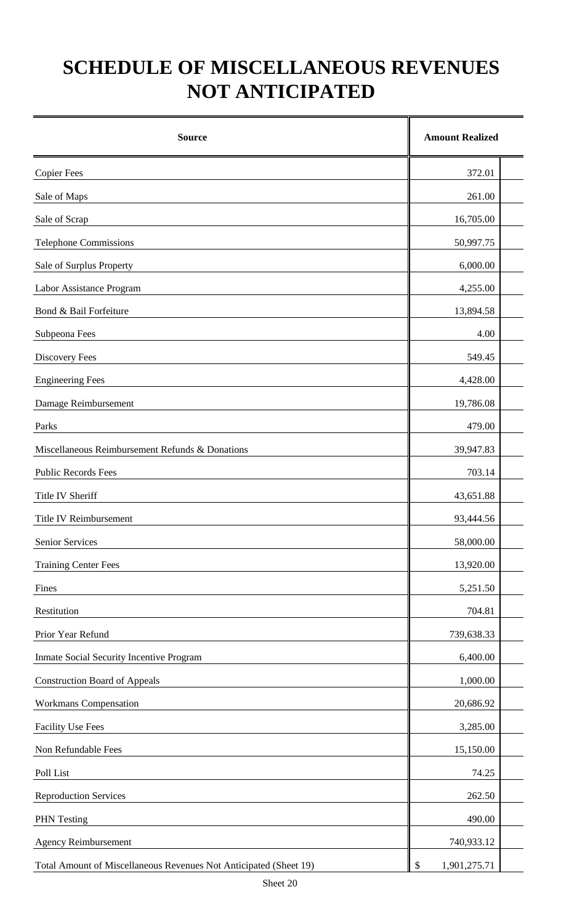# **SCHEDULE OF MISCELLANEOUS REVENUES NOT ANTICIPATED**

| <b>Source</b>                                                     | <b>Amount Realized</b> |
|-------------------------------------------------------------------|------------------------|
| <b>Copier Fees</b>                                                | 372.01                 |
| Sale of Maps                                                      | 261.00                 |
| Sale of Scrap                                                     | 16,705.00              |
| <b>Telephone Commissions</b>                                      | 50,997.75              |
| Sale of Surplus Property                                          | 6,000.00               |
| Labor Assistance Program                                          | 4,255.00               |
| Bond & Bail Forfeiture                                            | 13,894.58              |
| Subpeona Fees                                                     | 4.00                   |
| Discovery Fees                                                    | 549.45                 |
| <b>Engineering Fees</b>                                           | 4,428.00               |
| Damage Reimbursement                                              | 19,786.08              |
| Parks                                                             | 479.00                 |
| Miscellaneous Reimbursement Refunds & Donations                   | 39,947.83              |
| <b>Public Records Fees</b>                                        | 703.14                 |
| Title IV Sheriff                                                  | 43,651.88              |
| <b>Title IV Reimbursement</b>                                     | 93,444.56              |
| Senior Services                                                   | 58,000.00              |
| <b>Training Center Fees</b>                                       | 13,920.00              |
| Fines                                                             | 5,251.50               |
| Restitution                                                       | 704.81                 |
| Prior Year Refund                                                 | 739,638.33             |
| Inmate Social Security Incentive Program                          | 6,400.00               |
| <b>Construction Board of Appeals</b>                              | 1,000.00               |
| <b>Workmans Compensation</b>                                      | 20,686.92              |
| <b>Facility Use Fees</b>                                          | 3,285.00               |
| Non Refundable Fees                                               | 15,150.00              |
| Poll List                                                         | 74.25                  |
| <b>Reproduction Services</b>                                      | 262.50                 |
| <b>PHN</b> Testing                                                | 490.00                 |
| <b>Agency Reimbursement</b>                                       | 740,933.12             |
| Total Amount of Miscellaneous Revenues Not Anticipated (Sheet 19) | 1,901,275.71<br>\$     |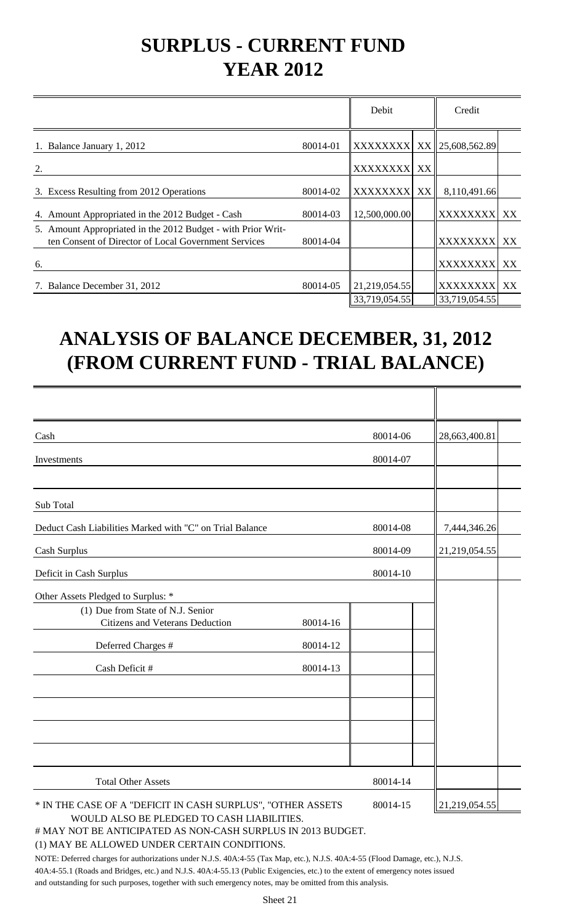# **SURPLUS - CURRENT FUND YEAR 2012**

|                                                                                                                      |          | Debit           |    | Credit          |    |
|----------------------------------------------------------------------------------------------------------------------|----------|-----------------|----|-----------------|----|
| Balance January 1, 2012                                                                                              | 80014-01 | XXXXXXXX XX     |    | 25,608,562.89   |    |
| 2.                                                                                                                   |          | <b>XXXXXXXX</b> | XX |                 |    |
| Excess Resulting from 2012 Operations<br>3.                                                                          | 80014-02 | <b>XXXXXXXX</b> | XX | 8,110,491.66    |    |
| Amount Appropriated in the 2012 Budget - Cash<br>4.                                                                  | 80014-03 | 12,500,000.00   |    | <b>XXXXXXXX</b> | XX |
| 5. Amount Appropriated in the 2012 Budget - with Prior Writ-<br>ten Consent of Director of Local Government Services | 80014-04 |                 |    | <b>XXXXXXXX</b> | XX |
| 6.                                                                                                                   |          |                 |    | <b>XXXXXXXX</b> | XX |
| Balance December 31, 2012                                                                                            | 80014-05 | 21,219,054.55   |    | <b>XXXXXXXX</b> | XX |
|                                                                                                                      |          | 33,719,054.55   |    | 33,719,054.55   |    |

# **ANALYSIS OF BALANCE DECEMBER, 31, 2012 (FROM CURRENT FUND - TRIAL BALANCE)**

| Cash                                                                        |          | 80014-06 | 28,663,400.81 |
|-----------------------------------------------------------------------------|----------|----------|---------------|
| Investments                                                                 |          | 80014-07 |               |
|                                                                             |          |          |               |
| Sub Total                                                                   |          |          |               |
| Deduct Cash Liabilities Marked with "C" on Trial Balance                    |          | 80014-08 | 7,444,346.26  |
| Cash Surplus                                                                |          | 80014-09 | 21,219,054.55 |
| Deficit in Cash Surplus                                                     |          | 80014-10 |               |
| Other Assets Pledged to Surplus: *                                          |          |          |               |
| (1) Due from State of N.J. Senior<br><b>Citizens and Veterans Deduction</b> | 80014-16 |          |               |
| Deferred Charges #                                                          | 80014-12 |          |               |
| Cash Deficit #                                                              | 80014-13 |          |               |
|                                                                             |          |          |               |
|                                                                             |          |          |               |
|                                                                             |          |          |               |
| <b>Total Other Assets</b>                                                   |          | 80014-14 |               |
| * IN THE CASE OF A "DEFICIT IN CASH SURPLUS", "OTHER ASSETS                 |          | 80014-15 | 21,219,054.55 |

WOULD ALSO BE PLEDGED TO CASH LIABILITIES.

# MAY NOT BE ANTICIPATED AS NON-CASH SURPLUS IN 2013 BUDGET.

#### (1) MAY BE ALLOWED UNDER CERTAIN CONDITIONS.

NOTE: Deferred charges for authorizations under N.J.S. 40A:4-55 (Tax Map, etc.), N.J.S. 40A:4-55 (Flood Damage, etc.), N.J.S. 40A:4-55.1 (Roads and Bridges, etc.) and N.J.S. 40A:4-55.13 (Public Exigencies, etc.) to the extent of emergency notes issued and outstanding for such purposes, together with such emergency notes, may be omitted from this analysis.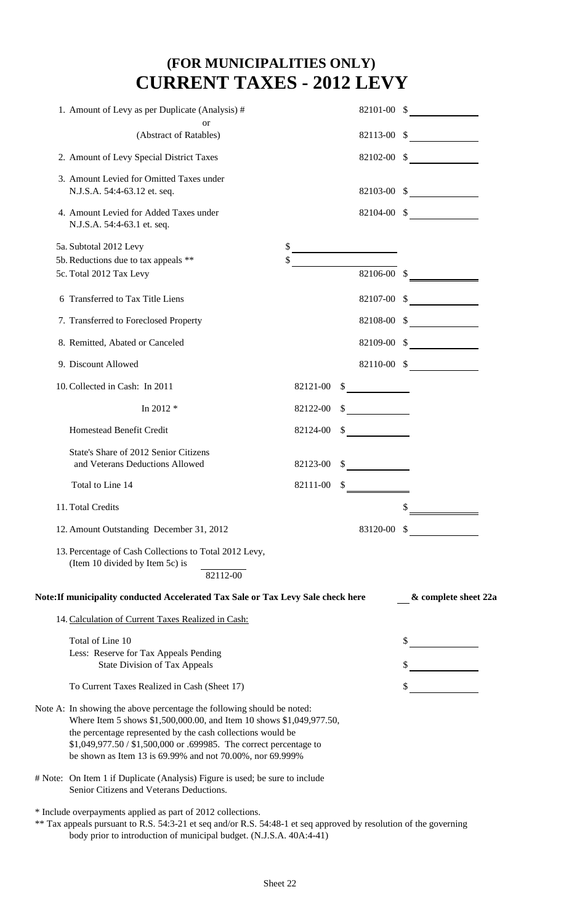### **(FOR MUNICIPALITIES ONLY) CURRENT TAXES - 2012 LEVY**

| 1. Amount of Levy as per Duplicate (Analysis) #                                                                                                                                                                                                                                                                                                  |          | 82101-00 \$ |                      |
|--------------------------------------------------------------------------------------------------------------------------------------------------------------------------------------------------------------------------------------------------------------------------------------------------------------------------------------------------|----------|-------------|----------------------|
| <sub>or</sub><br>(Abstract of Ratables)                                                                                                                                                                                                                                                                                                          |          |             | $82113-00$ \$        |
|                                                                                                                                                                                                                                                                                                                                                  |          |             |                      |
| 2. Amount of Levy Special District Taxes                                                                                                                                                                                                                                                                                                         |          |             | $82102-00$ \$        |
| 3. Amount Levied for Omitted Taxes under<br>N.J.S.A. 54:4-63.12 et. seq.                                                                                                                                                                                                                                                                         |          |             | $82103-00$ \$        |
| 4. Amount Levied for Added Taxes under<br>N.J.S.A. 54:4-63.1 et. seq.                                                                                                                                                                                                                                                                            |          |             | 82104-00 \$          |
| 5a. Subtotal 2012 Levy                                                                                                                                                                                                                                                                                                                           |          |             |                      |
| 5b. Reductions due to tax appeals **                                                                                                                                                                                                                                                                                                             |          |             |                      |
| 5c. Total 2012 Tax Levy                                                                                                                                                                                                                                                                                                                          |          | 82106-00 \$ |                      |
| 6 Transferred to Tax Title Liens                                                                                                                                                                                                                                                                                                                 |          |             | $82107-00$ \$        |
| 7. Transferred to Foreclosed Property                                                                                                                                                                                                                                                                                                            |          | 82108-00 \$ |                      |
| 8. Remitted, Abated or Canceled                                                                                                                                                                                                                                                                                                                  |          | 82109-00 \$ |                      |
| 9. Discount Allowed                                                                                                                                                                                                                                                                                                                              |          |             | 82110-00 \$          |
| 10. Collected in Cash: In 2011                                                                                                                                                                                                                                                                                                                   | 82121-00 |             |                      |
| In 2012 $*$                                                                                                                                                                                                                                                                                                                                      | 82122-00 |             |                      |
| Homestead Benefit Credit                                                                                                                                                                                                                                                                                                                         | 82124-00 |             |                      |
| State's Share of 2012 Senior Citizens<br>and Veterans Deductions Allowed                                                                                                                                                                                                                                                                         | 82123-00 |             |                      |
| Total to Line 14                                                                                                                                                                                                                                                                                                                                 | 82111-00 |             |                      |
| 11. Total Credits                                                                                                                                                                                                                                                                                                                                |          |             | \$                   |
| 12. Amount Outstanding December 31, 2012                                                                                                                                                                                                                                                                                                         |          | 83120-00 \$ |                      |
| 13. Percentage of Cash Collections to Total 2012 Levy,<br>(Item 10 divided by Item 5c) is<br>82112-00<br>Note: If municipality conducted Accelerated Tax Sale or Tax Levy Sale check here                                                                                                                                                        |          |             | & complete sheet 22a |
| 14. Calculation of Current Taxes Realized in Cash:                                                                                                                                                                                                                                                                                               |          |             |                      |
| Total of Line 10                                                                                                                                                                                                                                                                                                                                 |          |             |                      |
| Less: Reserve for Tax Appeals Pending                                                                                                                                                                                                                                                                                                            |          |             |                      |
| <b>State Division of Tax Appeals</b>                                                                                                                                                                                                                                                                                                             |          |             |                      |
| To Current Taxes Realized in Cash (Sheet 17)                                                                                                                                                                                                                                                                                                     |          |             |                      |
| Note A: In showing the above percentage the following should be noted:<br>Where Item 5 shows \$1,500,000.00, and Item 10 shows \$1,049,977.50,<br>the percentage represented by the cash collections would be<br>\$1,049,977.50 / \$1,500,000 or .699985. The correct percentage to<br>be shown as Item 13 is 69.99% and not 70.00%, nor 69.999% |          |             |                      |
| # Note: On Item 1 if Duplicate (Analysis) Figure is used; be sure to include<br>Senior Citizens and Veterans Deductions.                                                                                                                                                                                                                         |          |             |                      |
| * Include overpayments applied as part of 2012 collections.<br>** Tax appeals pursuant to R.S. 54:3-21 et seq and/or R.S. 54:48-1 et seq approved by resolution of the governing<br>body prior to introduction of municipal budget. (N.J.S.A. 40A:4-41)                                                                                          |          |             |                      |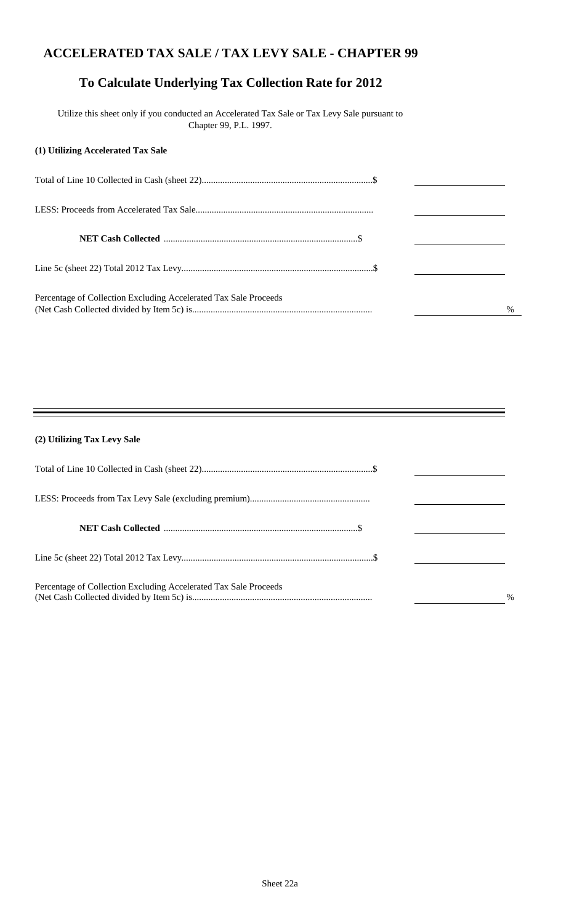#### **ACCELERATED TAX SALE / TAX LEVY SALE - CHAPTER 99**

### **To Calculate Underlying Tax Collection Rate for 2012**

 Utilize this sheet only if you conducted an Accelerated Tax Sale or Tax Levy Sale pursuant to Chapter 99, P.L. 1997.

#### **(1) Utilizing Accelerated Tax Sale**

| Percentage of Collection Excluding Accelerated Tax Sale Proceeds | $\%$ |
|------------------------------------------------------------------|------|

#### **(2) Utilizing Tax Levy Sale**

| Percentage of Collection Excluding Accelerated Tax Sale Proceeds | $\frac{0}{0}$ |
|------------------------------------------------------------------|---------------|

Ξ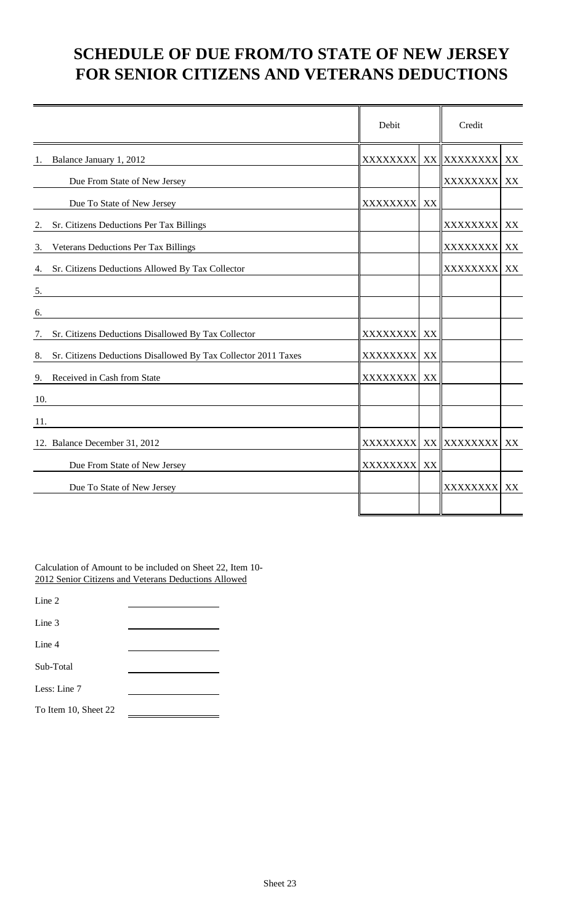### **SCHEDULE OF DUE FROM/TO STATE OF NEW JERSEY FOR SENIOR CITIZENS AND VETERANS DEDUCTIONS**

|     |                                                                | Debit            |    | Credit          |    |
|-----|----------------------------------------------------------------|------------------|----|-----------------|----|
| 1.  | Balance January 1, 2012                                        | <b>XXXXXXXX</b>  |    | XX XXXXXXXX     | XX |
|     | Due From State of New Jersey                                   |                  |    | <b>XXXXXXXX</b> | XX |
|     | Due To State of New Jersey                                     | <b>XXXXXXXX</b>  | XX |                 |    |
| 2.  | Sr. Citizens Deductions Per Tax Billings                       |                  |    | XXXXXXXX        | XX |
| 3.  | Veterans Deductions Per Tax Billings                           |                  |    | XXXXXXXX        | XX |
| 4.  | Sr. Citizens Deductions Allowed By Tax Collector               |                  |    | XXXXXXXX        | XX |
| 5.  |                                                                |                  |    |                 |    |
| 6.  |                                                                |                  |    |                 |    |
| 7.  | Sr. Citizens Deductions Disallowed By Tax Collector            | <b>XXXXXXXX</b>  | XX |                 |    |
| 8.  | Sr. Citizens Deductions Disallowed By Tax Collector 2011 Taxes | <b>XXXXXXXX</b>  | XX |                 |    |
| 9.  | Received in Cash from State                                    | <b>XXXXXXXXI</b> | XX |                 |    |
| 10. |                                                                |                  |    |                 |    |
| 11. |                                                                |                  |    |                 |    |
|     | 12. Balance December 31, 2012                                  | <b>XXXXXXXXI</b> |    | XX XXXXXXXX     | XX |
|     | Due From State of New Jersey                                   | <b>XXXXXXXXI</b> | XX |                 |    |
|     | Due To State of New Jersey                                     |                  |    | XXXXXXXX XX     |    |
|     |                                                                |                  |    |                 |    |

Calculation of Amount to be included on Sheet 22, Item 10- 2012 Senior Citizens and Veterans Deductions Allowed

Line 2

Line 3

Line 4

Sub-Total

Less: Line 7

To Item 10, Sheet 22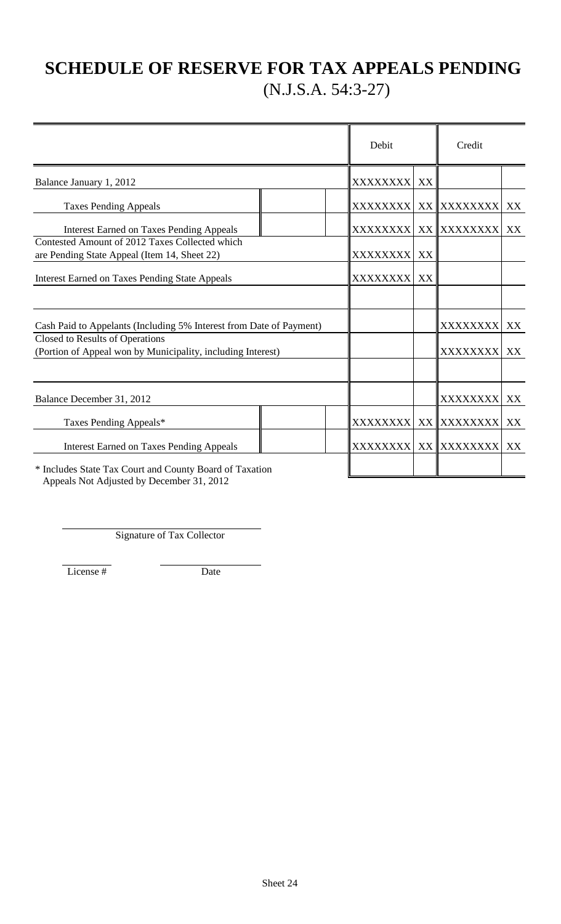## **SCHEDULE OF RESERVE FOR TAX APPEALS PENDING** (N.J.S.A. 54:3-27)

|                                                                                                |  | Debit            |    | Credit                   |    |
|------------------------------------------------------------------------------------------------|--|------------------|----|--------------------------|----|
| Balance January 1, 2012                                                                        |  | <b>XXXXXXXXI</b> | XX |                          |    |
| <b>Taxes Pending Appeals</b>                                                                   |  |                  |    | XXXXXXXX  XX    XXXXXXXX | XX |
| <b>Interest Earned on Taxes Pending Appeals</b>                                                |  | <b>XXXXXXXX</b>  |    | XX XXXXXXXX              | XX |
| Contested Amount of 2012 Taxes Collected which<br>are Pending State Appeal (Item 14, Sheet 22) |  | XXXXXXXX         | XX |                          |    |
| <b>Interest Earned on Taxes Pending State Appeals</b>                                          |  | <b>XXXXXXXX</b>  | XX |                          |    |
|                                                                                                |  |                  |    |                          |    |
| Cash Paid to Appelants (Including 5% Interest from Date of Payment)                            |  |                  |    | XXXXXXXX                 | XX |
| Closed to Results of Operations<br>(Portion of Appeal won by Municipality, including Interest) |  |                  |    | XXXXXXXX                 | XX |
| Balance December 31, 2012                                                                      |  |                  |    | XXXXXXXX                 | XX |
| Taxes Pending Appeals*                                                                         |  | XXXXXXXX         |    | XX XXXXXXXX              | XX |
| <b>Interest Earned on Taxes Pending Appeals</b>                                                |  | XXXXXXXX         |    | XX XXXXXXXX              | XX |
| * Includes State Tax Court and County Board of Taxation                                        |  |                  |    |                          |    |

Appeals Not Adjusted by December 31, 2012

Signature of Tax Collector

License # Date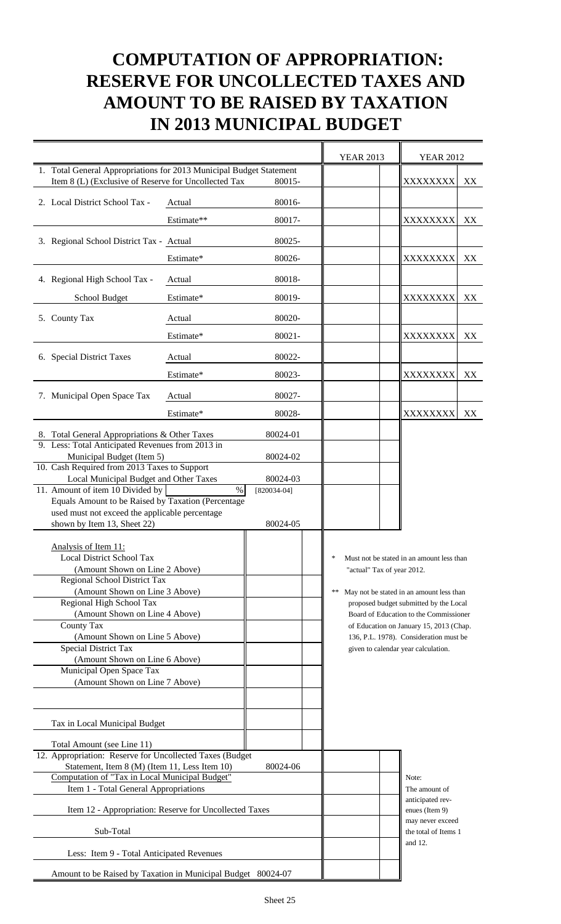## **COMPUTATION OF APPROPRIATION: RESERVE FOR UNCOLLECTED TAXES AND AMOUNT TO BE RAISED BY TAXATION IN 2013 MUNICIPAL BUDGET**

|                                                                                                                             |            |                                   | <b>YEAR 2013</b>           | <b>YEAR 2012</b>                                                                   |    |
|-----------------------------------------------------------------------------------------------------------------------------|------------|-----------------------------------|----------------------------|------------------------------------------------------------------------------------|----|
| 1. Total General Appropriations for 2013 Municipal Budget Statement<br>Item 8 (L) (Exclusive of Reserve for Uncollected Tax |            | 80015-                            |                            | XXXXXXXX                                                                           | XX |
| 2. Local District School Tax -                                                                                              | Actual     | 80016-                            |                            |                                                                                    |    |
|                                                                                                                             | Estimate** | 80017-                            |                            | XXXXXXXX                                                                           | XX |
| 3. Regional School District Tax - Actual                                                                                    |            | 80025-                            |                            |                                                                                    |    |
|                                                                                                                             | Estimate*  | 80026-                            |                            | XXXXXXXX                                                                           | XX |
| 4. Regional High School Tax -                                                                                               | Actual     | 80018-                            |                            |                                                                                    |    |
| School Budget                                                                                                               | Estimate*  | 80019-                            |                            | XXXXXXXX                                                                           | XX |
| 5. County Tax                                                                                                               | Actual     | 80020-                            |                            |                                                                                    |    |
|                                                                                                                             | Estimate*  | 80021-                            |                            | XXXXXXXX                                                                           | XX |
| 6. Special District Taxes                                                                                                   | Actual     | 80022-                            |                            |                                                                                    |    |
|                                                                                                                             | Estimate*  | 80023-                            |                            | XXXXXXXX                                                                           | XX |
| 7. Municipal Open Space Tax                                                                                                 | Actual     | 80027-                            |                            |                                                                                    |    |
|                                                                                                                             | Estimate*  | 80028-                            |                            | XXXXXXXX                                                                           | XX |
| 8. Total General Appropriations & Other Taxes                                                                               |            | 80024-01                          |                            |                                                                                    |    |
| 9. Less: Total Anticipated Revenues from 2013 in<br>Municipal Budget (Item 5)                                               |            | 80024-02                          |                            |                                                                                    |    |
| 10. Cash Required from 2013 Taxes to Support                                                                                |            |                                   |                            |                                                                                    |    |
| Local Municipal Budget and Other Taxes<br>11. Amount of item 10 Divided by                                                  |            | 80024-03<br>$\%$<br>$[820034-04]$ |                            |                                                                                    |    |
| Equals Amount to be Raised by Taxation (Percentage                                                                          |            |                                   |                            |                                                                                    |    |
| used must not exceed the applicable percentage<br>shown by Item 13, Sheet 22)                                               |            | 80024-05                          |                            |                                                                                    |    |
|                                                                                                                             |            |                                   |                            |                                                                                    |    |
| Analysis of Item 11:<br><b>Local District School Tax</b>                                                                    |            |                                   |                            | Must not be stated in an amount less than                                          |    |
| (Amount Shown on Line 2 Above)                                                                                              |            |                                   | "actual" Tax of year 2012. |                                                                                    |    |
| Regional School District Tax                                                                                                |            |                                   |                            |                                                                                    |    |
| (Amount Shown on Line 3 Above)<br>Regional High School Tax                                                                  |            |                                   | **                         | May not be stated in an amount less than<br>proposed budget submitted by the Local |    |
| (Amount Shown on Line 4 Above)                                                                                              |            |                                   |                            | Board of Education to the Commissioner                                             |    |
| County Tax                                                                                                                  |            |                                   |                            | of Education on January 15, 2013 (Chap.                                            |    |
| (Amount Shown on Line 5 Above)<br><b>Special District Tax</b>                                                               |            |                                   |                            | 136, P.L. 1978). Consideration must be                                             |    |
| (Amount Shown on Line 6 Above)                                                                                              |            |                                   |                            | given to calendar year calculation.                                                |    |
| Municipal Open Space Tax                                                                                                    |            |                                   |                            |                                                                                    |    |
| (Amount Shown on Line 7 Above)                                                                                              |            |                                   |                            |                                                                                    |    |
|                                                                                                                             |            |                                   |                            |                                                                                    |    |
| Tax in Local Municipal Budget                                                                                               |            |                                   |                            |                                                                                    |    |
| Total Amount (see Line 11)                                                                                                  |            |                                   |                            |                                                                                    |    |
| 12. Appropriation: Reserve for Uncollected Taxes (Budget                                                                    |            |                                   |                            |                                                                                    |    |
| Statement, Item 8 (M) (Item 11, Less Item 10)<br>Computation of "Tax in Local Municipal Budget"                             |            | 80024-06                          |                            | Note:                                                                              |    |
| Item 1 - Total General Appropriations                                                                                       |            |                                   |                            | The amount of                                                                      |    |
| Item 12 - Appropriation: Reserve for Uncollected Taxes                                                                      |            |                                   |                            | anticipated rev-<br>enues (Item 9)                                                 |    |
| Sub-Total                                                                                                                   |            |                                   |                            | may never exceed<br>the total of Items 1                                           |    |
| Less: Item 9 - Total Anticipated Revenues                                                                                   |            |                                   |                            | and 12.                                                                            |    |
| Amount to be Raised by Taxation in Municipal Budget 80024-07                                                                |            |                                   |                            |                                                                                    |    |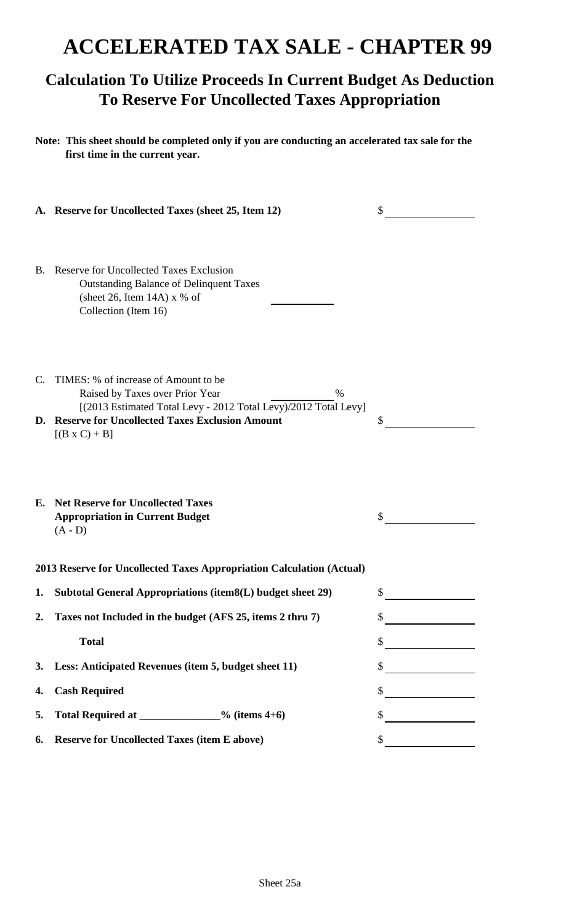## **ACCELERATED TAX SALE - CHAPTER 99**

### **Calculation To Utilize Proceeds In Current Budget As Deduction To Reserve For Uncollected Taxes Appropriation**

**Note: This sheet should be completed only if you are conducting an accelerated tax sale for the first time in the current year.**

|    | A. Reserve for Uncollected Taxes (sheet 25, Item 12)                                                                                                                                                                            | \$                                  |
|----|---------------------------------------------------------------------------------------------------------------------------------------------------------------------------------------------------------------------------------|-------------------------------------|
|    | B. Reserve for Uncollected Taxes Exclusion<br><b>Outstanding Balance of Delinquent Taxes</b><br>(sheet 26, Item 14A) $x$ % of<br>Collection (Item 16)                                                                           |                                     |
| C. | TIMES: % of increase of Amount to be<br>Raised by Taxes over Prior Year<br>$\%$<br>[(2013 Estimated Total Levy - 2012 Total Levy)/2012 Total Levy]<br>D. Reserve for Uncollected Taxes Exclusion Amount<br>$[(B \times C) + B]$ | \$                                  |
|    | <b>E.</b> Net Reserve for Uncollected Taxes<br><b>Appropriation in Current Budget</b><br>$(A - D)$                                                                                                                              |                                     |
|    | 2013 Reserve for Uncollected Taxes Appropriation Calculation (Actual)                                                                                                                                                           |                                     |
| 1. | Subtotal General Appropriations (item8(L) budget sheet 29)                                                                                                                                                                      | S                                   |
| 2. | Taxes not Included in the budget (AFS 25, items 2 thru 7)                                                                                                                                                                       | Φ                                   |
|    | <b>Total</b>                                                                                                                                                                                                                    | \$<br><u>and a strong community</u> |
| 3. | Less: Anticipated Revenues (item 5, budget sheet 11)                                                                                                                                                                            | \$                                  |
| 4. | <b>Cash Required</b>                                                                                                                                                                                                            | \$                                  |
| 5. | Total Required at ______________% (items 4+6)                                                                                                                                                                                   | \$                                  |
| 6. | <b>Reserve for Uncollected Taxes (item E above)</b>                                                                                                                                                                             | \$                                  |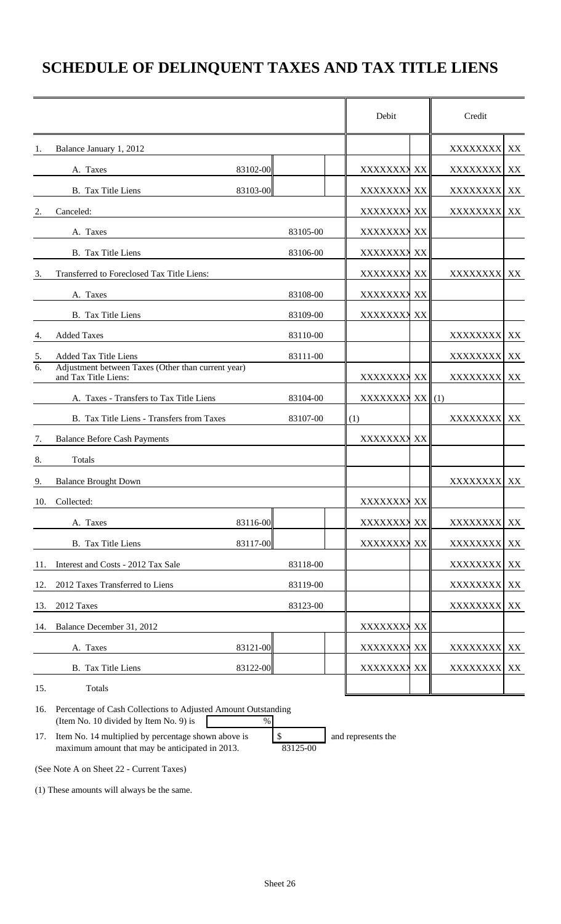## **SCHEDULE OF DELINQUENT TAXES AND TAX TITLE LIENS**

|     |                                                                                                         |          | Debit           |    | Credit           |    |
|-----|---------------------------------------------------------------------------------------------------------|----------|-----------------|----|------------------|----|
| 1.  | Balance January 1, 2012                                                                                 |          |                 |    | XXXXXXXX         | XX |
|     | A. Taxes                                                                                                | 83102-00 | XXXXXXXX XX     |    | <b>XXXXXXXX</b>  | XX |
|     | B. Tax Title Liens                                                                                      | 83103-00 | XXXXXXXX XX     |    | XXXXXXXX XX      |    |
| 2.  | Canceled:                                                                                               |          | XXXXXXXX XX     |    | XXXXXXXX XX      |    |
|     | A. Taxes                                                                                                | 83105-00 | XXXXXXXX XX     |    |                  |    |
|     | B. Tax Title Liens                                                                                      | 83106-00 | XXXXXXXX XX     |    |                  |    |
| 3.  | Transferred to Foreclosed Tax Title Liens:                                                              |          | XXXXXXXX XX     |    | <b>XXXXXXXXI</b> | XX |
|     | A. Taxes                                                                                                | 83108-00 | XXXXXXXX XX     |    |                  |    |
|     | B. Tax Title Liens                                                                                      | 83109-00 | XXXXXXXX XX     |    |                  |    |
| 4.  | <b>Added Taxes</b>                                                                                      | 83110-00 |                 |    | XXXXXXXX         | XX |
| 5.  | <b>Added Tax Title Liens</b>                                                                            | 83111-00 |                 |    | XXXXXXXX         | XX |
| 6.  | Adjustment between Taxes (Other than current year)<br>and Tax Title Liens:                              |          | XXXXXXXX XX     |    | <b>XXXXXXXX</b>  | XX |
|     | A. Taxes - Transfers to Tax Title Liens                                                                 | 83104-00 | XXXXXXXX XX (1) |    |                  |    |
|     | B. Tax Title Liens - Transfers from Taxes                                                               | 83107-00 | (1)             |    | XXXXXXXX         | XX |
| 7.  | <b>Balance Before Cash Payments</b>                                                                     |          | XXXXXXXX XX     |    |                  |    |
| 8.  | Totals                                                                                                  |          |                 |    |                  |    |
| 9.  | <b>Balance Brought Down</b>                                                                             |          |                 |    | XXXXXXXX XX      |    |
| 10. | Collected:                                                                                              |          | XXXXXXXX XX     |    |                  |    |
|     | A. Taxes                                                                                                | 83116-00 | XXXXXXX         | XX | XXXXXXXX         | XX |
|     | B. Tax Title Liens                                                                                      | 83117-00 | XXXXXXX         | XX | XXXXXXXX         | XX |
| 11. | Interest and Costs - 2012 Tax Sale                                                                      | 83118-00 |                 |    | XXXXXXXX         | XX |
| 12. | 2012 Taxes Transferred to Liens                                                                         | 83119-00 |                 |    | XXXXXXXX XX      |    |
| 13. | 2012 Taxes                                                                                              | 83123-00 |                 |    | XXXXXXXX         | XX |
| 14. | Balance December 31, 2012                                                                               |          | XXXXXXXX XX     |    |                  |    |
|     | A. Taxes                                                                                                | 83121-00 | XXXXXXXX XX     |    | XXXXXXXX         | XX |
|     | B. Tax Title Liens                                                                                      | 83122-00 | XXXXXXXX XX     |    | XXXXXXXX XX      |    |
| 15. | Totals                                                                                                  |          |                 |    |                  |    |
| 16. | Percentage of Cash Collections to Adjusted Amount Outstanding<br>(Item No. 10 divided by Item No. 9) is | $\%$     |                 |    |                  |    |

17. Item No. 14 multiplied by percentage shown above is  $\boxed{\$}$  and represents the maximum amount that may be anticipated in 2013. 83125-00

(See Note A on Sheet 22 - Current Taxes)

(1) These amounts will always be the same.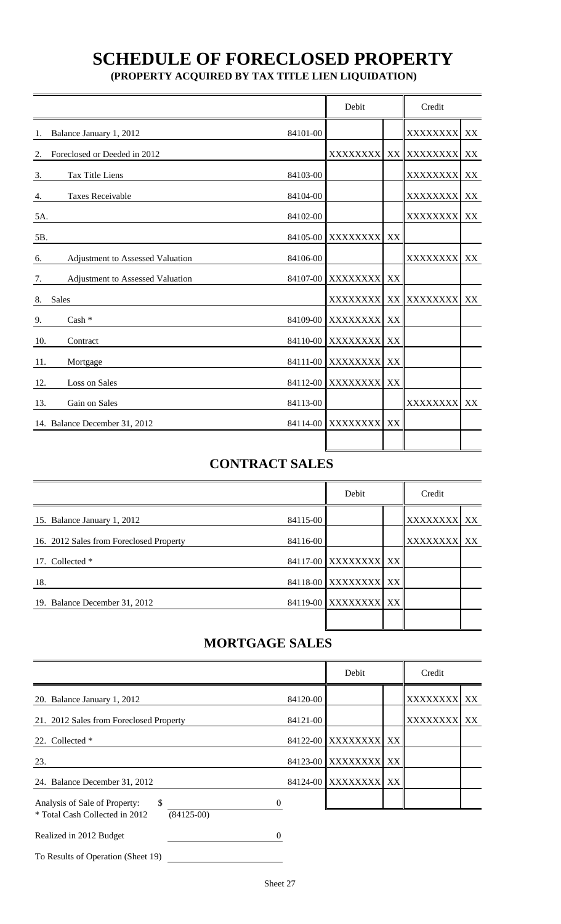# **SCHEDULE OF FORECLOSED PROPERTY**

 **(PROPERTY ACQUIRED BY TAX TITLE LIEN LIQUIDATION)**

|                                        |          | Debit             |    |                 |               |
|----------------------------------------|----------|-------------------|----|-----------------|---------------|
| Balance January 1, 2012<br>1.          | 84101-00 |                   |    | XXXXXXXX        | $\mathbf{XX}$ |
| Foreclosed or Deeded in 2012<br>2.     |          | <b>XXXXXXXX</b>   |    | XX XXXXXXXX     | XX            |
| Tax Title Liens<br>3.                  | 84103-00 |                   |    | XXXXXXXX        | XX            |
| Taxes Receivable<br>4.                 | 84104-00 |                   |    | <b>XXXXXXXX</b> | XX            |
| 5A.                                    | 84102-00 |                   |    | <b>XXXXXXXX</b> | XX            |
| 5B.                                    | 84105-00 | <b>XXXXXXXX</b>   | XX |                 |               |
| Adjustment to Assessed Valuation<br>6. | 84106-00 |                   |    | XXXXXXXX        | XX            |
| Adjustment to Assessed Valuation<br>7. | 84107-00 | <b>XXXXXXXX</b>   | XX |                 |               |
| <b>Sales</b><br>8.                     |          | <b>XXXXXXXXI</b>  |    | XX XXXXXXXX     | XX            |
| $Cash *$<br>9.                         |          | 84109-00 XXXXXXXX | XX |                 |               |
| 10.<br>Contract                        |          | 84110-00 XXXXXXXX | XX |                 |               |
| 11.<br>Mortgage                        |          | 84111-00 XXXXXXXX | XX |                 |               |
| Loss on Sales<br>12.                   |          | 84112-00 XXXXXXXX | XX |                 |               |
| Gain on Sales<br>13.                   | 84113-00 |                   |    | <b>XXXXXXXX</b> | XX            |
| 14. Balance December 31, 2012          |          | 84114-00 XXXXXXXX | XX |                 |               |
|                                        |          |                   |    |                 |               |

### **CONTRACT SALES**

|                                         |          | Debit                | Credit      |  |  |
|-----------------------------------------|----------|----------------------|-------------|--|--|
| 15. Balance January 1, 2012             | 84115-00 |                      | XXXXXXXX XX |  |  |
| 16. 2012 Sales from Foreclosed Property | 84116-00 |                      | XXXXXXXX XX |  |  |
| 17. Collected *                         |          | 84117-00 XXXXXXXX XX |             |  |  |
| 18.                                     |          | 84118-00 XXXXXXXX XX |             |  |  |
| 19. Balance December 31, 2012           |          | 84119-00 XXXXXXXX XX |             |  |  |
|                                         |          |                      |             |  |  |

### **MORTGAGE SALES**

|                                                                                       |          | Debit                | Credit          |    |  |
|---------------------------------------------------------------------------------------|----------|----------------------|-----------------|----|--|
| 20. Balance January 1, 2012                                                           | 84120-00 |                      | XXXXXXXX XX     |    |  |
| 21. 2012 Sales from Foreclosed Property                                               | 84121-00 |                      | <b>XXXXXXXX</b> | XX |  |
| 22. Collected *                                                                       |          | 84122-00 XXXXXXXX XX |                 |    |  |
| 23.                                                                                   |          | 84123-00 XXXXXXXX XX |                 |    |  |
| 24. Balance December 31, 2012                                                         |          | 84124-00 XXXXXXXX XX |                 |    |  |
| \$<br>Analysis of Sale of Property:<br>* Total Cash Collected in 2012<br>$(84125-00)$ | 0        |                      |                 |    |  |
| Realized in 2012 Budget                                                               |          |                      |                 |    |  |

To Results of Operation (Sheet 19)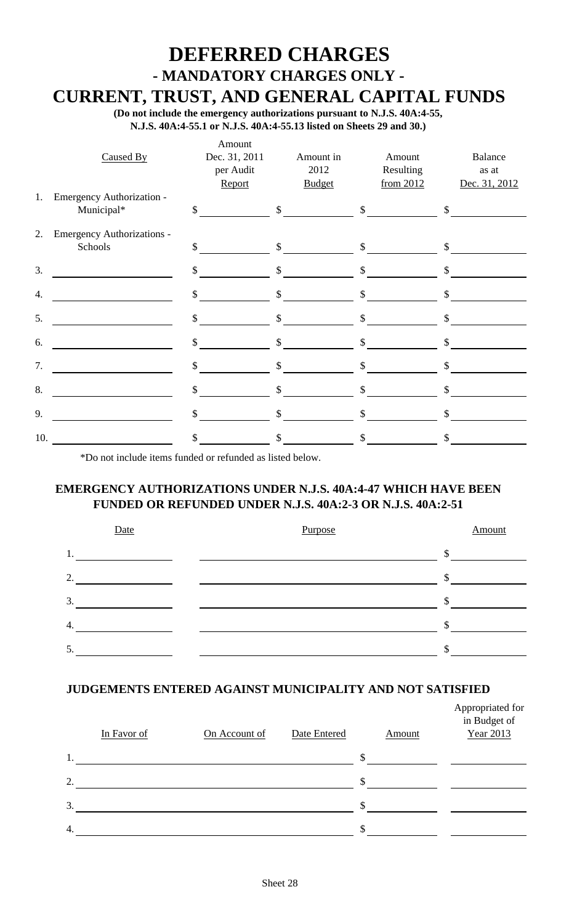# **DEFERRED CHARGES - MANDATORY CHARGES ONLY -**

 **CURRENT, TRUST, AND GENERAL CAPITAL FUNDS**

 **(Do not include the emergency authorizations pursuant to N.J.S. 40A:4-55, N.J.S. 40A:4-55.1 or N.J.S. 40A:4-55.13 listed on Sheets 29 and 30.)**

|                  | Caused By                               | Amount<br>Dec. 31, 2011<br>per Audit<br>Report | Amount in<br>2012<br><b>Budget</b> | Amount<br>Resulting<br>from 2012 | Balance<br>as at<br>Dec. 31, 2012 |
|------------------|-----------------------------------------|------------------------------------------------|------------------------------------|----------------------------------|-----------------------------------|
| 1.               | Emergency Authorization -<br>Municipal* | $\mathbb{S}$                                   | $\mathbb{S}$                       | $\mathbb{S}$                     | \$                                |
| 2.               | Emergency Authorizations -<br>Schools   | \$                                             | $\mathbb{S}$                       | $\mathcal{S}$                    | \$                                |
| 3.               |                                         | $\mathbf{\hat{S}}$                             | $\mathbb{S}$                       | $\mathbb{S}$                     | $\mathsf{\$}$                     |
| $\overline{4}$ . |                                         | $\mathbb{S}$                                   | $\mathbb{S}$                       | $\mathbb{S}$                     | $\mathsf{\$}$                     |
| 5.               |                                         | $\mathbb{S}$                                   | $\mathsf{\$}$                      | $\boldsymbol{\mathsf{S}}$        | $\mathbb{S}$                      |
| 6.               |                                         | \$                                             | \$                                 | $\mathbb{S}$                     | \$                                |
| 7.               |                                         | \$                                             | \$                                 | \$                               | \$                                |
| 8.               |                                         | \$                                             | \$                                 | \$                               | \$                                |
| 9.               |                                         | \$                                             | \$                                 | $\mathbb{S}$                     | \$                                |
| 10.              |                                         | \$                                             | \$                                 | \$                               | $\mathbb{S}$                      |

\*Do not include items funded or refunded as listed below.

#### **EMERGENCY AUTHORIZATIONS UNDER N.J.S. 40A:4-47 WHICH HAVE BEEN FUNDED OR REFUNDED UNDER N.J.S. 40A:2-3 OR N.J.S. 40A:2-51**



#### **JUDGEMENTS ENTERED AGAINST MUNICIPALITY AND NOT SATISFIED**

|                | In Favor of | On Account of | Date Entered |     | Amount | Appropriated for<br>in Budget of<br>Year 2013 |
|----------------|-------------|---------------|--------------|-----|--------|-----------------------------------------------|
| 1.             |             |               |              | \$. |        |                                               |
| $\overline{2}$ |             |               |              | \$  |        |                                               |
| 3.             |             |               |              | S.  |        |                                               |
| 4.             |             |               |              | \$  |        |                                               |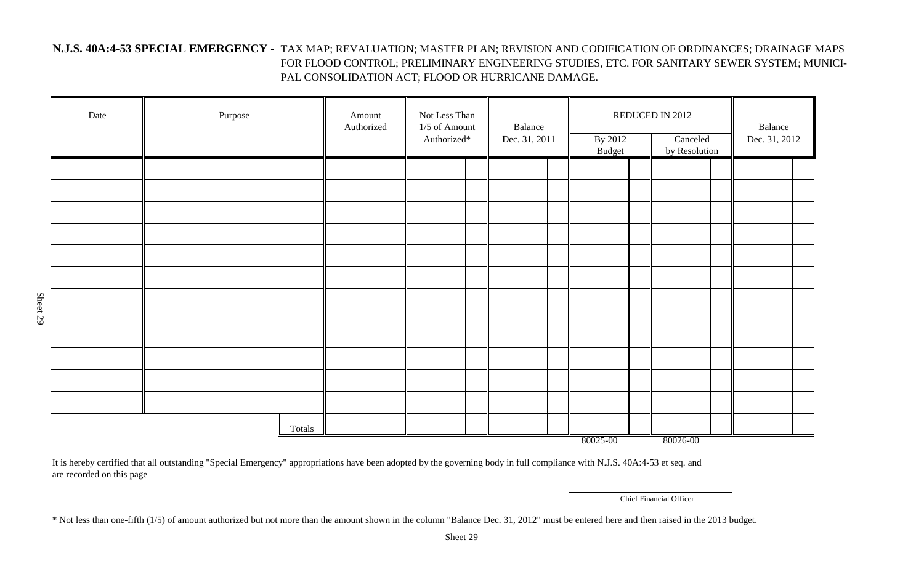#### **N.J.S. 40A:4-53 SPECIAL EMERGENCY -** TAX MAP; REVALUATION; MASTER PLAN; REVISION AND CODIFICATION OF ORDINANCES; DRAINAGE MAPS FOR FLOOD CONTROL; PRELIMINARY ENGINEERING STUDIES, ETC. FOR SANITARY SEWER SYSTEM; MUNICI-PAL CONSOLIDATION ACT; FLOOD OR HURRICANE DAMAGE.

|          | Date | Purpose |        | Amount | Authorized |  | Not Less Than<br>1/5 of Amount<br>Authorized* |  | Balance<br>Dec. 31, 2011 |               | By 2012 | REDUCED IN 2012<br>$\overline{\text{Canceled}}$<br>by Resolution |  | Balance<br>Dec. 31, 2012 |  |
|----------|------|---------|--------|--------|------------|--|-----------------------------------------------|--|--------------------------|---------------|---------|------------------------------------------------------------------|--|--------------------------|--|
|          |      |         |        |        |            |  |                                               |  |                          | <b>Budget</b> |         |                                                                  |  |                          |  |
|          |      |         |        |        |            |  |                                               |  |                          |               |         |                                                                  |  |                          |  |
|          |      |         |        |        |            |  |                                               |  |                          |               |         |                                                                  |  |                          |  |
|          |      |         |        |        |            |  |                                               |  |                          |               |         |                                                                  |  |                          |  |
|          |      |         |        |        |            |  |                                               |  |                          |               |         |                                                                  |  |                          |  |
|          |      |         |        |        |            |  |                                               |  |                          |               |         |                                                                  |  |                          |  |
| Sheet 29 |      |         |        |        |            |  |                                               |  |                          |               |         |                                                                  |  |                          |  |
|          |      |         |        |        |            |  |                                               |  |                          |               |         |                                                                  |  |                          |  |
|          |      |         |        |        |            |  |                                               |  |                          |               |         |                                                                  |  |                          |  |
|          |      |         |        |        |            |  |                                               |  |                          |               |         |                                                                  |  |                          |  |
|          |      |         |        |        |            |  |                                               |  |                          |               |         |                                                                  |  |                          |  |
|          |      |         | Totals |        |            |  |                                               |  |                          | 80025-00      |         | 80026-00                                                         |  |                          |  |

It is hereby certified that all outstanding "Special Emergency" appropriations have been adopted by the governing body in full compliance with N.J.S. 40A:4-53 et seq. and are recorded on this page

Chief Financial Officer

\* Not less than one-fifth (1/5) of amount authorized but not more than the amount shown in the column "Balance Dec. 31, 2012" must be entered here and then raised in the 2013 budget.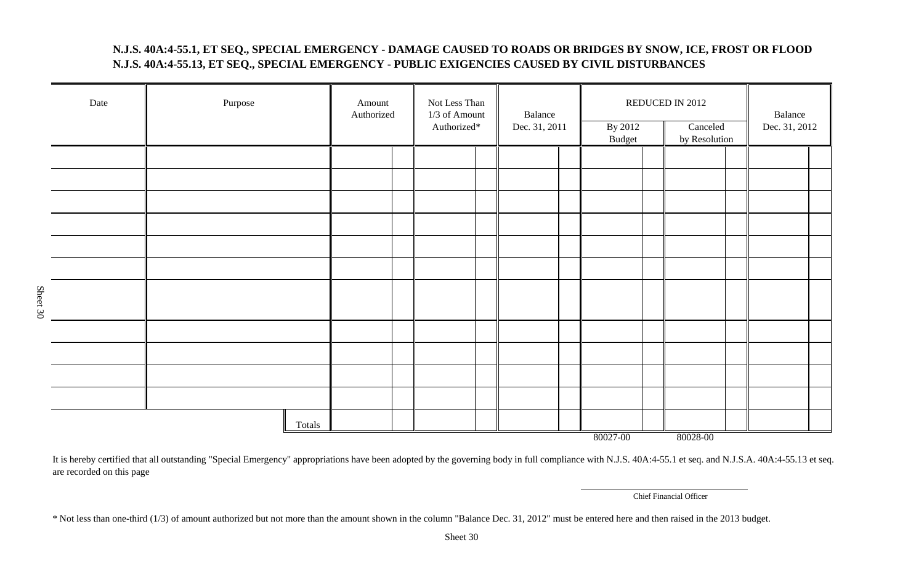#### **N.J.S. 40A:4-55.1, ET SEQ., SPECIAL EMERGENCY - DAMAGE CAUSED TO ROADS OR BRIDGES BY SNOW, ICE, FROST OR FLOOD N.J.S. 40A:4-55.13, ET SEQ., SPECIAL EMERGENCY - PUBLIC EXIGENCIES CAUSED BY CIVIL DISTURBANCES**

| Date     | Purpose | Amount<br>Authorized | Not Less Than<br>1/3 of Amount<br>Authorized* |  | By 2012<br><b>Budget</b> |  | REDUCED IN 2012<br>Canceled<br>by Resolution |  | Balance<br>Dec. 31, 2012 |
|----------|---------|----------------------|-----------------------------------------------|--|--------------------------|--|----------------------------------------------|--|--------------------------|
|          |         |                      |                                               |  |                          |  |                                              |  |                          |
|          |         |                      |                                               |  |                          |  |                                              |  |                          |
|          |         |                      |                                               |  |                          |  |                                              |  |                          |
|          |         |                      |                                               |  |                          |  |                                              |  |                          |
|          |         |                      |                                               |  |                          |  |                                              |  |                          |
|          |         |                      |                                               |  |                          |  |                                              |  |                          |
|          |         |                      |                                               |  |                          |  |                                              |  |                          |
| Sheet 30 |         |                      |                                               |  |                          |  |                                              |  |                          |
|          |         |                      |                                               |  |                          |  |                                              |  |                          |
|          |         |                      |                                               |  |                          |  |                                              |  |                          |
|          |         |                      |                                               |  |                          |  |                                              |  |                          |
|          |         |                      |                                               |  |                          |  |                                              |  |                          |
|          | Totals  |                      |                                               |  | 80027-00                 |  | 80028-00                                     |  |                          |

It is hereby certified that all outstanding "Special Emergency" appropriations have been adopted by the governing body in full compliance with N.J.S. 40A:4-55.1 et seq. and N.J.S.A. 40A:4-55.13 et seq. are recorded on this page

Chief Financial Officer

\* Not less than one-third (1/3) of amount authorized but not more than the amount shown in the column "Balance Dec. 31, 2012" must be entered here and then raised in the 2013 budget.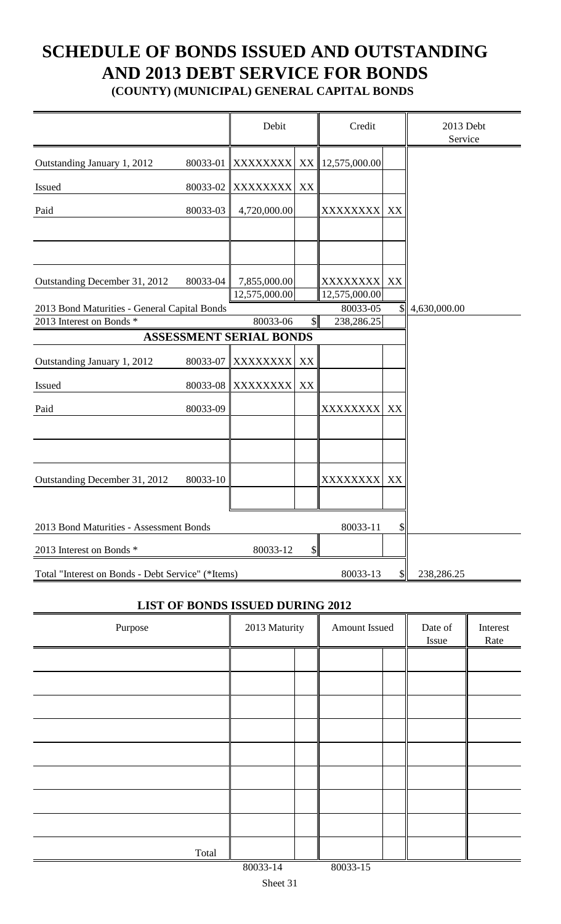# **SCHEDULE OF BONDS ISSUED AND OUTSTANDING AND 2013 DEBT SERVICE FOR BONDS**

**(COUNTY) (MUNICIPAL) GENERAL CAPITAL BONDS**

|                                                   |          | Debit                          |                           | Credit                    |                           | 2013 Debt<br>Service |
|---------------------------------------------------|----------|--------------------------------|---------------------------|---------------------------|---------------------------|----------------------|
| Outstanding January 1, 2012                       | 80033-01 |                                |                           | XXXXXXXX XX 12,575,000.00 |                           |                      |
| Issued                                            | 80033-02 | <b>XXXXXXXX</b>                | XX                        |                           |                           |                      |
| Paid                                              | 80033-03 | 4,720,000.00                   |                           | XXXXXXXX                  | XX                        |                      |
|                                                   |          |                                |                           |                           |                           |                      |
| Outstanding December 31, 2012                     | 80033-04 | 7,855,000.00<br>12,575,000.00  |                           | XXXXXXXX<br>12,575,000.00 | XX                        |                      |
| 2013 Bond Maturities - General Capital Bonds      |          |                                |                           | 80033-05                  | $\mathcal{S}$             | 4,630,000.00         |
| 2013 Interest on Bonds *                          |          | 80033-06                       | $\mathbb{S}$              | 238,286.25                |                           |                      |
|                                                   |          | <b>ASSESSMENT SERIAL BONDS</b> |                           |                           |                           |                      |
|                                                   |          |                                |                           |                           |                           |                      |
| Outstanding January 1, 2012                       | 80033-07 | XXXXXXXX                       | XX                        |                           |                           |                      |
| Issued                                            | 80033-08 | <b>XXXXXXXX</b>                | XX                        |                           |                           |                      |
| Paid                                              | 80033-09 |                                |                           | XXXXXXXX                  | XX                        |                      |
|                                                   |          |                                |                           |                           |                           |                      |
| Outstanding December 31, 2012                     | 80033-10 |                                |                           | XXXXXXXX                  | XX                        |                      |
| 2013 Bond Maturities - Assessment Bonds           |          |                                |                           | 80033-11                  | $\boldsymbol{\mathsf{S}}$ |                      |
| 2013 Interest on Bonds *                          |          | 80033-12                       | $\boldsymbol{\mathsf{S}}$ |                           |                           |                      |
| Total "Interest on Bonds - Debt Service" (*Items) |          |                                |                           | 80033-13                  | $\boldsymbol{\mathsf{S}}$ | 238,286.25           |

#### **LIST OF BONDS ISSUED DURING 2012**

| Purpose | 2013 Maturity | Amount Issued |  | Date of<br>Issue | Interest<br>Rate |
|---------|---------------|---------------|--|------------------|------------------|
|         |               |               |  |                  |                  |
|         |               |               |  |                  |                  |
|         |               |               |  |                  |                  |
|         |               |               |  |                  |                  |
|         |               |               |  |                  |                  |
|         |               |               |  |                  |                  |
|         |               |               |  |                  |                  |
|         |               |               |  |                  |                  |
| Total   |               |               |  |                  |                  |
|         | 80033-14      | 80033-15      |  |                  |                  |

Sheet 31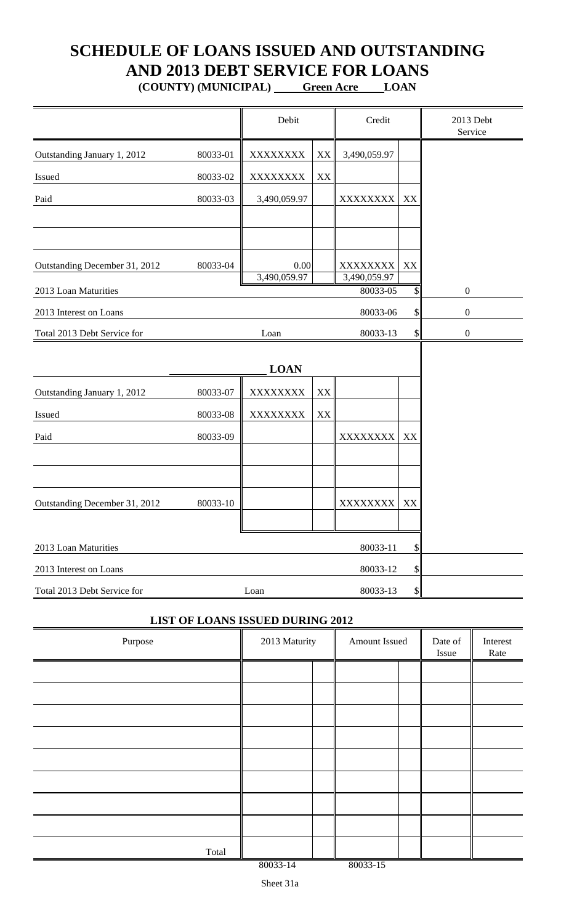## **SCHEDULE OF LOANS ISSUED AND OUTSTANDING AND 2013 DEBT SERVICE FOR LOANS**

**(COUNTY) (MUNICIPAL) Green Acre LOAN**

|                               |          | Debit        |               | Credit                   |    | 2013 Debt<br>Service |
|-------------------------------|----------|--------------|---------------|--------------------------|----|----------------------|
| Outstanding January 1, 2012   | 80033-01 | XXXXXXXX     | XX            | 3,490,059.97             |    |                      |
| Issued                        | 80033-02 | XXXXXXXX     | $\mathbf{XX}$ |                          |    |                      |
| Paid                          | 80033-03 | 3,490,059.97 |               | XXXXXXXX                 | XX |                      |
|                               |          |              |               |                          |    |                      |
| Outstanding December 31, 2012 | 80033-04 | 0.00         |               | XXXXXXXX                 | XX |                      |
| 2013 Loan Maturities          |          | 3,490,059.97 |               | 3,490,059.97<br>80033-05 | \$ | $\boldsymbol{0}$     |
| 2013 Interest on Loans        |          |              |               | 80033-06                 | \$ | $\boldsymbol{0}$     |
| Total 2013 Debt Service for   |          | Loan         |               | 80033-13                 | \$ | $\boldsymbol{0}$     |
|                               |          |              |               |                          |    |                      |
| Outstanding January 1, 2012   | 80033-07 | XXXXXXXX     | XX            |                          |    |                      |
| Issued                        | 80033-08 | XXXXXXXX     | XX            |                          |    |                      |
| Paid                          | 80033-09 |              |               | XXXXXXXX                 | XX |                      |
|                               |          |              |               |                          |    |                      |
| Outstanding December 31, 2012 | 80033-10 |              |               | XXXXXXXX                 | XX |                      |
| 2013 Loan Maturities          |          |              |               | 80033-11                 | \$ |                      |
| 2013 Interest on Loans        |          |              |               | 80033-12                 | \$ |                      |
| Total 2013 Debt Service for   |          | Loan         |               | 80033-13                 | \$ |                      |

#### **LIST OF LOANS ISSUED DURING 2012**

| Purpose | 2013 Maturity |  | Amount Issued |  | Date of<br>Issue | Interest<br>Rate |
|---------|---------------|--|---------------|--|------------------|------------------|
|         |               |  |               |  |                  |                  |
|         |               |  |               |  |                  |                  |
|         |               |  |               |  |                  |                  |
|         |               |  |               |  |                  |                  |
|         |               |  |               |  |                  |                  |
|         |               |  |               |  |                  |                  |
|         |               |  |               |  |                  |                  |
|         |               |  |               |  |                  |                  |
| Total   |               |  |               |  |                  |                  |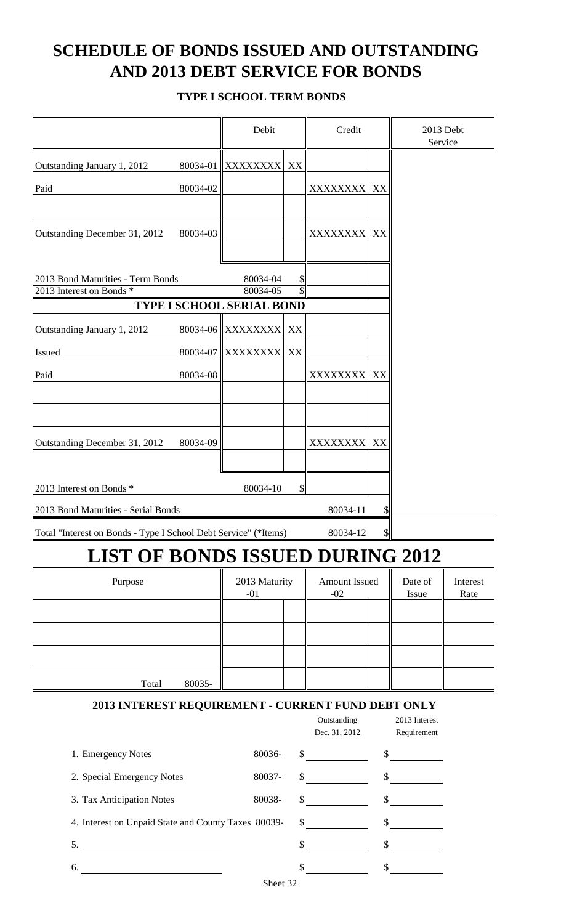## **SCHEDULE OF BONDS ISSUED AND OUTSTANDING AND 2013 DEBT SERVICE FOR BONDS**

#### **TYPE I SCHOOL TERM BONDS**

|                                                                 |          | Debit                            |         | Credit                       |               | 2013 Debt<br>Service         |          |
|-----------------------------------------------------------------|----------|----------------------------------|---------|------------------------------|---------------|------------------------------|----------|
| Outstanding January 1, 2012                                     | 80034-01 | XXXXXXXX                         | XX      |                              |               |                              |          |
| Paid                                                            | 80034-02 |                                  |         | XXXXXXXX                     | XX            |                              |          |
|                                                                 |          |                                  |         |                              |               |                              |          |
| Outstanding December 31, 2012                                   | 80034-03 |                                  |         | XXXXXXXX                     | XX            |                              |          |
|                                                                 |          |                                  |         |                              |               |                              |          |
| 2013 Bond Maturities - Term Bonds                               |          | 80034-04                         |         |                              |               |                              |          |
| 2013 Interest on Bonds *                                        |          | 80034-05                         | P<br>\$ |                              |               |                              |          |
|                                                                 |          | <b>TYPE I SCHOOL SERIAL BOND</b> |         |                              |               |                              |          |
| Outstanding January 1, 2012                                     | 80034-06 | <b>XXXXXXXX</b>                  | XX      |                              |               |                              |          |
| Issued                                                          | 80034-07 | XXXXXXXX                         | XX      |                              |               |                              |          |
| Paid                                                            | 80034-08 |                                  |         | XXXXXXXX                     | XX            |                              |          |
|                                                                 |          |                                  |         |                              |               |                              |          |
|                                                                 |          |                                  |         |                              |               |                              |          |
| Outstanding December 31, 2012                                   | 80034-09 |                                  |         | <b>XXXXXXXX</b>              | XX            |                              |          |
|                                                                 |          |                                  |         |                              |               |                              |          |
| 2013 Interest on Bonds *                                        |          | 80034-10                         | \$      |                              |               |                              |          |
| 2013 Bond Maturities - Serial Bonds                             |          |                                  |         | 80034-11                     | \$            |                              |          |
| Total "Interest on Bonds - Type I School Debt Service" (*Items) |          |                                  |         | 80034-12                     | $\frac{1}{2}$ |                              |          |
| <b>LIST OF BONDS ISSUED DURING 2012</b>                         |          |                                  |         |                              |               |                              |          |
| Purpose                                                         |          | 2013 Maturity                    |         | <b>Amount Issued</b>         |               | Date of                      | Interest |
|                                                                 |          | $-01$                            |         | $-02$                        |               | Issue                        | Rate     |
|                                                                 |          |                                  |         |                              |               |                              |          |
|                                                                 |          |                                  |         |                              |               |                              |          |
|                                                                 |          |                                  |         |                              |               |                              |          |
| Total                                                           | 80035-   |                                  |         |                              |               |                              |          |
| 2013 INTEREST REQUIREMENT - CURRENT FUND DEBT ONLY              |          |                                  |         |                              |               |                              |          |
|                                                                 |          |                                  |         | Outstanding<br>Dec. 31, 2012 |               | 2013 Interest<br>Requirement |          |
| 1. Emergency Notes                                              |          | 80036-                           |         | $\frac{\text{S}}{\text{S}}$  |               | $\frac{1}{2}$                |          |
| 2. Special Emergency Notes                                      |          | 80037-                           |         | $\frac{\text{S}}{\text{S}}$  |               | $\frac{1}{2}$                |          |
| 3. Tax Anticipation Notes                                       |          | 80038-                           |         | $\frac{1}{2}$                |               | $\int$                       |          |
| 4. Interest on Unpaid State and County Taxes 80039-             |          |                                  |         | $\frac{\text{S}}{\text{S}}$  |               | $\frac{\text{S}}{\text{S}}$  |          |
| 5.                                                              |          |                                  |         | $\frac{\text{S}}{\text{S}}$  |               | $\frac{\sqrt{2}}{2}$         |          |
| 6.                                                              |          |                                  |         | $\frac{\text{S}}{\text{S}}$  |               | $\frac{\sqrt{2}}{2}$         |          |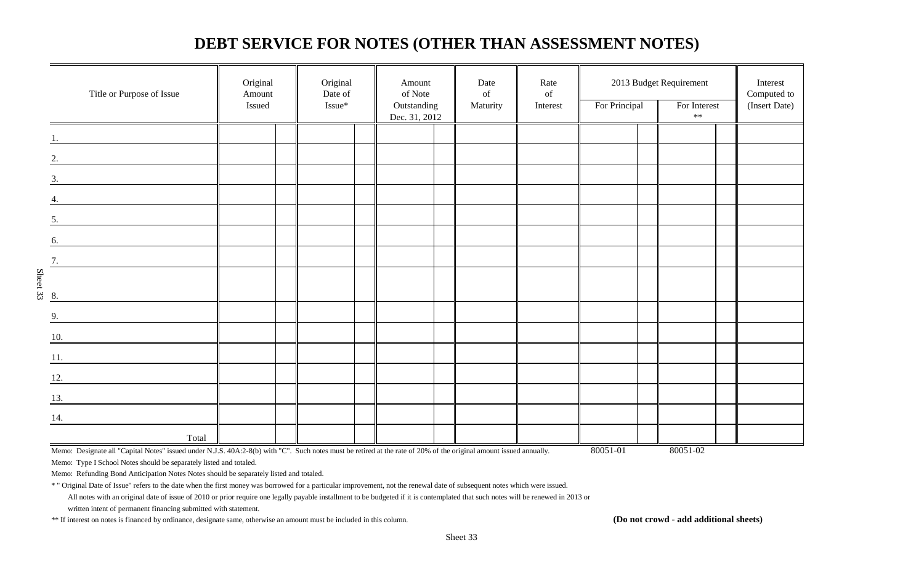### **DEBT SERVICE FOR NOTES (OTHER THAN ASSESSMENT NOTES)**

|          | Title or Purpose of Issue                                                                                                   | Original<br>Amount<br>Issued | Original<br>Date of<br>Issue* | Amount<br>of Note<br>Outstanding | Date<br>of<br>Maturity | Rate<br>$% \left( \left( \mathcal{A},\mathcal{A}\right) \right) =\left( \mathcal{A},\mathcal{A}\right)$ of<br>Interest | 2013 Budget Requirement<br>For Principal | For Interest | Interest<br>Computed to<br>(Insert Date) |
|----------|-----------------------------------------------------------------------------------------------------------------------------|------------------------------|-------------------------------|----------------------------------|------------------------|------------------------------------------------------------------------------------------------------------------------|------------------------------------------|--------------|------------------------------------------|
|          |                                                                                                                             |                              |                               | Dec. 31, 2012                    |                        |                                                                                                                        |                                          | $**$         |                                          |
|          |                                                                                                                             |                              |                               |                                  |                        |                                                                                                                        |                                          |              |                                          |
|          | 2.                                                                                                                          |                              |                               |                                  |                        |                                                                                                                        |                                          |              |                                          |
|          | 3.                                                                                                                          |                              |                               |                                  |                        |                                                                                                                        |                                          |              |                                          |
|          | 4.                                                                                                                          |                              |                               |                                  |                        |                                                                                                                        |                                          |              |                                          |
|          | 5.<br><u> 1980 - Jan Stein Harry Harry Harry Harry Harry Harry Harry Harry Harry Harry Harry Harry Harry Harry Harry H</u>  |                              |                               |                                  |                        |                                                                                                                        |                                          |              |                                          |
|          | 6.<br><u> 1989 - Jan Barbara Barbara, prima prima prima prima prima prima prima prima prima prima prima prima prima pri</u> |                              |                               |                                  |                        |                                                                                                                        |                                          |              |                                          |
|          | 7.                                                                                                                          |                              |                               |                                  |                        |                                                                                                                        |                                          |              |                                          |
| Sheet 33 |                                                                                                                             |                              |                               |                                  |                        |                                                                                                                        |                                          |              |                                          |
|          | 8.                                                                                                                          |                              |                               |                                  |                        |                                                                                                                        |                                          |              |                                          |
|          | 9.                                                                                                                          |                              |                               |                                  |                        |                                                                                                                        |                                          |              |                                          |
|          | $\underline{10}$ .                                                                                                          |                              |                               |                                  |                        |                                                                                                                        |                                          |              |                                          |
|          | 11.                                                                                                                         |                              |                               |                                  |                        |                                                                                                                        |                                          |              |                                          |
|          | $\overline{12.}$                                                                                                            |                              |                               |                                  |                        |                                                                                                                        |                                          |              |                                          |
|          | 13.<br><u> 1990 - Jan Barbara Barat, prima politik (</u>                                                                    |                              |                               |                                  |                        |                                                                                                                        |                                          |              |                                          |
|          | 14.                                                                                                                         |                              |                               |                                  |                        |                                                                                                                        |                                          |              |                                          |
|          | Total                                                                                                                       |                              |                               |                                  |                        |                                                                                                                        |                                          |              |                                          |

Memo: Type I School Notes should be separately listed and totaled.

Memo: Refunding Bond Anticipation Notes Notes should be separately listed and totaled.

\* " Original Date of Issue" refers to the date when the first money was borrowed for a particular improvement, not the renewal date of subsequent notes which were issued.

All notes with an original date of issue of 2010 or prior require one legally payable installment to be budgeted if it is contemplated that such notes will be renewed in 2013 or

written intent of permanent financing submitted with statement.

\*\* If interest on notes is financed by ordinance, designate same, otherwise an amount must be included in this column. (Do not crowd - add additional sheets)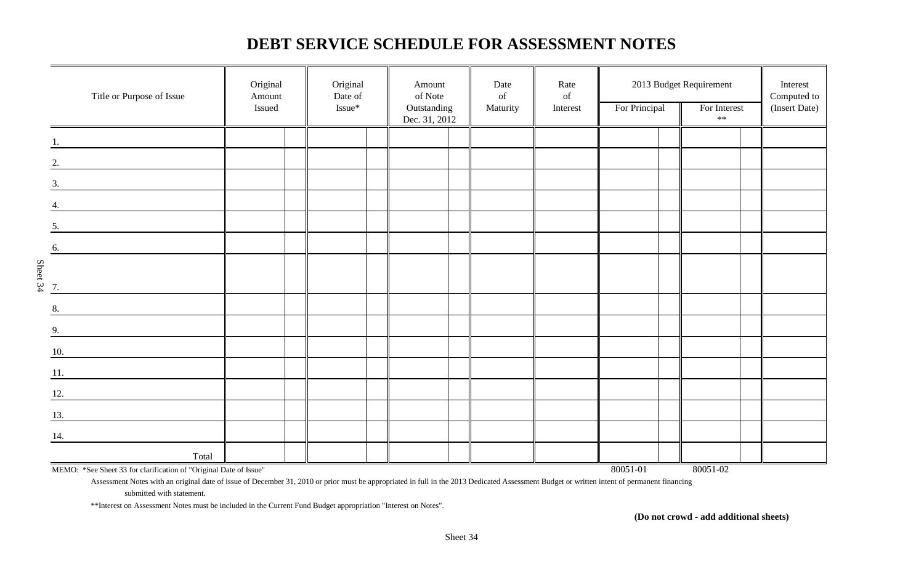### **DEBT SERVICE SCHEDULE FOR ASSESSMENT NOTES**

|          | Title or Purpose of Issue                                                                                                    | Original<br>Amount<br>Issued | Original<br>Date of<br>Issue* | Amount<br>of Note<br>Outstanding | Date<br>of<br>Maturity | Rate<br>$% \left( \left( \mathcal{A},\mathcal{A}\right) \right) =\left( \mathcal{A},\mathcal{A}\right)$ of<br>Interest | For Principal | 2013 Budget Requirement<br>For Interest<br>$\ast\ast$ | Interest<br>Computed to<br>(Insert Date) |
|----------|------------------------------------------------------------------------------------------------------------------------------|------------------------------|-------------------------------|----------------------------------|------------------------|------------------------------------------------------------------------------------------------------------------------|---------------|-------------------------------------------------------|------------------------------------------|
|          |                                                                                                                              |                              |                               | Dec. 31, 2012                    |                        |                                                                                                                        |               |                                                       |                                          |
|          |                                                                                                                              |                              |                               |                                  |                        |                                                                                                                        |               |                                                       |                                          |
|          | <u> 1989 - Johann John Stone, mars et al.</u>                                                                                |                              |                               |                                  |                        |                                                                                                                        |               |                                                       |                                          |
|          | 3.                                                                                                                           |                              |                               |                                  |                        |                                                                                                                        |               |                                                       |                                          |
|          |                                                                                                                              |                              |                               |                                  |                        |                                                                                                                        |               |                                                       |                                          |
|          |                                                                                                                              |                              |                               |                                  |                        |                                                                                                                        |               |                                                       |                                          |
|          | 5.                                                                                                                           |                              |                               |                                  |                        |                                                                                                                        |               |                                                       |                                          |
|          | 6.                                                                                                                           |                              |                               |                                  |                        |                                                                                                                        |               |                                                       |                                          |
|          |                                                                                                                              |                              |                               |                                  |                        |                                                                                                                        |               |                                                       |                                          |
| Sheet 34 | 7.                                                                                                                           |                              |                               |                                  |                        |                                                                                                                        |               |                                                       |                                          |
|          |                                                                                                                              |                              |                               |                                  |                        |                                                                                                                        |               |                                                       |                                          |
|          | 8.                                                                                                                           |                              |                               |                                  |                        |                                                                                                                        |               |                                                       |                                          |
|          | 9.                                                                                                                           |                              |                               |                                  |                        |                                                                                                                        |               |                                                       |                                          |
|          | 10.                                                                                                                          |                              |                               |                                  |                        |                                                                                                                        |               |                                                       |                                          |
|          | 11.                                                                                                                          |                              |                               |                                  |                        |                                                                                                                        |               |                                                       |                                          |
|          | 12.<br><u> 1999 - Jan Barat, prima prima prima prima prima prima prima prima prima prima prima prima prima prima prima p</u> |                              |                               |                                  |                        |                                                                                                                        |               |                                                       |                                          |
|          |                                                                                                                              |                              |                               |                                  |                        |                                                                                                                        |               |                                                       |                                          |
|          | 13.<br><u> 1980 - Jan Barat, prima prima prima prima prima prima prima prima prima prima prima prima prima prima prima p</u> |                              |                               |                                  |                        |                                                                                                                        |               |                                                       |                                          |
|          | 14.                                                                                                                          |                              |                               |                                  |                        |                                                                                                                        |               |                                                       |                                          |
|          | Total                                                                                                                        |                              |                               |                                  |                        |                                                                                                                        |               |                                                       |                                          |
|          | MEMO: *See Sheet 33 for clarification of "Original Date of Issue"                                                            |                              |                               |                                  |                        |                                                                                                                        | 80051-01      | 80051-02                                              |                                          |

Assessment Notes with an original date of issue of December 31, 2010 or prior must be appropriated in full in the 2013 Dedicated Assessment Budget or written intent of permanent financing

submitted with statement.

\*\*Interest on Assessment Notes must be included in the Current Fund Budget appropriation "Interest on Notes".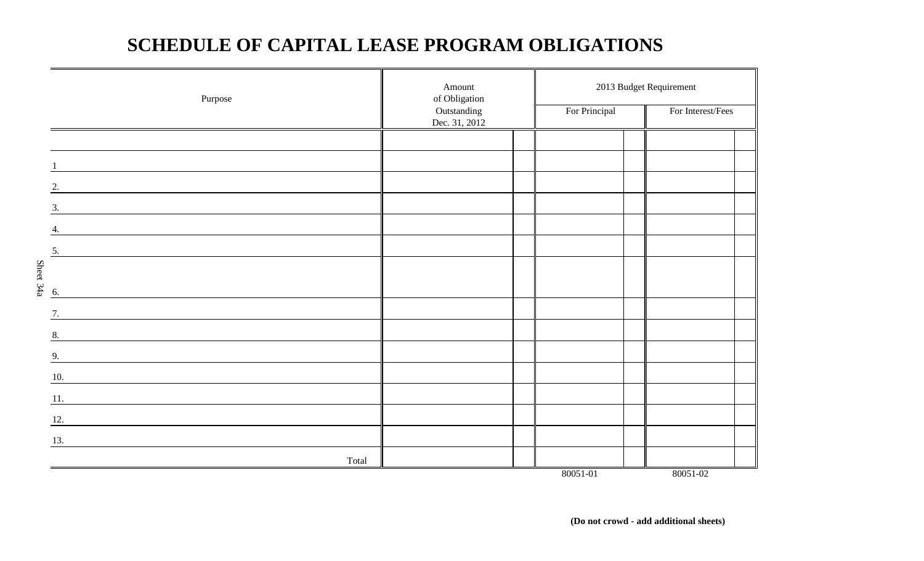## **SCHEDULE OF CAPITAL LEASE PROGRAM OBLIGATIONS**

|           | Purpose | Amount<br>of Obligation<br>Outstanding<br>Dec. 31, 2012 | For Principal | 2013 Budget Requirement<br>For Interest/Fees |  |
|-----------|---------|---------------------------------------------------------|---------------|----------------------------------------------|--|
|           |         |                                                         |               |                                              |  |
|           |         |                                                         |               |                                              |  |
|           | 2.      |                                                         |               |                                              |  |
|           | 3.      |                                                         |               |                                              |  |
|           | 4.      |                                                         |               |                                              |  |
|           | 5.      |                                                         |               |                                              |  |
|           |         |                                                         |               |                                              |  |
| Sheet 34a | 6.      |                                                         |               |                                              |  |
|           | 7.      |                                                         |               |                                              |  |
|           | 8.      |                                                         |               |                                              |  |
|           | 9.      |                                                         |               |                                              |  |
|           | 10.     |                                                         |               |                                              |  |
|           | 11.     |                                                         |               |                                              |  |
|           | 12.     |                                                         |               |                                              |  |
|           | 13.     |                                                         |               |                                              |  |
|           | Total   |                                                         | 80051-01      | 80051-02                                     |  |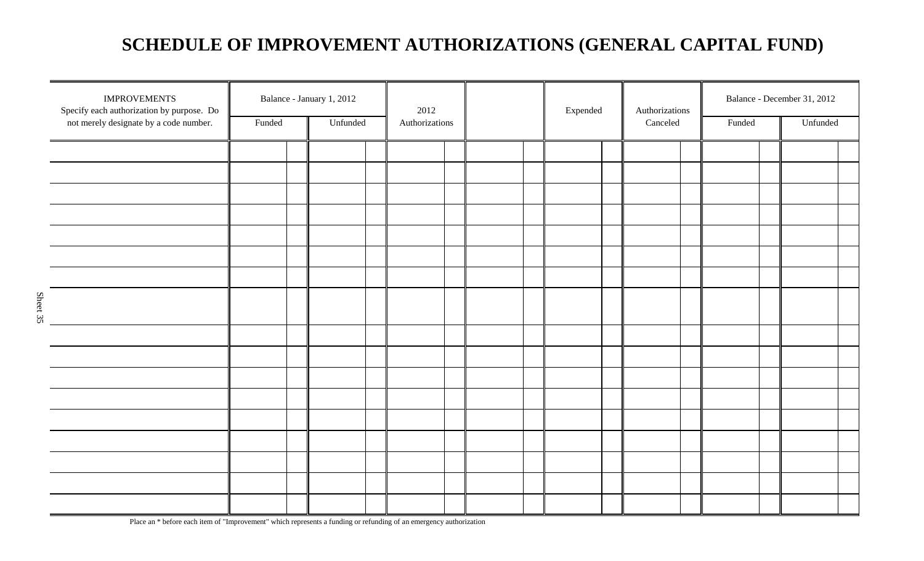## **SCHEDULE OF IMPROVEMENT AUTHORIZATIONS (GENERAL CAPITAL FUND)**

| <b>IMPROVEMENTS</b><br>Specify each authorization by purpose. Do<br>not merely designate by a code number. | Balance - January 1, 2012<br>Funded |  | Unfunded |  | 2012<br>Authorizations |  |  |  | Expended | Authorizations<br>Canceled | Funded | Balance - December 31, 2012<br>Unfunded |  |
|------------------------------------------------------------------------------------------------------------|-------------------------------------|--|----------|--|------------------------|--|--|--|----------|----------------------------|--------|-----------------------------------------|--|
|                                                                                                            |                                     |  |          |  |                        |  |  |  |          |                            |        |                                         |  |
|                                                                                                            |                                     |  |          |  |                        |  |  |  |          |                            |        |                                         |  |
|                                                                                                            |                                     |  |          |  |                        |  |  |  |          |                            |        |                                         |  |
|                                                                                                            |                                     |  |          |  |                        |  |  |  |          |                            |        |                                         |  |
|                                                                                                            |                                     |  |          |  |                        |  |  |  |          |                            |        |                                         |  |
|                                                                                                            |                                     |  |          |  |                        |  |  |  |          |                            |        |                                         |  |
|                                                                                                            |                                     |  |          |  |                        |  |  |  |          |                            |        |                                         |  |
|                                                                                                            |                                     |  |          |  |                        |  |  |  |          |                            |        |                                         |  |
|                                                                                                            |                                     |  |          |  |                        |  |  |  |          |                            |        |                                         |  |
|                                                                                                            |                                     |  |          |  |                        |  |  |  |          |                            |        |                                         |  |
|                                                                                                            |                                     |  |          |  |                        |  |  |  |          |                            |        |                                         |  |
|                                                                                                            |                                     |  |          |  |                        |  |  |  |          |                            |        |                                         |  |
|                                                                                                            |                                     |  |          |  |                        |  |  |  |          |                            |        |                                         |  |
|                                                                                                            |                                     |  |          |  |                        |  |  |  |          |                            |        |                                         |  |
|                                                                                                            |                                     |  |          |  |                        |  |  |  |          |                            |        |                                         |  |
|                                                                                                            |                                     |  |          |  |                        |  |  |  |          |                            |        |                                         |  |
|                                                                                                            |                                     |  |          |  |                        |  |  |  |          |                            |        |                                         |  |
|                                                                                                            |                                     |  |          |  |                        |  |  |  |          |                            |        |                                         |  |

Place an \* before each item of "Improvement" which represents a funding or refunding of an emergency authorization

Sheet 35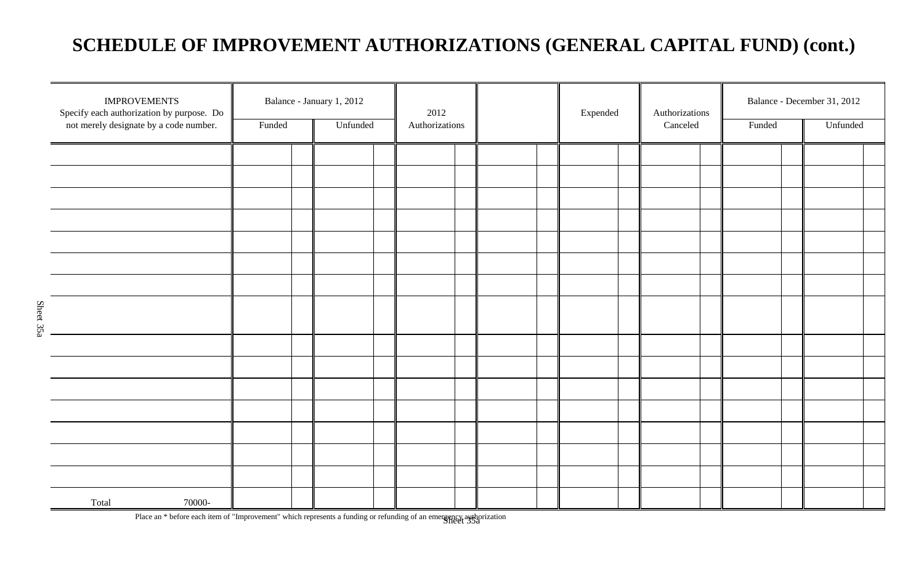## **SCHEDULE OF IMPROVEMENT AUTHORIZATIONS (GENERAL CAPITAL FUND) (cont.)**

| <b>IMPROVEMENTS</b><br>Specify each authorization by purpose. Do<br>not merely designate by a code number. | Funded | Balance - January 1, 2012<br>Unfunded | 2012<br>Authorizations |  | Expended | Authorizations<br>Canceled | Funded | Balance - December 31, 2012<br>Unfunded |
|------------------------------------------------------------------------------------------------------------|--------|---------------------------------------|------------------------|--|----------|----------------------------|--------|-----------------------------------------|
|                                                                                                            |        |                                       |                        |  |          |                            |        |                                         |
|                                                                                                            |        |                                       |                        |  |          |                            |        |                                         |
|                                                                                                            |        |                                       |                        |  |          |                            |        |                                         |
|                                                                                                            |        |                                       |                        |  |          |                            |        |                                         |
|                                                                                                            |        |                                       |                        |  |          |                            |        |                                         |
|                                                                                                            |        |                                       |                        |  |          |                            |        |                                         |
|                                                                                                            |        |                                       |                        |  |          |                            |        |                                         |
|                                                                                                            |        |                                       |                        |  |          |                            |        |                                         |
|                                                                                                            |        |                                       |                        |  |          |                            |        |                                         |
|                                                                                                            |        |                                       |                        |  |          |                            |        |                                         |
|                                                                                                            |        |                                       |                        |  |          |                            |        |                                         |
|                                                                                                            |        |                                       |                        |  |          |                            |        |                                         |
|                                                                                                            |        |                                       |                        |  |          |                            |        |                                         |
|                                                                                                            |        |                                       |                        |  |          |                            |        |                                         |
|                                                                                                            |        |                                       |                        |  |          |                            |        |                                         |
|                                                                                                            |        |                                       |                        |  |          |                            |        |                                         |
| 70000-<br>Total                                                                                            |        |                                       |                        |  |          |                            |        |                                         |

Place an \* before each item of "Improvement" which represents a funding or refunding of an emergency authorization<br>Sheet 35a

Sheet 35a

Sheet 35a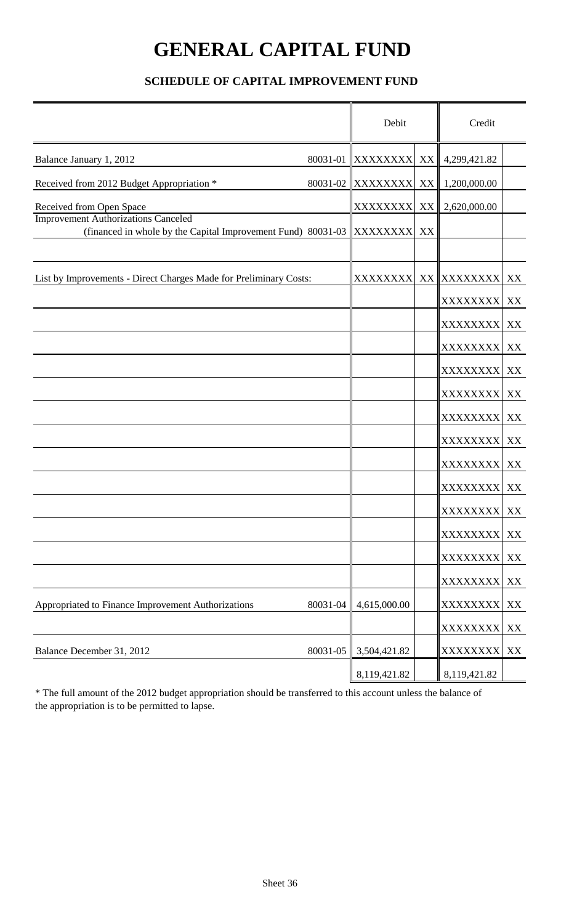# **GENERAL CAPITAL FUND**

#### **SCHEDULE OF CAPITAL IMPROVEMENT FUND**

|                                                                                                            |          | Debit             |                 | Credit           |    |
|------------------------------------------------------------------------------------------------------------|----------|-------------------|-----------------|------------------|----|
| Balance January 1, 2012                                                                                    |          | 80031-01 XXXXXXXX | XX              | 4,299,421.82     |    |
| Received from 2012 Budget Appropriation *                                                                  | 80031-02 | <b>XXXXXXXX</b>   | XX              | 1,200,000.00     |    |
| Received from Open Space                                                                                   |          | <b>XXXXXXXX</b>   | XX <sup>I</sup> | 2,620,000.00     |    |
| <b>Improvement Authorizations Canceled</b><br>(financed in whole by the Capital Improvement Fund) 80031-03 |          | <b>XXXXXXXX</b>   | XX              |                  |    |
| List by Improvements - Direct Charges Made for Preliminary Costs:                                          |          | <b>XXXXXXXXI</b>  |                 | XX XXXXXXXX XX   |    |
|                                                                                                            |          |                   |                 | XXXXXXXX XX      |    |
|                                                                                                            |          |                   |                 | XXXXXXXX XX      |    |
|                                                                                                            |          |                   |                 | XXXXXXXX XX      |    |
|                                                                                                            |          |                   |                 | <b>XXXXXXXXI</b> | XX |
|                                                                                                            |          |                   |                 | XXXXXXXX XX      |    |
|                                                                                                            |          |                   |                 | XXXXXXXX XX      |    |
|                                                                                                            |          |                   |                 | XXXXXXXX XX      |    |
|                                                                                                            |          |                   |                 | <b>XXXXXXXX</b>  | XX |
|                                                                                                            |          |                   |                 | XXXXXXXX XX      |    |
|                                                                                                            |          |                   |                 | XXXXXXXX XX      |    |
|                                                                                                            |          |                   |                 | XXXXXXXX XX      |    |
|                                                                                                            |          |                   |                 | XXXXXXXX         | XX |
|                                                                                                            |          |                   |                 | XXXXXXXX XX      |    |
| Appropriated to Finance Improvement Authorizations                                                         | 80031-04 | 4,615,000.00      |                 | XXXXXXXX XX      |    |
|                                                                                                            |          |                   |                 | XXXXXXXX         | XX |
| Balance December 31, 2012                                                                                  | 80031-05 | 3,504,421.82      |                 | XXXXXXXX         | XX |
|                                                                                                            |          | 8,119,421.82      |                 | 8,119,421.82     |    |

\* The full amount of the 2012 budget appropriation should be transferred to this account unless the balance of the appropriation is to be permitted to lapse.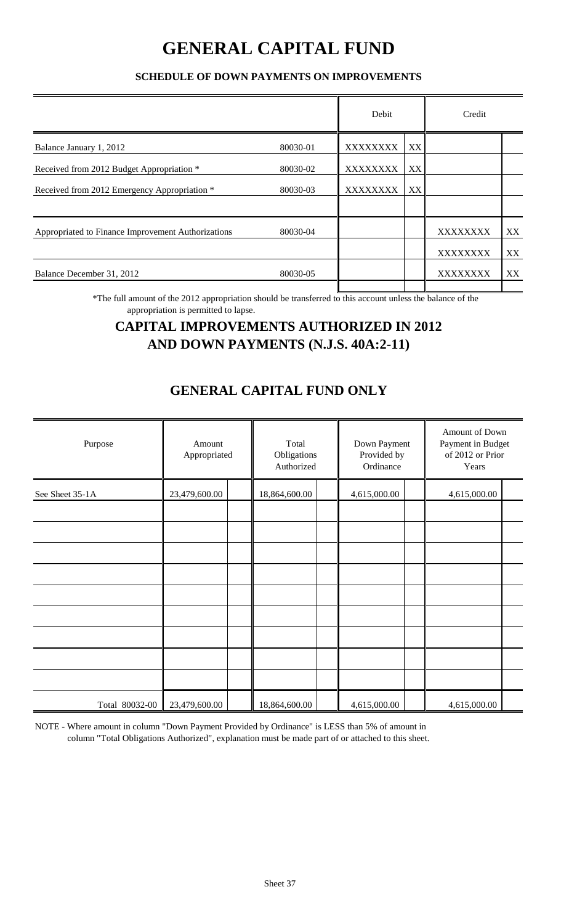## **GENERAL CAPITAL FUND**

#### **SCHEDULE OF DOWN PAYMENTS ON IMPROVEMENTS**

|                                                    |          | Debit           |    | Credit          |    |
|----------------------------------------------------|----------|-----------------|----|-----------------|----|
| Balance January 1, 2012                            | 80030-01 | <b>XXXXXXXX</b> | XX |                 |    |
| Received from 2012 Budget Appropriation *          | 80030-02 | <b>XXXXXXXX</b> | XX |                 |    |
| Received from 2012 Emergency Appropriation *       | 80030-03 | <b>XXXXXXXX</b> | XX |                 |    |
| Appropriated to Finance Improvement Authorizations | 80030-04 |                 |    | XXXXXXXX        | XX |
|                                                    |          |                 |    | <b>XXXXXXXX</b> | XX |
| Balance December 31, 2012                          | 80030-05 |                 |    | <b>XXXXXXXX</b> | XX |

\*The full amount of the 2012 appropriation should be transferred to this account unless the balance of the appropriation is permitted to lapse.

### **CAPITAL IMPROVEMENTS AUTHORIZED IN 2012 AND DOWN PAYMENTS (N.J.S. 40A:2-11)**

### **GENERAL CAPITAL FUND ONLY**

| Purpose         | Amount<br>Appropriated |  | Total<br>Obligations<br>Authorized |  |              | Down Payment<br>Provided by | Amount of Down<br>Payment in Budget<br>of 2012 or Prior<br>Years |  |
|-----------------|------------------------|--|------------------------------------|--|--------------|-----------------------------|------------------------------------------------------------------|--|
| See Sheet 35-1A | 23,479,600.00          |  | 18,864,600.00                      |  | 4,615,000.00 |                             | 4,615,000.00                                                     |  |
|                 |                        |  |                                    |  |              |                             |                                                                  |  |
|                 |                        |  |                                    |  |              |                             |                                                                  |  |
|                 |                        |  |                                    |  |              |                             |                                                                  |  |
|                 |                        |  |                                    |  |              |                             |                                                                  |  |
|                 |                        |  |                                    |  |              |                             |                                                                  |  |
|                 |                        |  |                                    |  |              |                             |                                                                  |  |
|                 |                        |  |                                    |  |              |                             |                                                                  |  |
| Total 80032-00  | 23,479,600.00          |  | 18,864,600.00                      |  | 4,615,000.00 |                             | 4,615,000.00                                                     |  |

NOTE - Where amount in column "Down Payment Provided by Ordinance" is LESS than 5% of amount in column "Total Obligations Authorized", explanation must be made part of or attached to this sheet.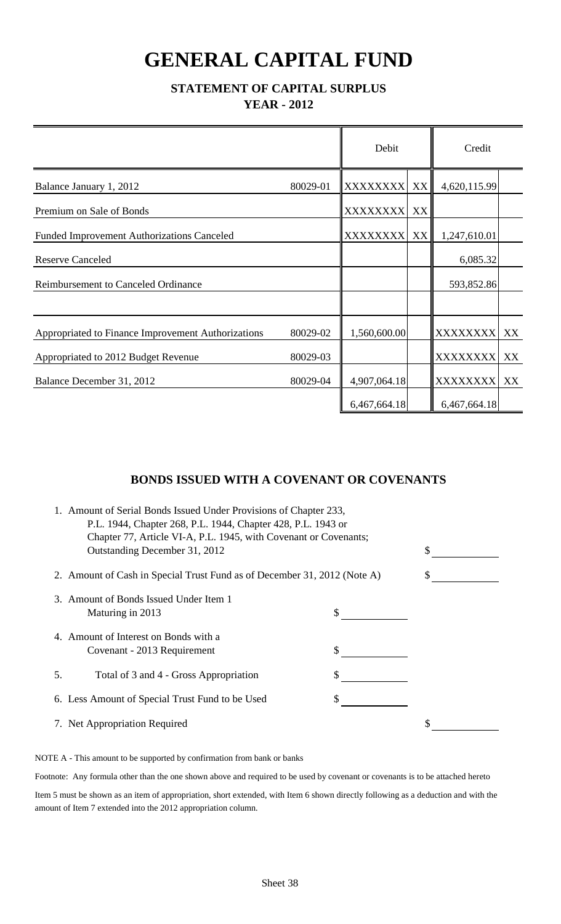# **GENERAL CAPITAL FUND**

#### **STATEMENT OF CAPITAL SURPLUS YEAR - 2012**

|                                                    |          | Debit           |    | Credit          |    |
|----------------------------------------------------|----------|-----------------|----|-----------------|----|
| Balance January 1, 2012                            | 80029-01 | <b>XXXXXXXX</b> | XX | 4,620,115.99    |    |
| Premium on Sale of Bonds                           |          | <b>XXXXXXXX</b> | XX |                 |    |
| <b>Funded Improvement Authorizations Canceled</b>  |          | <b>XXXXXXXX</b> | XX | 1,247,610.01    |    |
| <b>Reserve Canceled</b>                            |          |                 |    | 6,085.32        |    |
| <b>Reimbursement to Canceled Ordinance</b>         |          |                 |    | 593,852.86      |    |
|                                                    |          |                 |    |                 |    |
| Appropriated to Finance Improvement Authorizations | 80029-02 | 1,560,600.00    |    | XXXXXXXX XX     |    |
| Appropriated to 2012 Budget Revenue                | 80029-03 |                 |    | <b>XXXXXXXX</b> | XX |
| Balance December 31, 2012                          | 80029-04 | 4,907,064.18    |    | <b>XXXXXXXX</b> | XX |
|                                                    |          | 6,467,664.18    |    | 6,467,664.18    |    |

#### **BONDS ISSUED WITH A COVENANT OR COVENANTS**

|    | 1. Amount of Serial Bonds Issued Under Provisions of Chapter 233,<br>P.L. 1944, Chapter 268, P.L. 1944, Chapter 428, P.L. 1943 or<br>Chapter 77, Article VI-A, P.L. 1945, with Covenant or Covenants; |    |  |
|----|-------------------------------------------------------------------------------------------------------------------------------------------------------------------------------------------------------|----|--|
|    | Outstanding December 31, 2012                                                                                                                                                                         | \$ |  |
|    | 2. Amount of Cash in Special Trust Fund as of December 31, 2012 (Note A)                                                                                                                              |    |  |
|    | 3. Amount of Bonds Issued Under Item 1<br>Maturing in 2013                                                                                                                                            |    |  |
|    | 4. Amount of Interest on Bonds with a<br>Covenant - 2013 Requirement                                                                                                                                  |    |  |
| 5. | Total of 3 and 4 - Gross Appropriation                                                                                                                                                                |    |  |
|    | 6. Less Amount of Special Trust Fund to be Used                                                                                                                                                       |    |  |
|    | 7. Net Appropriation Required                                                                                                                                                                         | \$ |  |

NOTE A - This amount to be supported by confirmation from bank or banks

Footnote: Any formula other than the one shown above and required to be used by covenant or covenants is to be attached hereto

Item 5 must be shown as an item of appropriation, short extended, with Item 6 shown directly following as a deduction and with the amount of Item 7 extended into the 2012 appropriation column.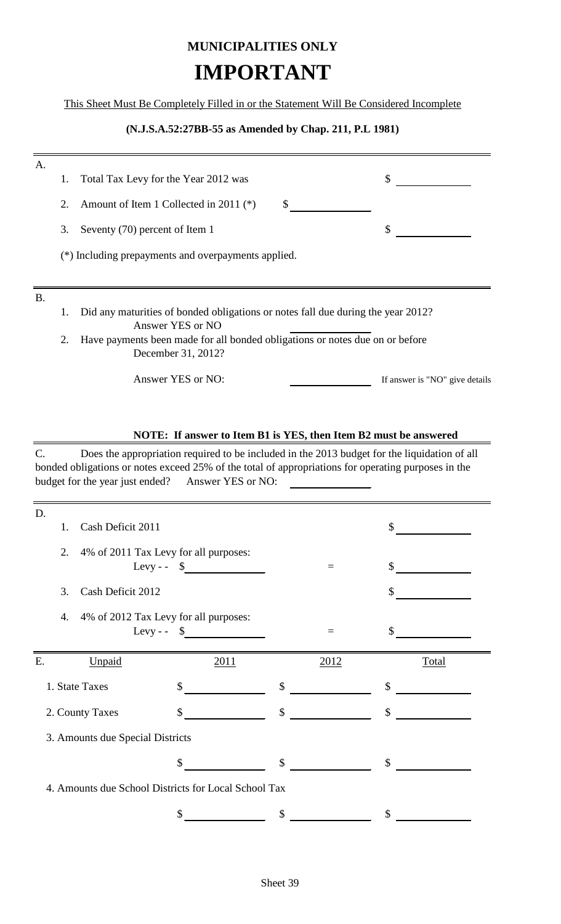## **MUNICIPALITIES ONLY IMPORTANT**

This Sheet Must Be Completely Filled in or the Statement Will Be Considered Incomplete

#### **(N.J.S.A.52:27BB-55 as Amended by Chap. 211, P.L 1981)**

| A.        |    |                                                                                                      |
|-----------|----|------------------------------------------------------------------------------------------------------|
|           | 1. | \$<br>Total Tax Levy for the Year 2012 was                                                           |
|           | 2. | Amount of Item 1 Collected in 2011 (*)<br>S                                                          |
|           | 3. | \$<br>Seventy (70) percent of Item 1                                                                 |
|           |    | (*) Including prepayments and overpayments applied.                                                  |
|           |    |                                                                                                      |
| <b>B.</b> |    |                                                                                                      |
|           | 1. |                                                                                                      |
|           |    | Did any maturities of bonded obligations or notes fall due during the year 2012?<br>Answer YES or NO |
|           | 2. | Have payments been made for all bonded obligations or notes due on or before<br>December 31, 2012?   |

#### **NOTE: If answer to Item B1 is YES, then Item B2 must be answered**

C. Does the appropriation required to be included in the 2013 budget for the liquidation of all bonded obligations or notes exceed 25% of the total of appropriations for operating purposes in the budget for the year just ended? Answer YES or NO:

| D. |                                  |                                                                 |               |      |               |  |
|----|----------------------------------|-----------------------------------------------------------------|---------------|------|---------------|--|
| 1. | Cash Deficit 2011                |                                                                 |               |      | \$            |  |
| 2. |                                  | 4% of 2011 Tax Levy for all purposes:<br>Levy - - $\frac{1}{2}$ |               | $=$  | \$            |  |
| 3. | Cash Deficit 2012                |                                                                 |               |      |               |  |
| 4. |                                  | 4% of 2012 Tax Levy for all purposes:<br>Levy-- $\frac{1}{2}$   |               | $=$  | \$            |  |
| E. | Unpaid                           | 2011                                                            |               | 2012 | Total         |  |
|    |                                  |                                                                 |               |      |               |  |
|    | 1. State Taxes                   | $\mathcal{S}$                                                   | \$            |      | \$            |  |
|    | 2. County Taxes                  | \$                                                              | $\mathcal{S}$ |      | $\mathcal{S}$ |  |
|    | 3. Amounts due Special Districts |                                                                 |               |      |               |  |
|    |                                  | \$                                                              | \$            |      | \$            |  |
|    |                                  | 4. Amounts due School Districts for Local School Tax            |               |      |               |  |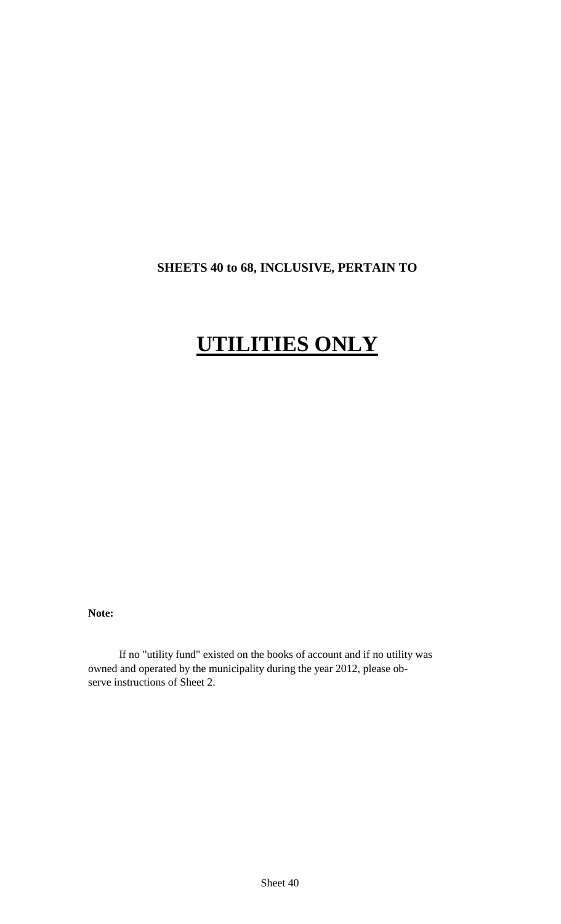### **SHEETS 40 to 68, INCLUSIVE, PERTAIN TO**

# **UTILITIES ONLY**

**Note:**

If no "utility fund" existed on the books of account and if no utility was owned and operated by the municipality during the year 2012, please observe instructions of Sheet 2.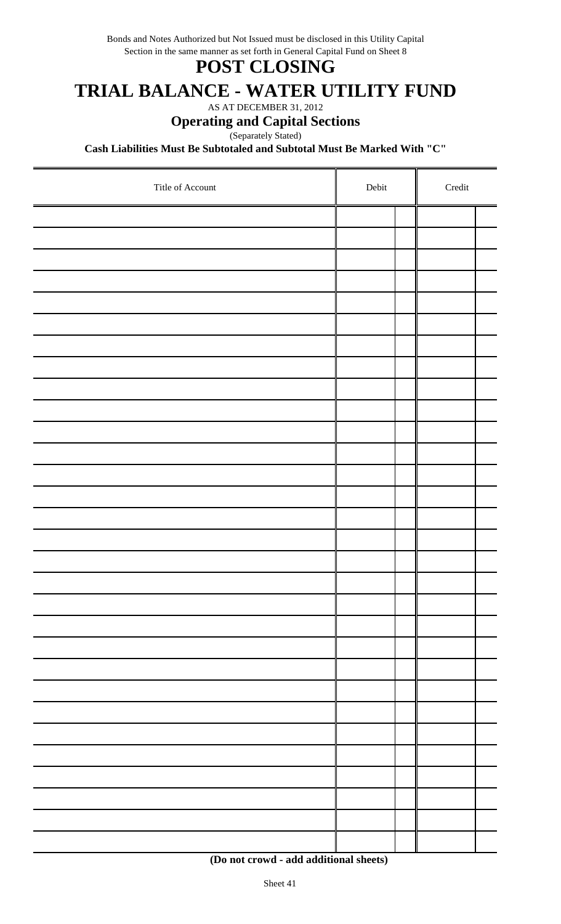Bonds and Notes Authorized but Not Issued must be disclosed in this Utility Capital Section in the same manner as set forth in General Capital Fund on Sheet 8

### **POST CLOSING**

## **TRIAL BALANCE - WATER UTILITY FUND**

AS AT DECEMBER 31, 2012

#### **Operating and Capital Sections**

Separately Stated)

**Cash Liabilities Must Be Subtotaled and Subtotal Must Be Marked With "C"**

| Title of Account | ${\rm Debit}$ | $\bf Credit$ |  |
|------------------|---------------|--------------|--|
|                  |               |              |  |
|                  |               |              |  |
|                  |               |              |  |
|                  |               |              |  |
|                  |               |              |  |
|                  |               |              |  |
|                  |               |              |  |
|                  |               |              |  |
|                  |               |              |  |
|                  |               |              |  |
|                  |               |              |  |
|                  |               |              |  |
|                  |               |              |  |
|                  |               |              |  |
|                  |               |              |  |
|                  |               |              |  |
|                  |               |              |  |
|                  |               |              |  |
|                  |               |              |  |
|                  |               |              |  |
|                  |               |              |  |
|                  |               |              |  |
|                  |               |              |  |
|                  |               |              |  |
|                  |               |              |  |
|                  |               |              |  |
|                  |               |              |  |
|                  |               |              |  |
|                  |               |              |  |
|                  |               |              |  |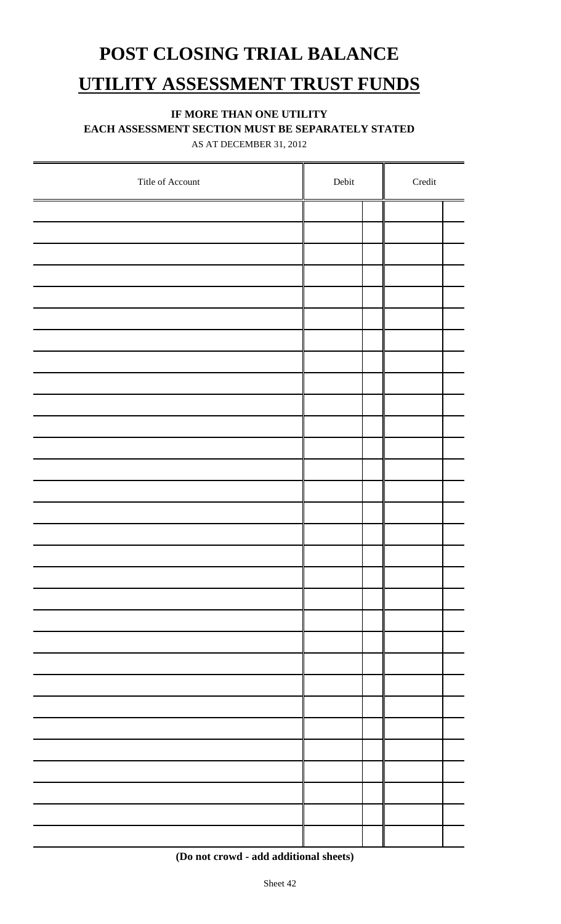# **POST CLOSING TRIAL BALANCE UTILITY ASSESSMENT TRUST FUNDS**

#### **IF MORE THAN ONE UTILITY**

**EACH ASSESSMENT SECTION MUST BE SEPARATELY STATED**

AS AT DECEMBER 31, 2012

| Title of Account | ${\rm Debit}$ | $\bf Credit$ |
|------------------|---------------|--------------|
|                  |               |              |
|                  |               |              |
|                  |               |              |
|                  |               |              |
|                  |               |              |
|                  |               |              |
|                  |               |              |
|                  |               |              |
|                  |               |              |
|                  |               |              |
|                  |               |              |
|                  |               |              |
|                  |               |              |
|                  |               |              |
|                  |               |              |
|                  |               |              |
|                  |               |              |
|                  |               |              |
|                  |               |              |
|                  |               |              |
|                  |               |              |
|                  |               |              |
|                  |               |              |
|                  |               |              |
|                  |               |              |
|                  |               |              |
|                  |               |              |
|                  |               |              |
|                  |               |              |
|                  |               |              |

 **<sup>(</sup>Do not crowd - add additional sheets)**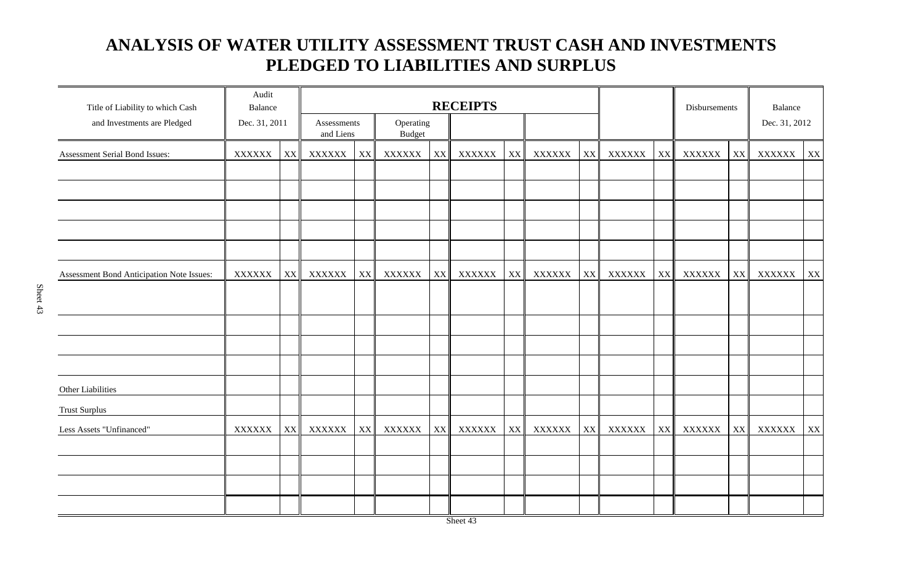### **ANALYSIS OF WATER UTILITY ASSESSMENT TRUST CASH AND INVESTMENTS PLEDGED TO LIABILITIES AND SURPLUS**

| Title of Liability to which Cash          | Audit<br>Balance |    | <b>RECEIPTS</b>          |                        |                            |    |               |    |               | Disbursements |               | Balance                 |        |    |               |    |
|-------------------------------------------|------------------|----|--------------------------|------------------------|----------------------------|----|---------------|----|---------------|---------------|---------------|-------------------------|--------|----|---------------|----|
| and Investments are Pledged               | Dec. 31, 2011    |    | Assessments<br>and Liens |                        | Operating<br><b>Budget</b> |    |               |    |               |               |               |                         |        |    | Dec. 31, 2012 |    |
| Assessment Serial Bond Issues:            | <b>XXXXXX</b>    | XX | <b>XXXXXX</b>            | $\mathbf{XX}$          | XXXXXX                     | XX | <b>XXXXXX</b> | XX | XXXXXX        | XX            | XXXXXX        | $\mathbf{XX}$           | XXXXXX | XX | XXXXXX        | XX |
|                                           |                  |    |                          |                        |                            |    |               |    |               |               |               |                         |        |    |               |    |
|                                           |                  |    |                          |                        |                            |    |               |    |               |               |               |                         |        |    |               |    |
| Assessment Bond Anticipation Note Issues: | <b>XXXXXX</b>    | XX | <b>XXXXXX</b>            | XX                     | <b>XXXXXX</b>              | XX | <b>XXXXXX</b> | XX | <b>XXXXXX</b> | XX            | XXXXXX        | $\mathbf{X} \mathbf{X}$ | XXXXXX | XX | XXXXXX        | XX |
|                                           |                  |    |                          |                        |                            |    |               |    |               |               |               |                         |        |    |               |    |
|                                           |                  |    |                          |                        |                            |    |               |    |               |               |               |                         |        |    |               |    |
|                                           |                  |    |                          |                        |                            |    |               |    |               |               |               |                         |        |    |               |    |
| Other Liabilities                         |                  |    |                          |                        |                            |    |               |    |               |               |               |                         |        |    |               |    |
| <b>Trust Surplus</b>                      |                  |    |                          |                        |                            |    |               |    |               |               |               |                         |        |    |               |    |
| Less Assets "Unfinanced"                  | <b>XXXXXX</b>    | XX | <b>XXXXXX</b>            | $\mathbf{X}\mathbf{X}$ | XXXXXX                     | XX | XXXXXX        | XX | <b>XXXXXX</b> | XX            | <b>XXXXXX</b> | XX                      | XXXXXX | XX | <b>XXXXXX</b> | XX |
|                                           |                  |    |                          |                        |                            |    |               |    |               |               |               |                         |        |    |               |    |
|                                           |                  |    |                          |                        |                            |    |               |    |               |               |               |                         |        |    |               |    |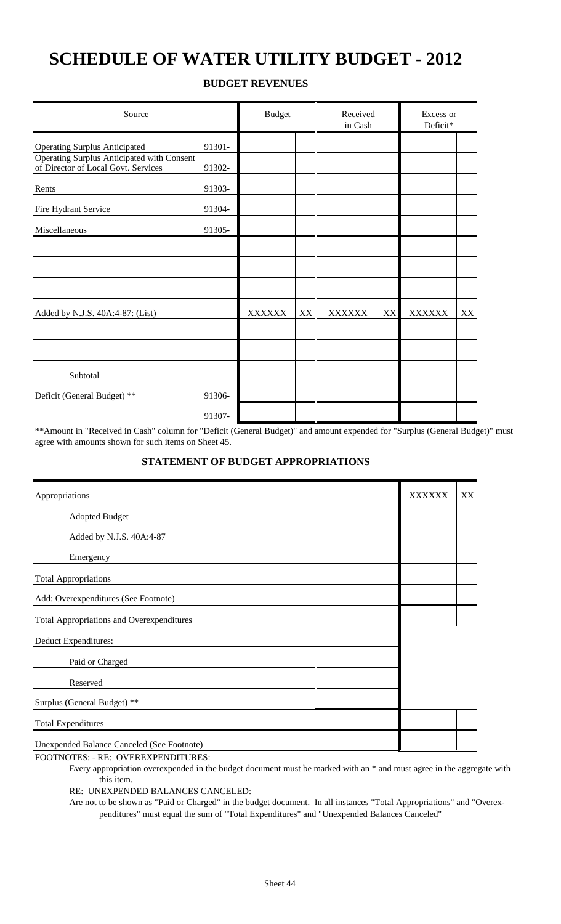## **SCHEDULE OF WATER UTILITY BUDGET - 2012**

#### **BUDGET REVENUES**

| Source                                                                            | <b>Budget</b> |               | Received<br>in Cash |               |               | Excess or     |    |
|-----------------------------------------------------------------------------------|---------------|---------------|---------------------|---------------|---------------|---------------|----|
| <b>Operating Surplus Anticipated</b>                                              | 91301-        |               |                     |               |               |               |    |
| Operating Surplus Anticipated with Consent<br>of Director of Local Govt. Services | 91302-        |               |                     |               |               |               |    |
| Rents                                                                             | 91303-        |               |                     |               |               |               |    |
| Fire Hydrant Service                                                              | 91304-        |               |                     |               |               |               |    |
| Miscellaneous                                                                     | 91305-        |               |                     |               |               |               |    |
|                                                                                   |               |               |                     |               |               |               |    |
|                                                                                   |               |               |                     |               |               |               |    |
|                                                                                   |               |               |                     |               |               |               |    |
| Added by N.J.S. 40A:4-87: (List)                                                  |               | <b>XXXXXX</b> | XX                  | <b>XXXXXX</b> | $\mathbf{XX}$ | <b>XXXXXX</b> | XX |
|                                                                                   |               |               |                     |               |               |               |    |
|                                                                                   |               |               |                     |               |               |               |    |
| Subtotal                                                                          |               |               |                     |               |               |               |    |
| Deficit (General Budget) **                                                       | 91306-        |               |                     |               |               |               |    |
|                                                                                   | 91307-        |               |                     |               |               |               |    |

\*\*Amount in "Received in Cash" column for "Deficit (General Budget)" and amount expended for "Surplus (General Budget)" must agree with amounts shown for such items on Sheet 45.

#### **STATEMENT OF BUDGET APPROPRIATIONS**

| Appropriations                                   |  | <b>XXXXXX</b> | XX |
|--------------------------------------------------|--|---------------|----|
| <b>Adopted Budget</b>                            |  |               |    |
| Added by N.J.S. 40A:4-87                         |  |               |    |
| Emergency                                        |  |               |    |
| <b>Total Appropriations</b>                      |  |               |    |
| Add: Overexpenditures (See Footnote)             |  |               |    |
| <b>Total Appropriations and Overexpenditures</b> |  |               |    |
| Deduct Expenditures:                             |  |               |    |
| Paid or Charged                                  |  |               |    |
| Reserved                                         |  |               |    |
| Surplus (General Budget) **                      |  |               |    |
| <b>Total Expenditures</b>                        |  |               |    |
| Unexpended Balance Canceled (See Footnote)       |  |               |    |
|                                                  |  |               |    |

FOOTNOTES: - RE: OVEREXPENDITURES:

Every appropriation overexpended in the budget document must be marked with an \* and must agree in the aggregate with this item.

RE: UNEXPENDED BALANCES CANCELED:

Are not to be shown as "Paid or Charged" in the budget document. In all instances "Total Appropriations" and "Overexpenditures" must equal the sum of "Total Expenditures" and "Unexpended Balances Canceled"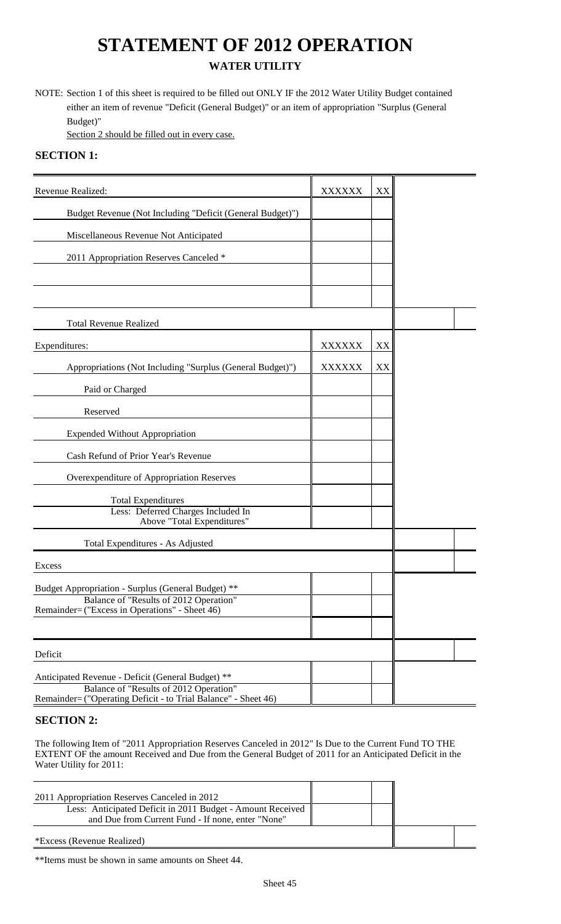## **STATEMENT OF 2012 OPERATION WATER UTILITY**

NOTE: Section 1 of this sheet is required to be filled out ONLY IF the 2012 Water Utility Budget contained either an item of revenue "Deficit (General Budget)" or an item of appropriation "Surplus (General Budget)"

Section 2 should be filled out in every case.

### **SECTION 1:**

| Revenue Realized:                                                                                                                                             | <b>XXXXXX</b> | XX |  |
|---------------------------------------------------------------------------------------------------------------------------------------------------------------|---------------|----|--|
| Budget Revenue (Not Including "Deficit (General Budget)")                                                                                                     |               |    |  |
| Miscellaneous Revenue Not Anticipated                                                                                                                         |               |    |  |
| 2011 Appropriation Reserves Canceled *                                                                                                                        |               |    |  |
|                                                                                                                                                               |               |    |  |
|                                                                                                                                                               |               |    |  |
| <b>Total Revenue Realized</b>                                                                                                                                 |               |    |  |
| Expenditures:                                                                                                                                                 | <b>XXXXXX</b> | XX |  |
| Appropriations (Not Including "Surplus (General Budget)")                                                                                                     | <b>XXXXXX</b> | XX |  |
| Paid or Charged                                                                                                                                               |               |    |  |
| Reserved                                                                                                                                                      |               |    |  |
| <b>Expended Without Appropriation</b>                                                                                                                         |               |    |  |
| Cash Refund of Prior Year's Revenue                                                                                                                           |               |    |  |
| Overexpenditure of Appropriation Reserves                                                                                                                     |               |    |  |
| <b>Total Expenditures</b><br>Less: Deferred Charges Included In                                                                                               |               |    |  |
| Above "Total Expenditures"                                                                                                                                    |               |    |  |
| Total Expenditures - As Adjusted                                                                                                                              |               |    |  |
| Excess                                                                                                                                                        |               |    |  |
| Budget Appropriation - Surplus (General Budget) **                                                                                                            |               |    |  |
| Balance of "Results of 2012 Operation"<br>Remainder= ("Excess in Operations" - Sheet 46)                                                                      |               |    |  |
|                                                                                                                                                               |               |    |  |
| Deficit                                                                                                                                                       |               |    |  |
| Anticipated Revenue - Deficit (General Budget) **<br>Balance of "Results of 2012 Operation"<br>Remainder= ("Operating Deficit - to Trial Balance" - Sheet 46) |               |    |  |

### **SECTION 2:**

The following Item of "2011 Appropriation Reserves Canceled in 2012" Is Due to the Current Fund TO THE EXTENT OF the amount Received and Due from the General Budget of 2011 for an Anticipated Deficit in the Water Utility for 2011:

| 2011 Appropriation Reserves Canceled in 2012<br>Less: Anticipated Deficit in 2011 Budget - Amount Received<br>and Due from Current Fund - If none, enter "None" |  |  |
|-----------------------------------------------------------------------------------------------------------------------------------------------------------------|--|--|
| <i>*Excess (Revenue Realized)</i>                                                                                                                               |  |  |

\*\*Items must be shown in same amounts on Sheet 44.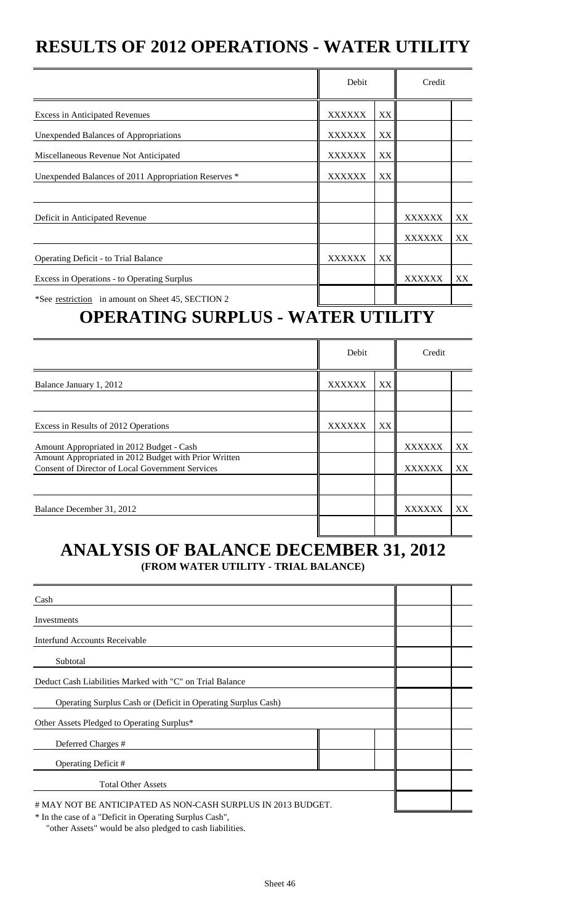## **RESULTS OF 2012 OPERATIONS - WATER UTILITY**

|                                                                                                  | Debit          |                     | Credit        |    |
|--------------------------------------------------------------------------------------------------|----------------|---------------------|---------------|----|
| <b>Excess in Anticipated Revenues</b>                                                            | <b>XXXXXX</b>  | XX                  |               |    |
| <b>Unexpended Balances of Appropriations</b>                                                     | <b>XXXXXX</b>  | XX                  |               |    |
| Miscellaneous Revenue Not Anticipated                                                            | <b>XXXXXX</b>  | XX                  |               |    |
| Unexpended Balances of 2011 Appropriation Reserves *                                             | <b>XXXXXX</b>  | XX                  |               |    |
|                                                                                                  |                |                     |               |    |
| Deficit in Anticipated Revenue                                                                   |                |                     | <b>XXXXXX</b> | XX |
|                                                                                                  |                |                     | <b>XXXXXX</b> | XX |
| <b>Operating Deficit - to Trial Balance</b>                                                      | <b>XXXXXX</b>  | XX.                 |               |    |
| Excess in Operations - to Operating Surplus                                                      |                |                     | <b>XXXXXX</b> | XX |
| *See restriction in amount on Sheet 45, SECTION 2<br>ABUR LEBIA AIDBE IIA<br>= <del>=</del> 7  ∆ | $\blacksquare$ | T 7 <b>rt 7 7 7</b> | TIMT 7        |    |

## **OPERATING SURPLUS - WATER UTILITY**

|                                                         | Debit  |    | Credit        |     |
|---------------------------------------------------------|--------|----|---------------|-----|
| Balance January 1, 2012                                 | XXXXXX | XX |               |     |
|                                                         |        |    |               |     |
| Excess in Results of 2012 Operations                    | XXXXXX | XX |               |     |
| Amount Appropriated in 2012 Budget - Cash               |        |    | <b>XXXXXX</b> | XX  |
| Amount Appropriated in 2012 Budget with Prior Written   |        |    |               |     |
| <b>Consent of Director of Local Government Services</b> |        |    | <b>XXXXXX</b> | XX. |
|                                                         |        |    |               |     |
| Balance December 31, 2012                               |        |    | XXXXXX        | XX  |
|                                                         |        |    |               |     |

## **ANALYSIS OF BALANCE DECEMBER 31, 2012 (FROM WATER UTILITY - TRIAL BALANCE)**

| Cash                                                          |  |
|---------------------------------------------------------------|--|
| Investments                                                   |  |
| Interfund Accounts Receivable                                 |  |
| Subtotal                                                      |  |
| Deduct Cash Liabilities Marked with "C" on Trial Balance      |  |
| Operating Surplus Cash or (Deficit in Operating Surplus Cash) |  |
| Other Assets Pledged to Operating Surplus*                    |  |
| Deferred Charges #                                            |  |
| Operating Deficit #                                           |  |
| <b>Total Other Assets</b>                                     |  |
| # MAY NOT BE ANTICIPATED AS NON-CASH SURPLUS IN 2013 BUDGET.  |  |

\* In the case of a "Deficit in Operating Surplus Cash",

"other Assets" would be also pledged to cash liabilities.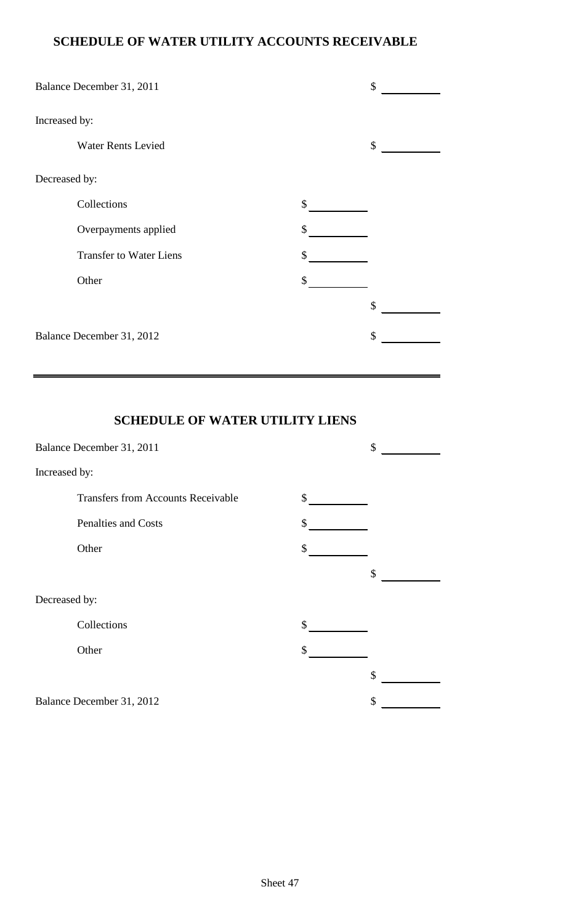### **SCHEDULE OF WATER UTILITY ACCOUNTS RECEIVABLE**

|               | Balance December 31, 2011      | \$ |
|---------------|--------------------------------|----|
| Increased by: |                                |    |
|               | <b>Water Rents Levied</b>      | \$ |
| Decreased by: |                                |    |
|               | Collections                    | \$ |
|               | Overpayments applied           | \$ |
|               | <b>Transfer to Water Liens</b> | \$ |
|               | Other                          | \$ |
|               |                                | \$ |
|               | Balance December 31, 2012      | \$ |

## **SCHEDULE OF WATER UTILITY LIENS**

| Balance December 31, 2011 | \$                                        |    |    |  |  |  |
|---------------------------|-------------------------------------------|----|----|--|--|--|
|                           | Increased by:                             |    |    |  |  |  |
|                           | <b>Transfers from Accounts Receivable</b> | \$ |    |  |  |  |
|                           | Penalties and Costs                       | \$ |    |  |  |  |
|                           | Other                                     | \$ |    |  |  |  |
|                           |                                           |    | \$ |  |  |  |
| Decreased by:             |                                           |    |    |  |  |  |
|                           | Collections                               | \$ |    |  |  |  |
|                           | Other                                     | \$ |    |  |  |  |
|                           |                                           |    | \$ |  |  |  |
|                           | Balance December 31, 2012                 |    | \$ |  |  |  |
|                           |                                           |    |    |  |  |  |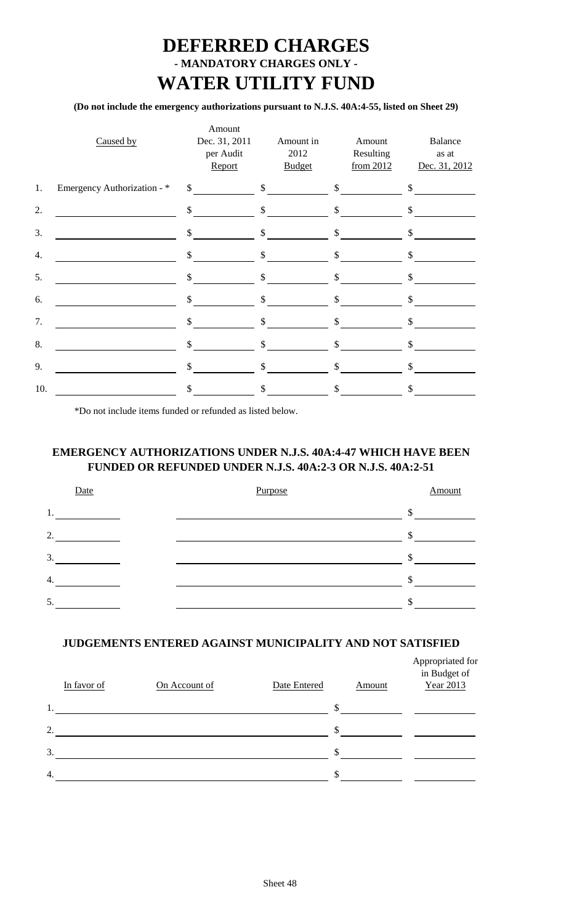## **DEFERRED CHARGES - MANDATORY CHARGES ONLY - WATER UTILITY FUND**

### **(Do not include the emergency authorizations pursuant to N.J.S. 40A:4-55, listed on Sheet 29)**

|     | Caused by                   |              | Amount<br>Dec. 31, 2011<br>per Audit<br>Report | Amount in<br>2012<br><b>Budget</b>                                                                                                          |              | Amount<br>Resulting<br>from 2012 |               | Balance<br>as at<br>Dec. 31, 2012 |
|-----|-----------------------------|--------------|------------------------------------------------|---------------------------------------------------------------------------------------------------------------------------------------------|--------------|----------------------------------|---------------|-----------------------------------|
| 1.  | Emergency Authorization - * |              |                                                | $\frac{\text{S}}{\text{S}}$ $\frac{\text{S}}{\text{S}}$ $\frac{\text{S}}{\text{S}}$ $\frac{\text{S}}{\text{S}}$ $\frac{\text{S}}{\text{S}}$ |              |                                  |               |                                   |
| 2.  |                             |              | $\sim$                                         | $\sim$                                                                                                                                      |              | $\sim$                           |               | $\mathcal{S}$                     |
| 3.  |                             |              | $\sim$                                         | $\frac{1}{2}$                                                                                                                               |              | $\mathcal{S}$                    | $\mathsf{\$}$ |                                   |
| 4.  |                             |              | $\sim$                                         | $\mathsf{\$}$                                                                                                                               |              | $\frac{1}{2}$                    | \$            |                                   |
| 5.  |                             | $\mathbb{S}$ |                                                | \$                                                                                                                                          | $\mathsf{S}$ |                                  | \$            |                                   |
| 6.  |                             | \$           |                                                | \$                                                                                                                                          | \$           |                                  | \$            |                                   |
| 7.  |                             | \$           |                                                | \$                                                                                                                                          | \$           |                                  | \$            |                                   |
| 8.  |                             | \$           |                                                | \$                                                                                                                                          | \$           |                                  | \$            |                                   |
| 9.  |                             | \$           |                                                | \$                                                                                                                                          | \$           |                                  | \$            |                                   |
| 10. |                             | \$           |                                                | \$                                                                                                                                          | \$.          |                                  | \$.           |                                   |

\*Do not include items funded or refunded as listed below.

### **EMERGENCY AUTHORIZATIONS UNDER N.J.S. 40A:4-47 WHICH HAVE BEEN FUNDED OR REFUNDED UNDER N.J.S. 40A:2-3 OR N.J.S. 40A:2-51**

| Date | Purpose | Amount             |
|------|---------|--------------------|
| 1.   |         | Φ<br>$\mathcal{D}$ |
| 2.   |         | ۰D                 |
| 3.   |         |                    |
| 4.   |         |                    |
| 5.   |         |                    |

### **JUDGEMENTS ENTERED AGAINST MUNICIPALITY AND NOT SATISFIED**

|    | In favor of | On Account of | Date Entered | <b>Amount</b> | Appropriated for<br>in Budget of<br>Year 2013 |
|----|-------------|---------------|--------------|---------------|-----------------------------------------------|
| 1. |             |               |              | \$            |                                               |
| 2. |             |               |              | \$            |                                               |
| 3. |             |               |              | \$            |                                               |
| 4. |             |               |              | \$            |                                               |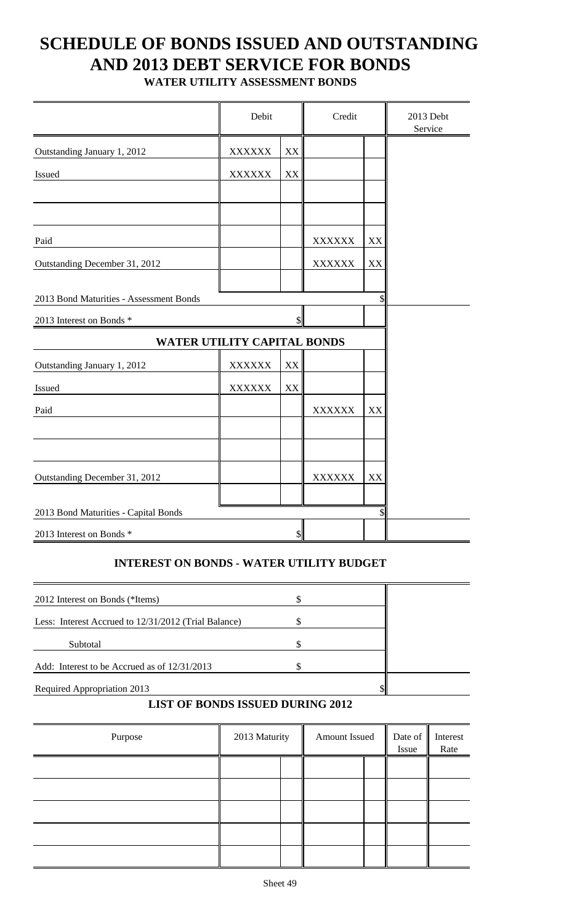## **SCHEDULE OF BONDS ISSUED AND OUTSTANDING AND 2013 DEBT SERVICE FOR BONDS**

**WATER UTILITY ASSESSMENT BONDS**

|                                         | Debit         |                           | Credit                         |          | 2013 Debt<br>Service |
|-----------------------------------------|---------------|---------------------------|--------------------------------|----------|----------------------|
| Outstanding January 1, 2012             | <b>XXXXXX</b> | $\mathbf{X}\mathbf{X}$    |                                |          |                      |
| Issued                                  | <b>XXXXXX</b> | XX                        |                                |          |                      |
|                                         |               |                           |                                |          |                      |
| Paid<br>Outstanding December 31, 2012   |               |                           | <b>XXXXXX</b><br><b>XXXXXX</b> | XX<br>XX |                      |
| 2013 Bond Maturities - Assessment Bonds |               |                           |                                | \$       |                      |
| 2013 Interest on Bonds *                |               | $\mathcal{S}$             |                                |          |                      |
| WATER UTILITY CAPITAL BONDS             |               |                           |                                |          |                      |
| Outstanding January 1, 2012             | <b>XXXXXX</b> | XX                        |                                |          |                      |
| Issued                                  | <b>XXXXXX</b> | XX                        |                                |          |                      |
| Paid                                    |               |                           | <b>XXXXXX</b>                  | XX       |                      |
|                                         |               |                           |                                |          |                      |
| Outstanding December 31, 2012           |               |                           | <b>XXXXXX</b>                  | XX       |                      |
| 2013 Bond Maturities - Capital Bonds    |               |                           |                                | \$       |                      |
| 2013 Interest on Bonds *                |               | $\boldsymbol{\mathsf{S}}$ |                                |          |                      |

### **INTEREST ON BONDS - WATER UTILITY BUDGET**

| 2012 Interest on Bonds (*Items)                      |  |  |
|------------------------------------------------------|--|--|
|                                                      |  |  |
| Less: Interest Accrued to 12/31/2012 (Trial Balance) |  |  |
|                                                      |  |  |
| Subtotal                                             |  |  |
| Add: Interest to be Accrued as of 12/31/2013         |  |  |
|                                                      |  |  |
| Required Appropriation 2013                          |  |  |

### **LIST OF BONDS ISSUED DURING 2012**

| Purpose | 2013 Maturity | Amount Issued | Date of $\ $<br>Issue | Interest<br>Rate |
|---------|---------------|---------------|-----------------------|------------------|
|         |               |               |                       |                  |
|         |               |               |                       |                  |
|         |               |               |                       |                  |
|         |               |               |                       |                  |
|         |               |               |                       |                  |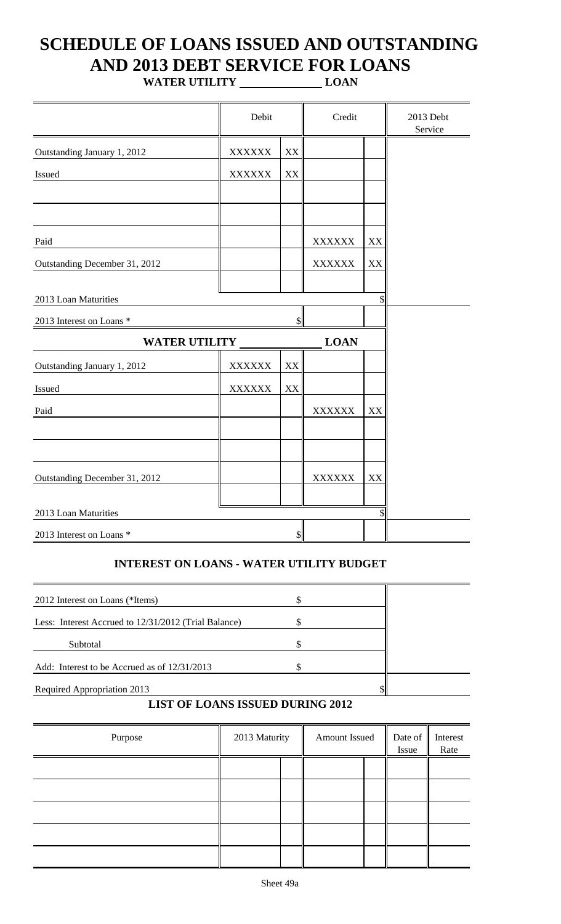# **SCHEDULE OF LOANS ISSUED AND OUTSTANDING AND 2013 DEBT SERVICE FOR LOANS**

**WATER UTILITY LOAN**

|                               | Debit         |               | Credit        |    | 2013 Debt<br>Service |
|-------------------------------|---------------|---------------|---------------|----|----------------------|
| Outstanding January 1, 2012   | <b>XXXXXX</b> | XX            |               |    |                      |
| Issued                        | <b>XXXXXX</b> | XX            |               |    |                      |
|                               |               |               |               |    |                      |
| Paid                          |               |               | <b>XXXXXX</b> | XX |                      |
| Outstanding December 31, 2012 |               |               | <b>XXXXXX</b> | XX |                      |
| 2013 Loan Maturities          |               |               |               | \$ |                      |
| 2013 Interest on Loans *      |               | \$            |               |    |                      |
| <b>WATER UTILITY</b>          |               |               | <b>LOAN</b>   |    |                      |
| Outstanding January 1, 2012   | <b>XXXXXX</b> | XX            |               |    |                      |
| Issued                        | <b>XXXXXX</b> | XX            |               |    |                      |
| Paid                          |               |               | <b>XXXXXX</b> | XX |                      |
|                               |               |               |               |    |                      |
| Outstanding December 31, 2012 |               |               | <b>XXXXXX</b> | XX |                      |
| 2013 Loan Maturities          |               |               |               | \$ |                      |
| 2013 Interest on Loans *      |               | $\frac{1}{2}$ |               |    |                      |

### **INTEREST ON LOANS - WATER UTILITY BUDGET**

| 2012 Interest on Loans (*Items)                      |  |
|------------------------------------------------------|--|
| Less: Interest Accrued to 12/31/2012 (Trial Balance) |  |
| Subtotal                                             |  |
| Add: Interest to be Accrued as of 12/31/2013         |  |
| Required Appropriation 2013                          |  |

### **LIST OF LOANS ISSUED DURING 2012**

| Purpose | 2013 Maturity | Amount Issued | Issue | Date of Interest<br>Rate |
|---------|---------------|---------------|-------|--------------------------|
|         |               |               |       |                          |
|         |               |               |       |                          |
|         |               |               |       |                          |
|         |               |               |       |                          |
|         |               |               |       |                          |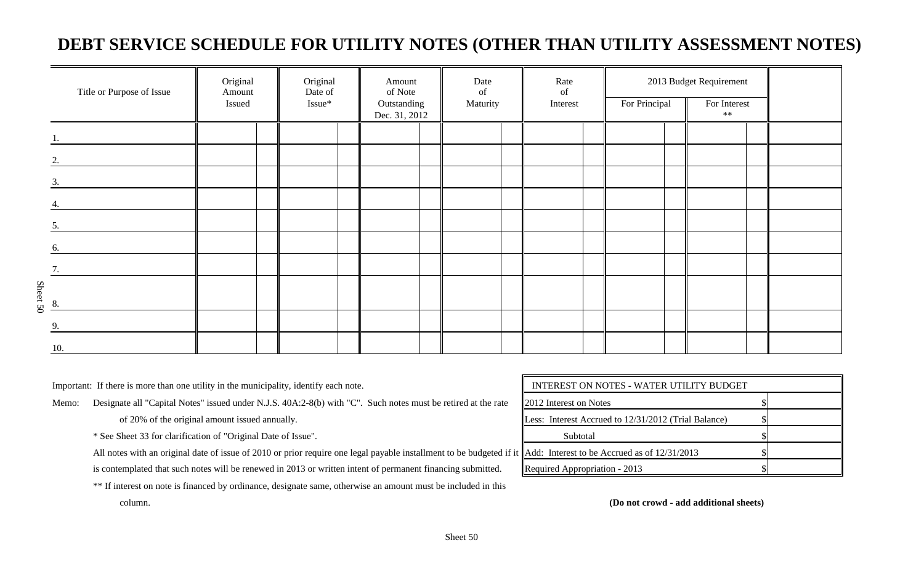## **DEBT SERVICE SCHEDULE FOR UTILITY NOTES (OTHER THAN UTILITY ASSESSMENT NOTES)**

|                | Title or Purpose of Issue | Original<br>Amount<br>Issued | Original<br>Date of<br>Issue* | Amount<br>of Note<br>Outstanding<br>Dec. 31, 2012 | Date<br>of<br>Maturity | Rate<br>of<br>Interest | For Principal | 2013 Budget Requirement<br>For Interest<br>$**$ |  |
|----------------|---------------------------|------------------------------|-------------------------------|---------------------------------------------------|------------------------|------------------------|---------------|-------------------------------------------------|--|
|                |                           |                              |                               |                                                   |                        |                        |               |                                                 |  |
| 2.             |                           |                              |                               |                                                   |                        |                        |               |                                                 |  |
| 3.             |                           |                              |                               |                                                   |                        |                        |               |                                                 |  |
|                |                           |                              |                               |                                                   |                        |                        |               |                                                 |  |
| 5.             |                           |                              |                               |                                                   |                        |                        |               |                                                 |  |
| 6.             |                           |                              |                               |                                                   |                        |                        |               |                                                 |  |
| $\mathcal{I}$  |                           |                              |                               |                                                   |                        |                        |               |                                                 |  |
| Sheet 50<br>8. |                           |                              |                               |                                                   |                        |                        |               |                                                 |  |
| 9.             |                           |                              |                               |                                                   |                        |                        |               |                                                 |  |
| 10.            |                           |                              |                               |                                                   |                        |                        |               |                                                 |  |

Important: If there is more than one utility in the municipality, identify each note.

Memo: Designate all "Capital Notes" issued under N.J.S. 40A:2-8(b) with "C". Such notes must be retired at the rate

of 20% of the original amount issued annually.

\* See Sheet 33 for clarification of "Original Date of Issue".

All notes with an original date of issue of 2010 or prior require one legal payable installment to be budgeted if it

is contemplated that such notes will be renewed in 2013 or written intent of permanent financing submitted.

\*\* If interest on note is financed by ordinance, designate same, otherwise an amount must be included in this

| INTEREST ON NOTES - WATER UTILITY BUDGET             |  |
|------------------------------------------------------|--|
| <b>2012</b> Interest on Notes                        |  |
| Less: Interest Accrued to 12/31/2012 (Trial Balance) |  |
| Subtotal                                             |  |
| Add: Interest to be Accrued as of $12/31/2013$       |  |
| Required Appropriation - 2013                        |  |

column. **(Do not crowd - add additional sheets)**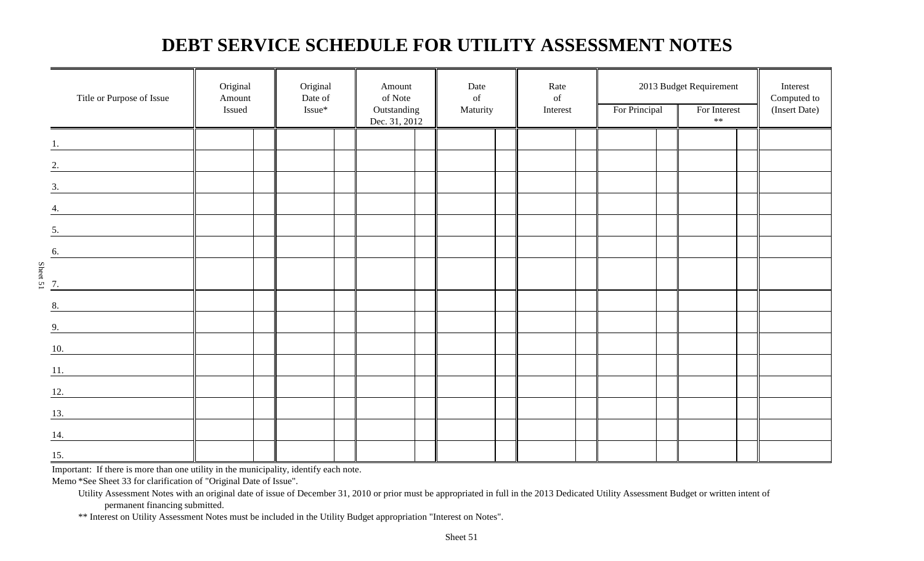## **DEBT SERVICE SCHEDULE FOR UTILITY ASSESSMENT NOTES**

|                   | Title or Purpose of Issue         | Original<br>Amount<br>Issued | Original<br>Date of<br>Issue* | Amount<br>of Note<br>Outstanding<br>Dec. 31, 2012 | Date<br>$% \left( \left( \mathcal{A},\mathcal{A}\right) \right)$ of<br>Maturity | Rate<br>of<br>Interest | 2013 Budget Requirement<br>For Principal<br>$\ast\ast$ |  | For Interest | Interest<br>Computed to<br>(Insert Date) |
|-------------------|-----------------------------------|------------------------------|-------------------------------|---------------------------------------------------|---------------------------------------------------------------------------------|------------------------|--------------------------------------------------------|--|--------------|------------------------------------------|
|                   |                                   |                              |                               |                                                   |                                                                                 |                        |                                                        |  |              |                                          |
|                   |                                   |                              |                               |                                                   |                                                                                 |                        |                                                        |  |              |                                          |
| 2.                |                                   |                              |                               |                                                   |                                                                                 |                        |                                                        |  |              |                                          |
| 3.                |                                   |                              |                               |                                                   |                                                                                 |                        |                                                        |  |              |                                          |
| 4.                |                                   |                              |                               |                                                   |                                                                                 |                        |                                                        |  |              |                                          |
| 5.                |                                   |                              |                               |                                                   |                                                                                 |                        |                                                        |  |              |                                          |
| $\underline{6}$ . |                                   |                              |                               |                                                   |                                                                                 |                        |                                                        |  |              |                                          |
| Sheet 51          |                                   |                              |                               |                                                   |                                                                                 |                        |                                                        |  |              |                                          |
|                   |                                   |                              |                               |                                                   |                                                                                 |                        |                                                        |  |              |                                          |
| 8.                | the control of the control of the |                              |                               |                                                   |                                                                                 |                        |                                                        |  |              |                                          |
| 9.                |                                   |                              |                               |                                                   |                                                                                 |                        |                                                        |  |              |                                          |
| 10.               |                                   |                              |                               |                                                   |                                                                                 |                        |                                                        |  |              |                                          |
|                   |                                   |                              |                               |                                                   |                                                                                 |                        |                                                        |  |              |                                          |
| 12.               |                                   |                              |                               |                                                   |                                                                                 |                        |                                                        |  |              |                                          |
| 13.               |                                   |                              |                               |                                                   |                                                                                 |                        |                                                        |  |              |                                          |
| 14.               |                                   |                              |                               |                                                   |                                                                                 |                        |                                                        |  |              |                                          |
| 15.               |                                   |                              |                               |                                                   |                                                                                 |                        |                                                        |  |              |                                          |

Important: If there is more than one utility in the municipality, identify each note.

Memo \*See Sheet 33 for clarification of "Original Date of Issue".

Utility Assessment Notes with an original date of issue of December 31, 2010 or prior must be appropriated in full in the 2013 Dedicated Utility Assessment Budget or written intent of permanent financing submitted.

\*\* Interest on Utility Assessment Notes must be included in the Utility Budget appropriation "Interest on Notes".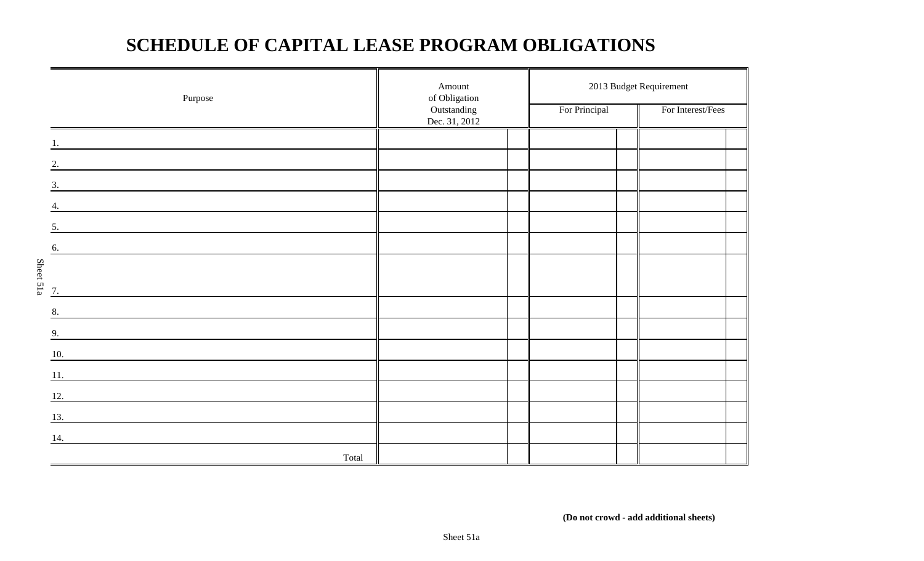## **SCHEDULE OF CAPITAL LEASE PROGRAM OBLIGATIONS**

|           | Purpose                                                                                                              | Amount<br>of Obligation      |               | 2013 Budget Requirement |  |  |
|-----------|----------------------------------------------------------------------------------------------------------------------|------------------------------|---------------|-------------------------|--|--|
|           |                                                                                                                      | Outstanding<br>Dec. 31, 2012 | For Principal | For Interest/Fees       |  |  |
|           | <u> 1980 - Jan Samuel Barbara, martin da shekara 1980 - An tsara 1980 - An tsara 1980 - An tsara 1980 - An tsara</u> |                              |               |                         |  |  |
|           | 2.                                                                                                                   |                              |               |                         |  |  |
|           | 3.                                                                                                                   |                              |               |                         |  |  |
|           | 4.                                                                                                                   |                              |               |                         |  |  |
|           | 5.                                                                                                                   |                              |               |                         |  |  |
|           | 6.                                                                                                                   |                              |               |                         |  |  |
| Sheet 51a |                                                                                                                      |                              |               |                         |  |  |
|           | 7.                                                                                                                   |                              |               |                         |  |  |
|           | 8.<br><u> 1989 - Johann Stein, Amerikaansk politiker (</u>                                                           |                              |               |                         |  |  |
|           | 9.                                                                                                                   |                              |               |                         |  |  |
|           | 10.<br><u> 1989 - John Stein, Amerikaansk politiker (</u>                                                            |                              |               |                         |  |  |
|           | 11.<br><u> 1989 - Andrea Andrew Maria (b. 1989)</u>                                                                  |                              |               |                         |  |  |
|           | 12.<br><u> 1989 - Johann Barnett, fransk politiker (d. 1989)</u>                                                     |                              |               |                         |  |  |
|           | 13.                                                                                                                  |                              |               |                         |  |  |
|           | 14.                                                                                                                  |                              |               |                         |  |  |
|           | Total                                                                                                                |                              |               |                         |  |  |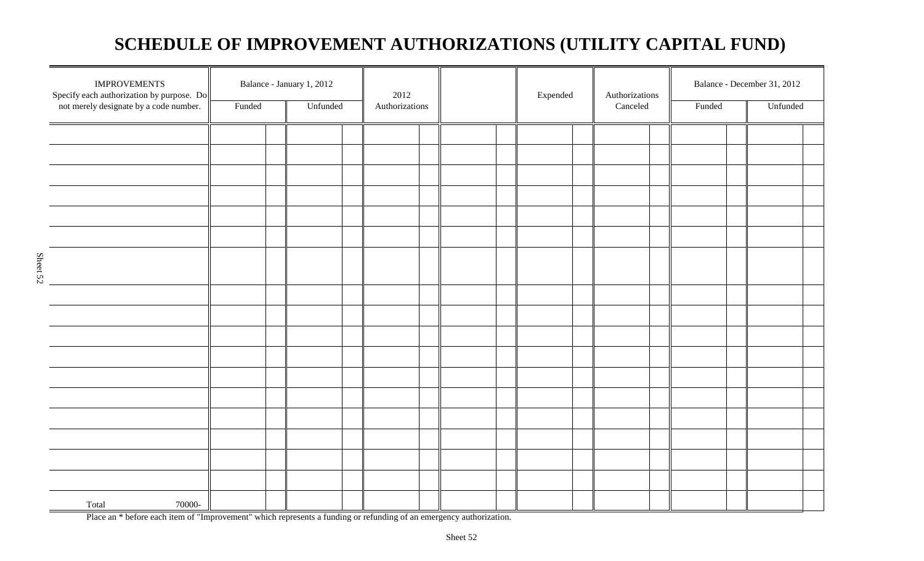## **SCHEDULE OF IMPROVEMENT AUTHORIZATIONS (UTILITY CAPITAL FUND)**

| <b>IMPROVEMENTS</b><br>Specify each authorization by purpose. Do<br>not merely designate by a code number. | Funded | Balance - January 1, 2012<br>Unfunded | 2012<br>Authorizations |  |  | Expended<br>Authorizations<br>Canceled |  | Balance - December 31, 2012<br>Unfunded<br>Funded |  |  |
|------------------------------------------------------------------------------------------------------------|--------|---------------------------------------|------------------------|--|--|----------------------------------------|--|---------------------------------------------------|--|--|
|                                                                                                            |        |                                       |                        |  |  |                                        |  |                                                   |  |  |
|                                                                                                            |        |                                       |                        |  |  |                                        |  |                                                   |  |  |
|                                                                                                            |        |                                       |                        |  |  |                                        |  |                                                   |  |  |
|                                                                                                            |        |                                       |                        |  |  |                                        |  |                                                   |  |  |
|                                                                                                            |        |                                       |                        |  |  |                                        |  |                                                   |  |  |
|                                                                                                            |        |                                       |                        |  |  |                                        |  |                                                   |  |  |
|                                                                                                            |        |                                       |                        |  |  |                                        |  |                                                   |  |  |
|                                                                                                            |        |                                       |                        |  |  |                                        |  |                                                   |  |  |
|                                                                                                            |        |                                       |                        |  |  |                                        |  |                                                   |  |  |
|                                                                                                            |        |                                       |                        |  |  |                                        |  |                                                   |  |  |
|                                                                                                            |        |                                       |                        |  |  |                                        |  |                                                   |  |  |
|                                                                                                            |        |                                       |                        |  |  |                                        |  |                                                   |  |  |
|                                                                                                            |        |                                       |                        |  |  |                                        |  |                                                   |  |  |
|                                                                                                            |        |                                       |                        |  |  |                                        |  |                                                   |  |  |
|                                                                                                            |        |                                       |                        |  |  |                                        |  |                                                   |  |  |
|                                                                                                            |        |                                       |                        |  |  |                                        |  |                                                   |  |  |
|                                                                                                            |        |                                       |                        |  |  |                                        |  |                                                   |  |  |
|                                                                                                            |        |                                       |                        |  |  |                                        |  |                                                   |  |  |
|                                                                                                            |        |                                       |                        |  |  |                                        |  |                                                   |  |  |
| Total<br>70000-                                                                                            |        |                                       |                        |  |  |                                        |  |                                                   |  |  |

Place an \* before each item of "Improvement" which represents a funding or refunding of an emergency authorization.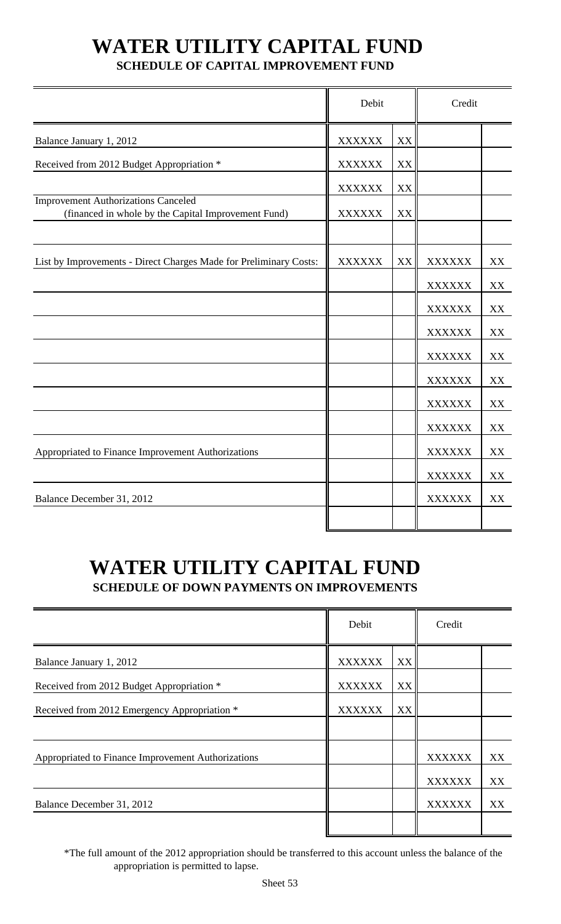# **WATER UTILITY CAPITAL FUND**

### **SCHEDULE OF CAPITAL IMPROVEMENT FUND**

|                                                                                                   | Debit         |    | Credit        |    |
|---------------------------------------------------------------------------------------------------|---------------|----|---------------|----|
| Balance January 1, 2012                                                                           | <b>XXXXXX</b> | XX |               |    |
| Received from 2012 Budget Appropriation *                                                         | <b>XXXXXX</b> | XX |               |    |
|                                                                                                   | <b>XXXXXX</b> | XX |               |    |
| <b>Improvement Authorizations Canceled</b><br>(financed in whole by the Capital Improvement Fund) | <b>XXXXXX</b> | XX |               |    |
| List by Improvements - Direct Charges Made for Preliminary Costs:                                 | <b>XXXXXX</b> | XX | <b>XXXXXX</b> | XX |
|                                                                                                   |               |    | <b>XXXXXX</b> | XX |
|                                                                                                   |               |    | <b>XXXXXX</b> | XX |
|                                                                                                   |               |    | <b>XXXXXX</b> | XX |
|                                                                                                   |               |    | <b>XXXXXX</b> | XX |
|                                                                                                   |               |    | <b>XXXXXX</b> | XX |
|                                                                                                   |               |    | <b>XXXXXX</b> | XX |
|                                                                                                   |               |    | <b>XXXXXX</b> | XX |
| Appropriated to Finance Improvement Authorizations                                                |               |    | <b>XXXXXX</b> | XX |
|                                                                                                   |               |    | <b>XXXXXX</b> | XX |
| Balance December 31, 2012                                                                         |               |    | <b>XXXXXX</b> | XX |
|                                                                                                   |               |    |               |    |

## **WATER UTILITY CAPITAL FUND SCHEDULE OF DOWN PAYMENTS ON IMPROVEMENTS**

|                                                    | Debit         |    | Credit        |    |
|----------------------------------------------------|---------------|----|---------------|----|
| Balance January 1, 2012                            | <b>XXXXXX</b> | XX |               |    |
| Received from 2012 Budget Appropriation *          | <b>XXXXXX</b> | XX |               |    |
| Received from 2012 Emergency Appropriation *       | <b>XXXXXX</b> | XX |               |    |
|                                                    |               |    |               |    |
| Appropriated to Finance Improvement Authorizations |               |    | <b>XXXXXX</b> | XX |
|                                                    |               |    | <b>XXXXXX</b> | XX |
| Balance December 31, 2012                          |               |    | <b>XXXXXX</b> | XX |
|                                                    |               |    |               |    |

\*The full amount of the 2012 appropriation should be transferred to this account unless the balance of the appropriation is permitted to lapse.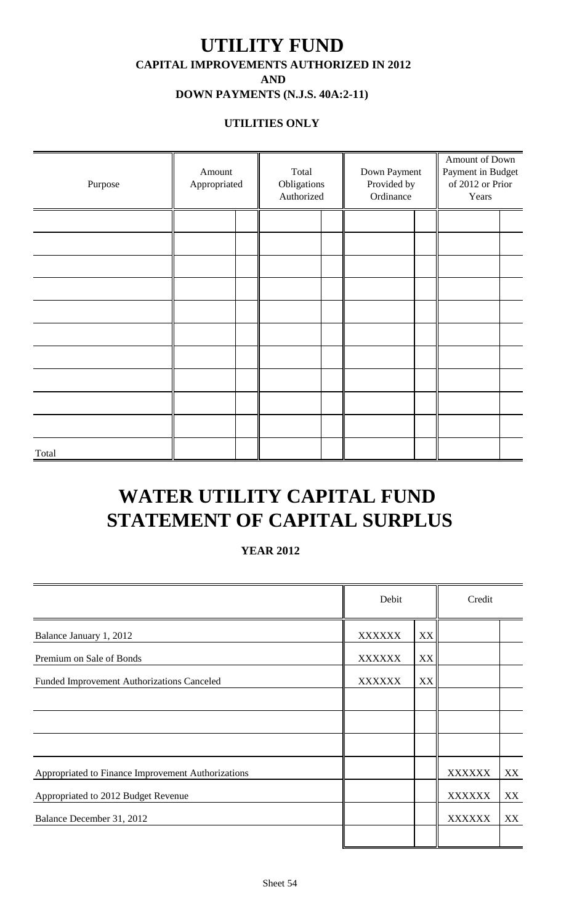## **UTILITY FUND CAPITAL IMPROVEMENTS AUTHORIZED IN 2012 AND**

## **DOWN PAYMENTS (N.J.S. 40A:2-11)**

### **UTILITIES ONLY**

| Purpose | Amount<br>Appropriated | Total<br>Obligations<br>Authorized | Down Payment<br>Provided by<br>Ordinance | Amount of Down<br>Payment in Budget<br>of 2012 or Prior<br>Years |  |  |
|---------|------------------------|------------------------------------|------------------------------------------|------------------------------------------------------------------|--|--|
|         |                        |                                    |                                          |                                                                  |  |  |
|         |                        |                                    |                                          |                                                                  |  |  |
|         |                        |                                    |                                          |                                                                  |  |  |
|         |                        |                                    |                                          |                                                                  |  |  |
|         |                        |                                    |                                          |                                                                  |  |  |
|         |                        |                                    |                                          |                                                                  |  |  |
|         |                        |                                    |                                          |                                                                  |  |  |
|         |                        |                                    |                                          |                                                                  |  |  |
|         |                        |                                    |                                          |                                                                  |  |  |
|         |                        |                                    |                                          |                                                                  |  |  |
| Total   |                        |                                    |                                          |                                                                  |  |  |

## **WATER UTILITY CAPITAL FUND STATEMENT OF CAPITAL SURPLUS**

### **YEAR 2012**

|                                                    | Debit         |    | Credit        |    |
|----------------------------------------------------|---------------|----|---------------|----|
| Balance January 1, 2012                            | <b>XXXXXX</b> | XX |               |    |
| Premium on Sale of Bonds                           | <b>XXXXXX</b> | XX |               |    |
| Funded Improvement Authorizations Canceled         | <b>XXXXXX</b> | XX |               |    |
|                                                    |               |    |               |    |
|                                                    |               |    |               |    |
|                                                    |               |    |               |    |
| Appropriated to Finance Improvement Authorizations |               |    | <b>XXXXXX</b> | XX |
| Appropriated to 2012 Budget Revenue                |               |    | <b>XXXXXX</b> | XX |
| Balance December 31, 2012                          |               |    | <b>XXXXXX</b> | XX |
|                                                    |               |    |               |    |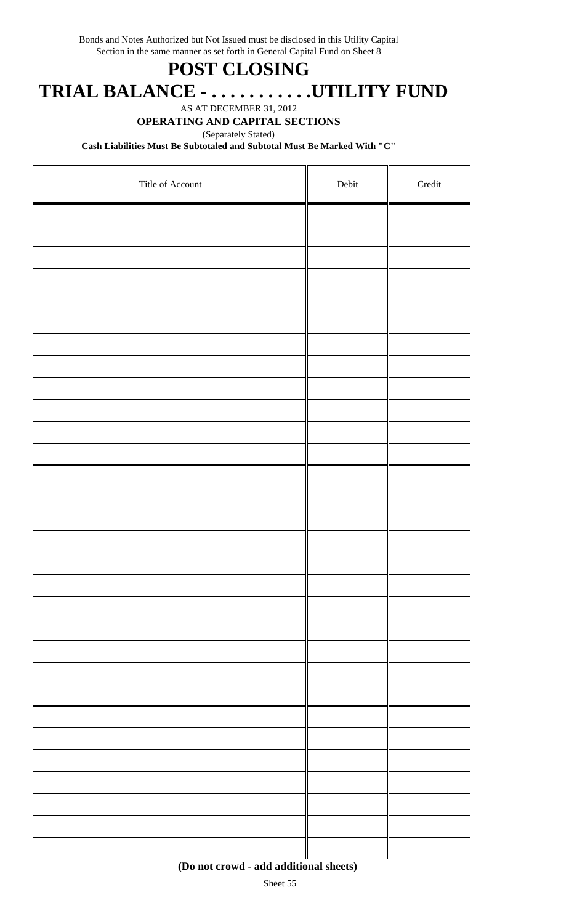Bonds and Notes Authorized but Not Issued must be disclosed in this Utility Capital Section in the same manner as set forth in General Capital Fund on Sheet 8

## **POST CLOSING**

 **TRIAL BALANCE - . . . . . . . . . . .UTILITY FUND**

AS AT DECEMBER 31, 2012

### **OPERATING AND CAPITAL SECTIONS**

(Separately Stated)

**Cash Liabilities Must Be Subtotaled and Subtotal Must Be Marked With "C"**

| Title of Account | ${\rm Debit}$ |  | $\bf Credit$ |  |
|------------------|---------------|--|--------------|--|
|                  |               |  |              |  |
|                  |               |  |              |  |
|                  |               |  |              |  |
|                  |               |  |              |  |
|                  |               |  |              |  |
|                  |               |  |              |  |
|                  |               |  |              |  |
|                  |               |  |              |  |
|                  |               |  |              |  |
|                  |               |  |              |  |
|                  |               |  |              |  |
|                  |               |  |              |  |
|                  |               |  |              |  |
|                  |               |  |              |  |
|                  |               |  |              |  |
|                  |               |  |              |  |
|                  |               |  |              |  |
|                  |               |  |              |  |
|                  |               |  |              |  |
|                  |               |  |              |  |
|                  |               |  |              |  |
|                  |               |  |              |  |
|                  |               |  |              |  |
|                  |               |  |              |  |
|                  |               |  |              |  |
|                  |               |  |              |  |
|                  |               |  |              |  |
|                  |               |  |              |  |
|                  |               |  |              |  |
|                  |               |  |              |  |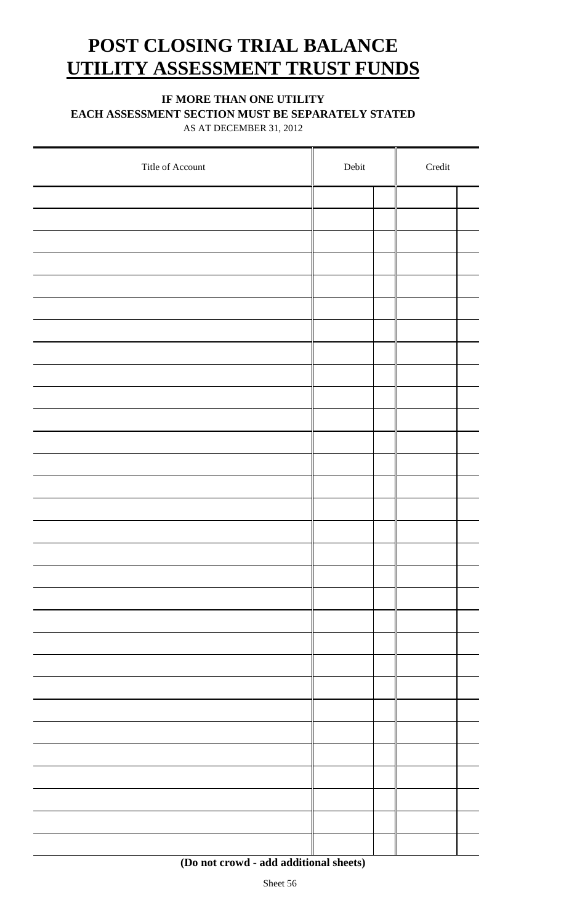## **POST CLOSING TRIAL BALANCE UTILITY ASSESSMENT TRUST FUNDS**

### **IF MORE THAN ONE UTILITY**

**EACH ASSESSMENT SECTION MUST BE SEPARATELY STATED**

AS AT DECEMBER 31, 2012

| Title of Account | Debit | $\bf Credit$ |  |  |
|------------------|-------|--------------|--|--|
|                  |       |              |  |  |
|                  |       |              |  |  |
|                  |       |              |  |  |
|                  |       |              |  |  |
|                  |       |              |  |  |
|                  |       |              |  |  |
|                  |       |              |  |  |
|                  |       |              |  |  |
|                  |       |              |  |  |
|                  |       |              |  |  |
|                  |       |              |  |  |
|                  |       |              |  |  |
|                  |       |              |  |  |
|                  |       |              |  |  |
|                  |       |              |  |  |
|                  |       |              |  |  |
|                  |       |              |  |  |
|                  |       |              |  |  |
|                  |       |              |  |  |
|                  |       |              |  |  |
|                  |       |              |  |  |
|                  |       |              |  |  |
|                  |       |              |  |  |
|                  |       |              |  |  |
|                  |       |              |  |  |
|                  |       |              |  |  |
|                  |       |              |  |  |
|                  |       |              |  |  |
|                  |       |              |  |  |
|                  |       |              |  |  |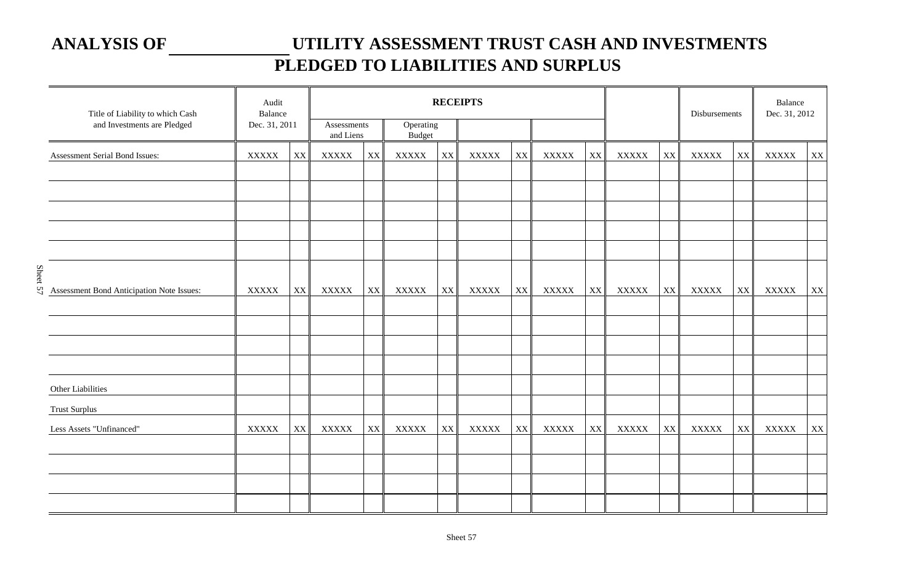## **ANALYSIS OF UTILITY ASSESSMENT TRUST CASH AND INVESTMENTS PLEDGED TO LIABILITIES AND SURPLUS**

| Title of Liability to which Cash          | Audit<br>Balance |                        |                          | <b>RECEIPTS</b> |                            |                         |              |    |              |                        | Disbursements  |    | Balance<br>Dec. 31, 2012 |    |              |                        |  |  |
|-------------------------------------------|------------------|------------------------|--------------------------|-----------------|----------------------------|-------------------------|--------------|----|--------------|------------------------|----------------|----|--------------------------|----|--------------|------------------------|--|--|
| and Investments are Pledged               | Dec. 31, 2011    |                        | Assessments<br>and Liens |                 | Operating<br><b>Budget</b> |                         |              |    |              |                        |                |    |                          |    |              |                        |  |  |
| Assessment Serial Bond Issues:            | $\bold{XXXXX}$   | $\mathbf{X}\mathbf{X}$ | $\bold{XXXXX}$           | XX              | <b>XXXXX</b>               | XX                      | <b>XXXXX</b> | XX | <b>XXXXX</b> | $\mathbf{X}\mathbf{X}$ | $\bold{XXXXX}$ | XX | <b>XXXXX</b>             | XX | <b>XXXXX</b> | $\mathbf{X}\mathbf{X}$ |  |  |
|                                           |                  |                        |                          |                 |                            |                         |              |    |              |                        |                |    |                          |    |              |                        |  |  |
|                                           |                  |                        |                          |                 |                            |                         |              |    |              |                        |                |    |                          |    |              |                        |  |  |
|                                           |                  |                        |                          |                 |                            |                         |              |    |              |                        |                |    |                          |    |              |                        |  |  |
|                                           |                  |                        |                          |                 |                            |                         |              |    |              |                        |                |    |                          |    |              |                        |  |  |
| Assessment Bond Anticipation Note Issues: | <b>XXXXX</b>     | $\mathbf{XX}$          | <b>XXXXX</b>             | XX              | <b>XXXXX</b>               | $\mathbf{X} \mathbf{X}$ | <b>XXXXX</b> | XX | <b>XXXXX</b> | XX                     | <b>XXXXX</b>   | XX | <b>XXXXX</b>             | XX | <b>XXXXX</b> | $\mathbf{XX}$          |  |  |
|                                           |                  |                        |                          |                 |                            |                         |              |    |              |                        |                |    |                          |    |              |                        |  |  |
|                                           |                  |                        |                          |                 |                            |                         |              |    |              |                        |                |    |                          |    |              |                        |  |  |
|                                           |                  |                        |                          |                 |                            |                         |              |    |              |                        |                |    |                          |    |              |                        |  |  |
| Other Liabilities                         |                  |                        |                          |                 |                            |                         |              |    |              |                        |                |    |                          |    |              |                        |  |  |
| <b>Trust Surplus</b>                      |                  |                        |                          |                 |                            |                         |              |    |              |                        |                |    |                          |    |              |                        |  |  |
| Less Assets "Unfinanced"                  | <b>XXXXX</b>     | XX                     | <b>XXXXX</b>             | XX              | <b>XXXXX</b>               | XX                      | <b>XXXXX</b> | XX | <b>XXXXX</b> | XX                     | <b>XXXXX</b>   | XX | <b>XXXXX</b>             | XX | <b>XXXXX</b> | XX                     |  |  |
|                                           |                  |                        |                          |                 |                            |                         |              |    |              |                        |                |    |                          |    |              |                        |  |  |
|                                           |                  |                        |                          |                 |                            |                         |              |    |              |                        |                |    |                          |    |              |                        |  |  |
|                                           |                  |                        |                          |                 |                            |                         |              |    |              |                        |                |    |                          |    |              |                        |  |  |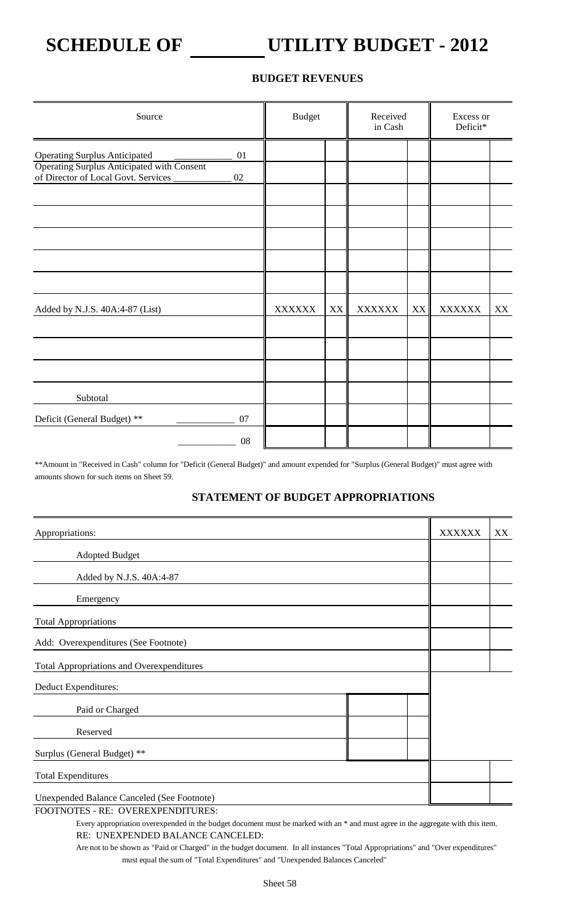## **SCHEDULE OF UTILITY BUDGET - 2012**

### **BUDGET REVENUES**

| Source                                                                                                                    |              | <b>Budget</b><br>Received<br>in Cash |    | Excess or<br>Deficit* |    |               |    |
|---------------------------------------------------------------------------------------------------------------------------|--------------|--------------------------------------|----|-----------------------|----|---------------|----|
| <b>Operating Surplus Anticipated</b><br>Operating Surplus Anticipated with Consent<br>of Director of Local Govt. Services | 01<br>$02\,$ |                                      |    |                       |    |               |    |
| Added by N.J.S. 40A:4-87 (List)                                                                                           |              | <b>XXXXXX</b>                        | XX | <b>XXXXXX</b>         | XX | <b>XXXXXX</b> | XX |
| Subtotal                                                                                                                  |              |                                      |    |                       |    |               |    |
| Deficit (General Budget) **                                                                                               | 07<br>08     |                                      |    |                       |    |               |    |

\*\*Amount in "Received in Cash" column for "Deficit (General Budget)" and amount expended for "Surplus (General Budget)" must agree with amounts shown for such items on Sheet 59.

### **STATEMENT OF BUDGET APPROPRIATIONS**

| Appropriations:                                   | <b>XXXXXX</b> | XX |
|---------------------------------------------------|---------------|----|
| <b>Adopted Budget</b>                             |               |    |
| Added by N.J.S. 40A:4-87                          |               |    |
| Emergency                                         |               |    |
| <b>Total Appropriations</b>                       |               |    |
| Add: Overexpenditures (See Footnote)              |               |    |
| <b>Total Appropriations and Overexpenditures</b>  |               |    |
| Deduct Expenditures:                              |               |    |
| Paid or Charged                                   |               |    |
| Reserved                                          |               |    |
| Surplus (General Budget) **                       |               |    |
| <b>Total Expenditures</b>                         |               |    |
| <b>Unexpended Balance Canceled (See Footnote)</b> |               |    |

FOOTNOTES - RE: OVEREXPENDITURES:

Every appropriation overexpended in the budget document must be marked with an \* and must agree in the aggregate with this item. RE: UNEXPENDED BALANCE CANCELED:

Are not to be shown as "Paid or Charged" in the budget document. In all instances "Total Appropriations" and "Over expenditures" must equal the sum of "Total Expenditures" and "Unexpended Balances Canceled"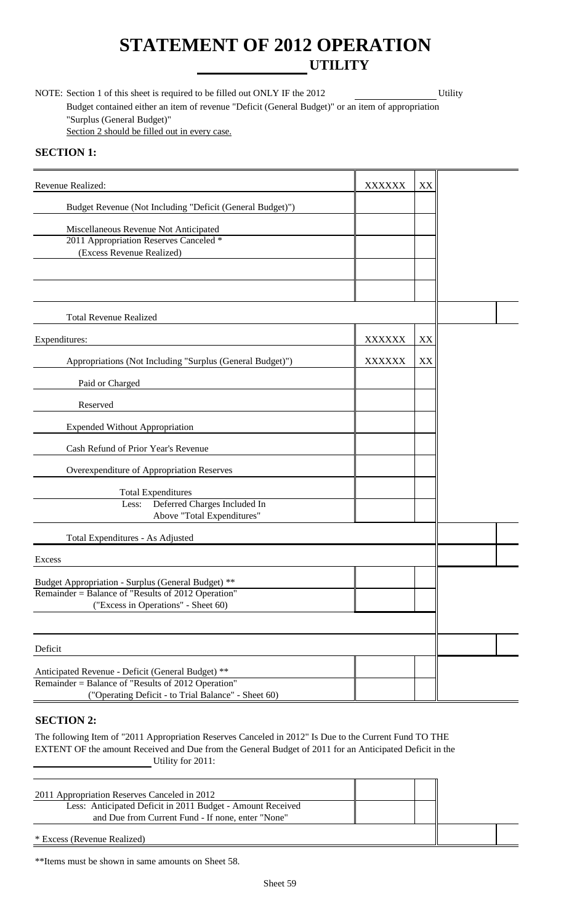## **STATEMENT OF 2012 OPERATION UTILITY**

NOTE: Section 1 of this sheet is required to be filled out ONLY IF the 2012 Utility Budget contained either an item of revenue "Deficit (General Budget)" or an item of appropriation "Surplus (General Budget)" Section 2 should be filled out in every case.

### **SECTION 1:**

| Revenue Realized:                                                                                       | <b>XXXXXX</b> | XX |  |
|---------------------------------------------------------------------------------------------------------|---------------|----|--|
| Budget Revenue (Not Including "Deficit (General Budget)")                                               |               |    |  |
| Miscellaneous Revenue Not Anticipated                                                                   |               |    |  |
| 2011 Appropriation Reserves Canceled *<br>(Excess Revenue Realized)                                     |               |    |  |
|                                                                                                         |               |    |  |
|                                                                                                         |               |    |  |
|                                                                                                         |               |    |  |
| <b>Total Revenue Realized</b>                                                                           |               |    |  |
| Expenditures:                                                                                           | <b>XXXXXX</b> | XX |  |
| Appropriations (Not Including "Surplus (General Budget)")                                               | <b>XXXXXX</b> | XX |  |
| Paid or Charged                                                                                         |               |    |  |
| Reserved                                                                                                |               |    |  |
| <b>Expended Without Appropriation</b>                                                                   |               |    |  |
| Cash Refund of Prior Year's Revenue                                                                     |               |    |  |
| Overexpenditure of Appropriation Reserves                                                               |               |    |  |
| <b>Total Expenditures</b>                                                                               |               |    |  |
| Deferred Charges Included In<br>Less:                                                                   |               |    |  |
| Above "Total Expenditures"                                                                              |               |    |  |
| Total Expenditures - As Adjusted                                                                        |               |    |  |
| Excess                                                                                                  |               |    |  |
| Budget Appropriation - Surplus (General Budget) **                                                      |               |    |  |
| Remainder = Balance of "Results of 2012 Operation"                                                      |               |    |  |
| ("Excess in Operations" - Sheet 60)                                                                     |               |    |  |
|                                                                                                         |               |    |  |
| Deficit                                                                                                 |               |    |  |
|                                                                                                         |               |    |  |
| Anticipated Revenue - Deficit (General Budget) **<br>Remainder = Balance of "Results of 2012 Operation" |               |    |  |
| ("Operating Deficit - to Trial Balance" - Sheet 60)                                                     |               |    |  |

### **SECTION 2:**

The following Item of "2011 Appropriation Reserves Canceled in 2012" Is Due to the Current Fund TO THE EXTENT OF the amount Received and Due from the General Budget of 2011 for an Anticipated Deficit in the Utility for 2011:

| 2011 Appropriation Reserves Canceled in 2012               |  |  |
|------------------------------------------------------------|--|--|
| Less: Anticipated Deficit in 2011 Budget - Amount Received |  |  |
| and Due from Current Fund - If none, enter "None"          |  |  |
| * Excess (Revenue Realized)                                |  |  |

\*\*Items must be shown in same amounts on Sheet 58.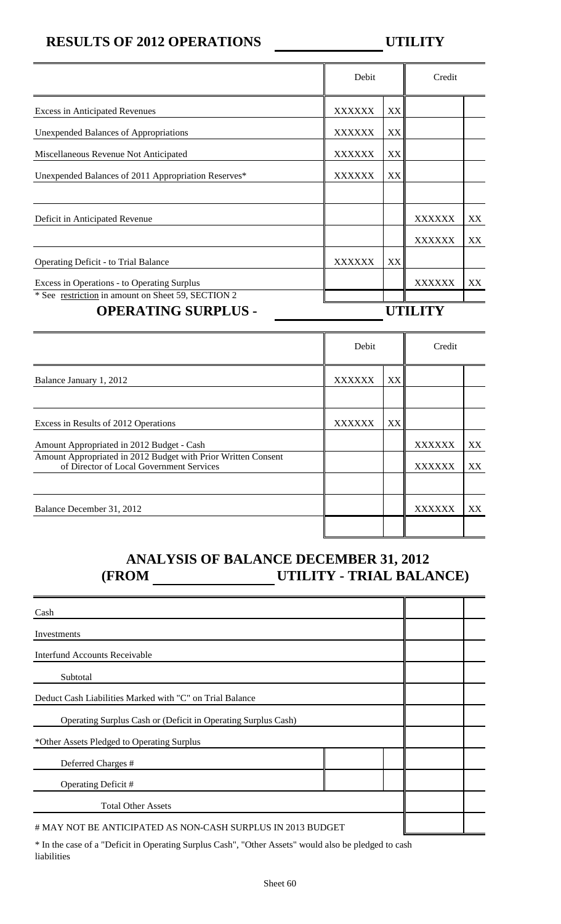### **RESULTS OF 2012 OPERATIONS UTILITY**

|                                                                                  | Debit         |    | Credit |    |
|----------------------------------------------------------------------------------|---------------|----|--------|----|
| <b>Excess in Anticipated Revenues</b>                                            | <b>XXXXXX</b> | XX |        |    |
| <b>Unexpended Balances of Appropriations</b>                                     | <b>XXXXXX</b> | XX |        |    |
| Miscellaneous Revenue Not Anticipated                                            | <b>XXXXXX</b> | XX |        |    |
| Unexpended Balances of 2011 Appropriation Reserves*                              | XXXXXX        | XX |        |    |
|                                                                                  |               |    |        |    |
| Deficit in Anticipated Revenue                                                   |               |    | XXXXXX | XX |
|                                                                                  |               |    | XXXXXX | XX |
| <b>Operating Deficit - to Trial Balance</b>                                      | <b>XXXXXX</b> | XX |        |    |
| Excess in Operations - to Operating Surplus                                      |               |    | XXXXXX | XX |
| * See restriction in amount on Sheet 59, SECTION 2<br><b>OPERATING SURPLUS -</b> |               |    |        |    |
|                                                                                  |               |    |        |    |

|                                                                                                           | Debit         |    | Credit |    |
|-----------------------------------------------------------------------------------------------------------|---------------|----|--------|----|
| Balance January 1, 2012                                                                                   | <b>XXXXXX</b> | XX |        |    |
|                                                                                                           |               |    |        |    |
| Excess in Results of 2012 Operations                                                                      | <b>XXXXXX</b> | XX |        |    |
| Amount Appropriated in 2012 Budget - Cash                                                                 |               |    | XXXXXX | XX |
| Amount Appropriated in 2012 Budget with Prior Written Consent<br>of Director of Local Government Services |               |    | XXXXXX | XX |
|                                                                                                           |               |    |        |    |
| Balance December 31, 2012                                                                                 |               |    | XXXXXX | XX |
|                                                                                                           |               |    |        |    |

## **ANALYSIS OF BALANCE DECEMBER 31, 2012 (FROM UTILITY - TRIAL BALANCE)**

| Cash                                                                                                |  |  |
|-----------------------------------------------------------------------------------------------------|--|--|
| Investments                                                                                         |  |  |
| <b>Interfund Accounts Receivable</b>                                                                |  |  |
| Subtotal                                                                                            |  |  |
| Deduct Cash Liabilities Marked with "C" on Trial Balance                                            |  |  |
| Operating Surplus Cash or (Deficit in Operating Surplus Cash)                                       |  |  |
| *Other Assets Pledged to Operating Surplus                                                          |  |  |
| Deferred Charges #                                                                                  |  |  |
| Operating Deficit #                                                                                 |  |  |
| <b>Total Other Assets</b>                                                                           |  |  |
| # MAY NOT BE ANTICIPATED AS NON-CASH SURPLUS IN 2013 BUDGET                                         |  |  |
| * In the case of a "Deficit in Operating Surplus Cash" "Other Assets" would also be pledged to cash |  |  |

In the case of a "Deficit in Operating Surplus Cash", "Other Assets" would also be pledged to cash liabilities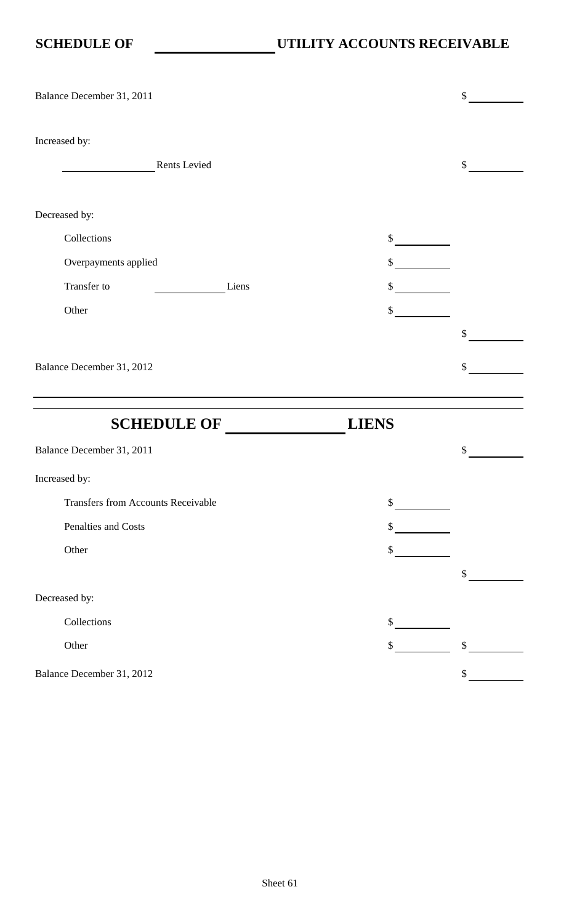| Balance December 31, 2011                 |              |                           | \$                        |
|-------------------------------------------|--------------|---------------------------|---------------------------|
| Increased by:                             | Rents Levied |                           | \$                        |
| Decreased by:                             |              |                           |                           |
| Collections                               |              | $\int$                    |                           |
| Overpayments applied                      |              | $\mathbb{S}$              |                           |
| Transfer to                               | Liens        | \$                        |                           |
| Other                                     |              | \$                        |                           |
|                                           |              |                           | \$                        |
| Balance December 31, 2012                 |              |                           | \$                        |
|                                           |              |                           |                           |
| <b>SCHEDULE OF</b>                        |              | <b>LIENS</b>              |                           |
| Balance December 31, 2011                 |              |                           | \$                        |
| Increased by:                             |              |                           |                           |
| <b>Transfers from Accounts Receivable</b> |              |                           |                           |
|                                           |              | $\mathbb S$               |                           |
| Penalties and Costs                       |              | \$                        |                           |
| Other                                     |              | \$                        |                           |
|                                           |              |                           | \$                        |
| Decreased by:                             |              |                           |                           |
| Collections                               |              | \$                        |                           |
| Other                                     |              | $\boldsymbol{\mathsf{S}}$ | $\boldsymbol{\mathsf{S}}$ |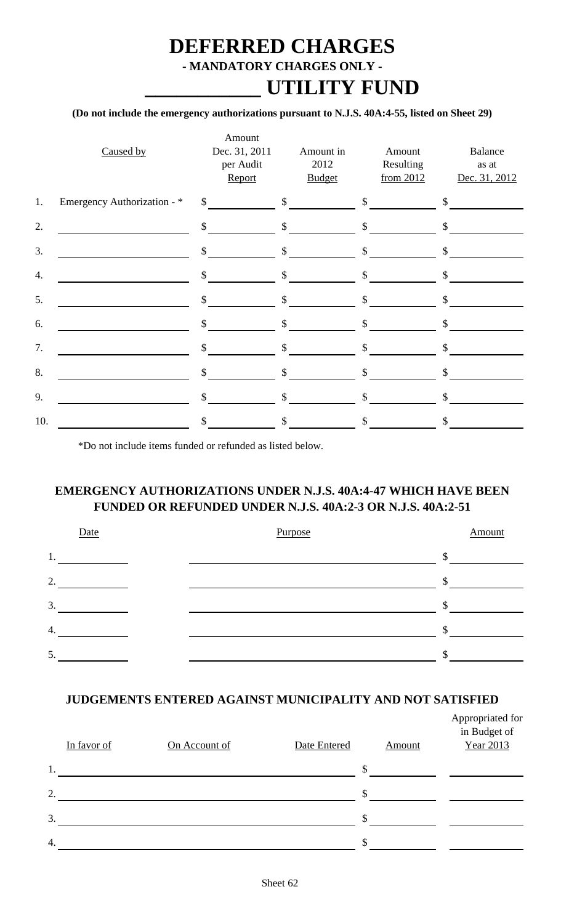## **DEFERRED CHARGES - MANDATORY CHARGES ONLY - \_\_\_\_\_\_\_\_\_\_\_ UTILITY FUND**

### **(Do not include the emergency authorizations pursuant to N.J.S. 40A:4-55, listed on Sheet 29)**

|     | Caused by                   | Amount<br>Dec. 31, 2011<br>per Audit<br>Report | Amount in<br>2012<br><b>Budget</b> | Amount<br>Resulting<br>from $2012$ | <b>Balance</b><br>as at<br>Dec. 31, 2012 |
|-----|-----------------------------|------------------------------------------------|------------------------------------|------------------------------------|------------------------------------------|
| 1.  | Emergency Authorization - * | $\sim$                                         | $\sim$                             | $\sim$                             | $\mathcal{S}$                            |
| 2.  |                             | $\sim$                                         | $\sim$                             | $\sim$                             | $\mathcal{S}$                            |
| 3.  |                             | $\mathsf{\$}$                                  | $\int$                             | $\mathcal{S}$                      | \$                                       |
| 4.  |                             | $\mathbb{S}$                                   | $\mathsf{\$}$                      | $\mathsf{\$}$                      | $\mathsf{\$}$                            |
| 5.  |                             | $\mathcal{S}$                                  | $\mathbb{S}$                       | $\mathbb{S}$                       | \$                                       |
| 6.  |                             | $\mathbf{\hat{S}}$                             | $\mathbb{S}$                       | \$                                 | \$                                       |
| 7.  |                             | $\mathbf{\hat{S}}$                             | $\mathbb{S}$                       | $\mathbb{S}$                       | \$                                       |
| 8.  |                             | \$                                             | \$                                 | \$                                 | \$                                       |
| 9.  |                             | $\mathcal{S}$                                  | \$                                 | \$                                 | \$                                       |
| 10. |                             | \$                                             | \$                                 | \$                                 | \$                                       |

\*Do not include items funded or refunded as listed below.

### **EMERGENCY AUTHORIZATIONS UNDER N.J.S. 40A:4-47 WHICH HAVE BEEN FUNDED OR REFUNDED UNDER N.J.S. 40A:2-3 OR N.J.S. 40A:2-51**



### **JUDGEMENTS ENTERED AGAINST MUNICIPALITY AND NOT SATISFIED**

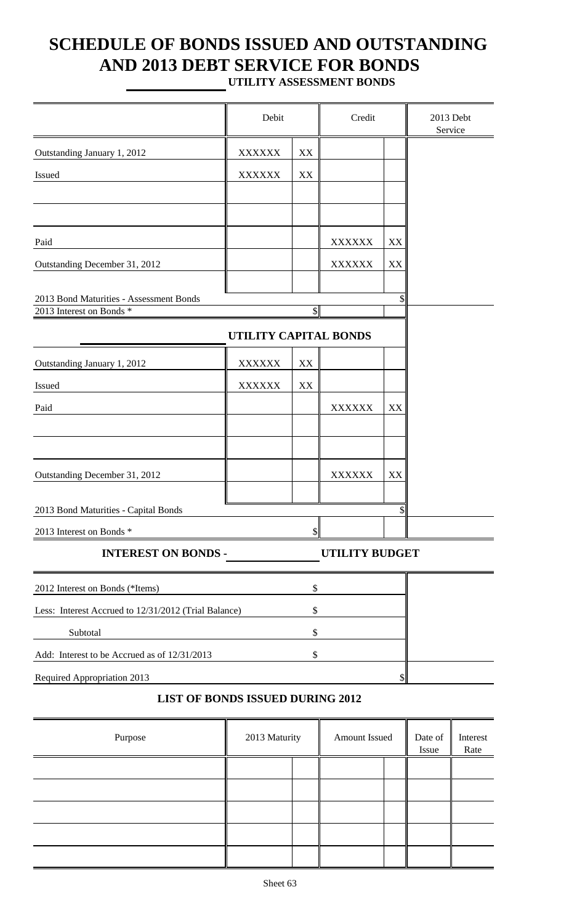# **SCHEDULE OF BONDS ISSUED AND OUTSTANDING AND 2013 DEBT SERVICE FOR BONDS**

**UTILITY ASSESSMENT BONDS**

|                                                                     | Debit                 |            | Credit                |                           | 2013 Debt<br>Service |                  |
|---------------------------------------------------------------------|-----------------------|------------|-----------------------|---------------------------|----------------------|------------------|
| Outstanding January 1, 2012                                         | <b>XXXXXX</b>         | XX         |                       |                           |                      |                  |
| Issued                                                              | <b>XXXXXX</b>         | XX         |                       |                           |                      |                  |
|                                                                     |                       |            |                       |                           |                      |                  |
|                                                                     |                       |            |                       |                           |                      |                  |
| Paid                                                                |                       |            | <b>XXXXXX</b>         | XX                        |                      |                  |
| Outstanding December 31, 2012                                       |                       |            | <b>XXXXXX</b>         | XX                        |                      |                  |
|                                                                     |                       |            |                       |                           |                      |                  |
| 2013 Bond Maturities - Assessment Bonds<br>2013 Interest on Bonds * |                       | $\sqrt{S}$ |                       |                           |                      |                  |
|                                                                     | UTILITY CAPITAL BONDS |            |                       |                           |                      |                  |
| Outstanding January 1, 2012                                         | <b>XXXXXX</b>         | XX         |                       |                           |                      |                  |
| Issued                                                              | <b>XXXXXX</b>         | XX         |                       |                           |                      |                  |
| Paid                                                                |                       |            | <b>XXXXXX</b>         | XX                        |                      |                  |
|                                                                     |                       |            |                       |                           |                      |                  |
|                                                                     |                       |            |                       |                           |                      |                  |
| Outstanding December 31, 2012                                       |                       |            | <b>XXXXXX</b>         | XX                        |                      |                  |
|                                                                     |                       |            |                       |                           |                      |                  |
| 2013 Bond Maturities - Capital Bonds                                |                       |            |                       | $\boldsymbol{\mathsf{S}}$ |                      |                  |
| 2013 Interest on Bonds *                                            |                       |            |                       |                           |                      |                  |
| <b>INTEREST ON BONDS -</b>                                          |                       |            | <b>UTILITY BUDGET</b> |                           |                      |                  |
| 2012 Interest on Bonds (*Items)                                     |                       | \$         |                       |                           |                      |                  |
| Less: Interest Accrued to 12/31/2012 (Trial Balance)                |                       | \$         |                       |                           |                      |                  |
| Subtotal                                                            |                       | \$         |                       |                           |                      |                  |
| Add: Interest to be Accrued as of 12/31/2013                        |                       | \$         |                       |                           |                      |                  |
| Required Appropriation 2013                                         |                       |            |                       |                           |                      |                  |
| <b>LIST OF BONDS ISSUED DURING 2012</b>                             |                       |            |                       |                           |                      |                  |
| Purpose                                                             | 2013 Maturity         |            | Amount Issued         |                           | Date of<br>Issue     | Interest<br>Rate |
|                                                                     |                       |            |                       |                           |                      |                  |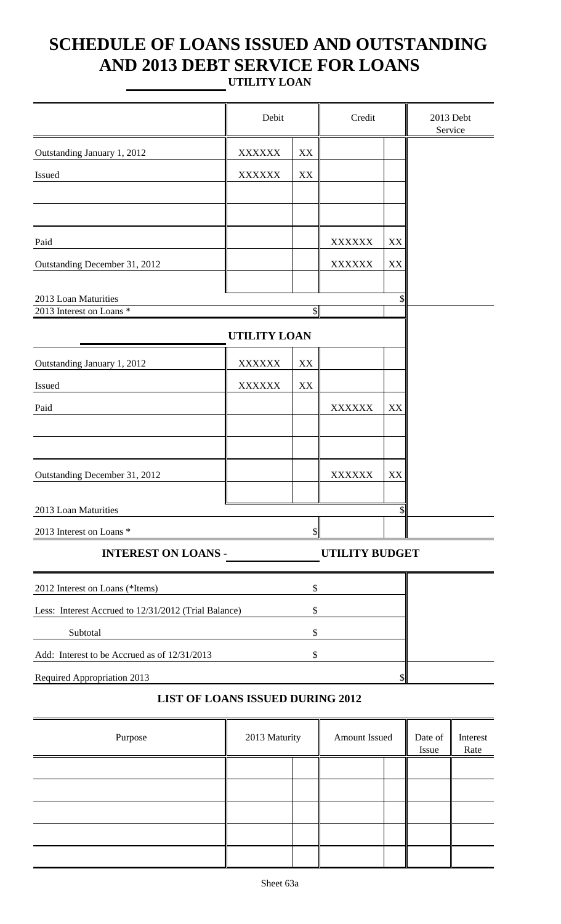## **SCHEDULE OF LOANS ISSUED AND OUTSTANDING AND 2013 DEBT SERVICE FOR LOANS UTILITY LOAN**

|                                                      | Debit               |                         | Credit                |    | 2013 Debt<br>Service |
|------------------------------------------------------|---------------------|-------------------------|-----------------------|----|----------------------|
| Outstanding January 1, 2012                          | <b>XXXXXX</b>       | $\mathbf{X}\mathbf{X}$  |                       |    |                      |
| Issued                                               | <b>XXXXXX</b>       | $\mathbf{XX}$           |                       |    |                      |
|                                                      |                     |                         |                       |    |                      |
|                                                      |                     |                         |                       |    |                      |
| Paid                                                 |                     |                         | <b>XXXXXX</b>         | XX |                      |
| Outstanding December 31, 2012                        |                     |                         | <b>XXXXXX</b>         | XX |                      |
|                                                      |                     |                         |                       |    |                      |
| 2013 Loan Maturities<br>2013 Interest on Loans *     |                     | $\frac{1}{2}$           |                       |    |                      |
|                                                      | <b>UTILITY LOAN</b> |                         |                       |    |                      |
| Outstanding January 1, 2012                          | <b>XXXXXX</b>       | $\mathbf{X} \mathbf{X}$ |                       |    |                      |
| Issued                                               | <b>XXXXXX</b>       | $\mathbf{X}\mathbf{X}$  |                       |    |                      |
| Paid                                                 |                     |                         | <b>XXXXXX</b>         | XX |                      |
|                                                      |                     |                         |                       |    |                      |
|                                                      |                     |                         |                       |    |                      |
| Outstanding December 31, 2012                        |                     |                         | <b>XXXXXX</b>         | XX |                      |
| 2013 Loan Maturities                                 |                     |                         |                       | ¢. |                      |
| 2013 Interest on Loans *                             |                     |                         |                       |    |                      |
| <b>INTEREST ON LOANS -</b>                           |                     |                         | <b>UTILITY BUDGET</b> |    |                      |
| 2012 Interest on Loans (*Items)                      |                     | \$                      |                       |    |                      |
| Less: Interest Accrued to 12/31/2012 (Trial Balance) |                     | \$                      |                       |    |                      |
| Subtotal                                             |                     | \$                      |                       |    |                      |
| Add: Interest to be Accrued as of 12/31/2013         |                     | \$                      |                       |    |                      |
| Required Appropriation 2013                          |                     |                         |                       |    |                      |

### **LIST OF LOANS ISSUED DURING 2012**

| Purpose | 2013 Maturity | Amount Issued | Date of<br>Issue | Interest<br>Rate |
|---------|---------------|---------------|------------------|------------------|
|         |               |               |                  |                  |
|         |               |               |                  |                  |
|         |               |               |                  |                  |
|         |               |               |                  |                  |
|         |               |               |                  |                  |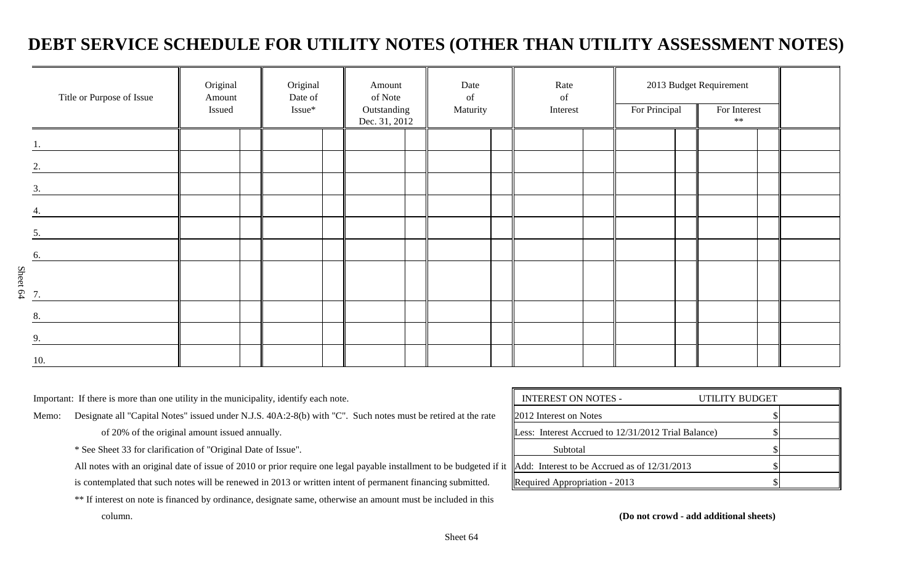## **DEBT SERVICE SCHEDULE FOR UTILITY NOTES (OTHER THAN UTILITY ASSESSMENT NOTES)**

|                             | Original<br>Title or Purpose of Issue<br>Amount<br>Issued |  | Original<br>Date of<br>Issue* | Amount<br>of Note<br>Outstanding<br>Dec. 31, 2012 |  | Date<br>of<br>Maturity |  | Rate<br>of<br>Interest |  | 2013 Budget Requirement<br>For Principal<br>For Interest<br>$**$ |  |  |  |  |
|-----------------------------|-----------------------------------------------------------|--|-------------------------------|---------------------------------------------------|--|------------------------|--|------------------------|--|------------------------------------------------------------------|--|--|--|--|
|                             |                                                           |  |                               |                                                   |  |                        |  |                        |  |                                                                  |  |  |  |  |
| $\mathcal{D}_{\mathcal{L}}$ |                                                           |  |                               |                                                   |  |                        |  |                        |  |                                                                  |  |  |  |  |
| 3.                          |                                                           |  |                               |                                                   |  |                        |  |                        |  |                                                                  |  |  |  |  |
|                             |                                                           |  |                               |                                                   |  |                        |  |                        |  |                                                                  |  |  |  |  |
| 5.                          |                                                           |  |                               |                                                   |  |                        |  |                        |  |                                                                  |  |  |  |  |
| 6.                          |                                                           |  |                               |                                                   |  |                        |  |                        |  |                                                                  |  |  |  |  |
| $S$ heet 64                 |                                                           |  |                               |                                                   |  |                        |  |                        |  |                                                                  |  |  |  |  |
| 8.                          |                                                           |  |                               |                                                   |  |                        |  |                        |  |                                                                  |  |  |  |  |
| 9.                          |                                                           |  |                               |                                                   |  |                        |  |                        |  |                                                                  |  |  |  |  |
| 10.                         |                                                           |  |                               |                                                   |  |                        |  |                        |  |                                                                  |  |  |  |  |

Important: If there is more than one utility in the municipality, identify each note.

Memo: Designate all "Capital Notes" issued under N.J.S. 40A:2-8(b) with "C". Such notes must be retired at the rate

of 20% of the original amount issued annually.

\* See Sheet 33 for clarification of "Original Date of Issue".

All notes with an original date of issue of 2010 or prior require one legal payable installment to be budgeted if it is contemplated that such notes will be renewed in 2013 or written intent of permanent financing submitted.

\*\* If interest on note is financed by ordinance, designate same, otherwise an amount must be included in this

| <b>INTEREST ON NOTES -</b>                          | UTILITY BUDGET |  |
|-----------------------------------------------------|----------------|--|
| 2012 Interest on Notes                              |                |  |
| Less: Interest Accrued to 12/31/2012 Trial Balance) |                |  |
| Subtotal                                            |                |  |
| Add: Interest to be Accrued as of 12/31/2013        |                |  |
| Required Appropriation - 2013                       |                |  |

column. **(Do not crowd - add additional sheets)**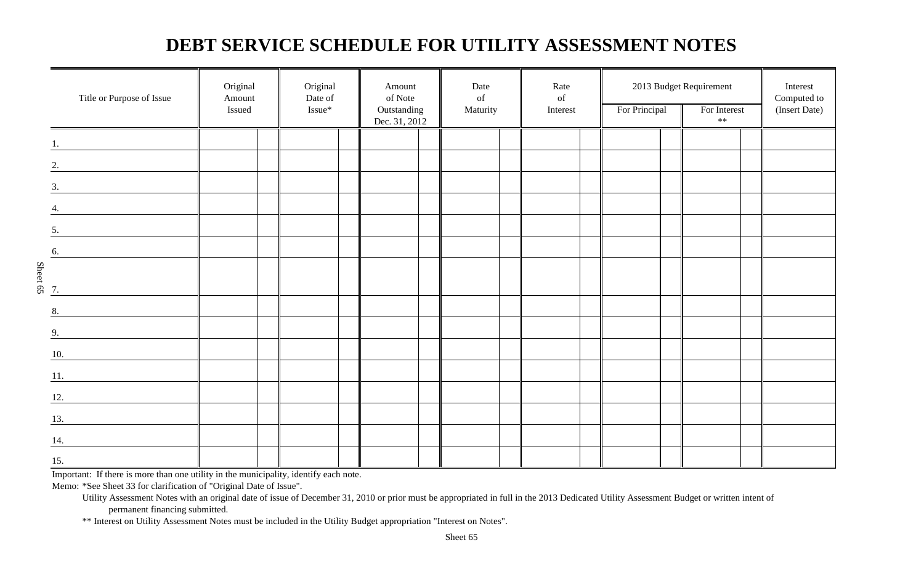## **DEBT SERVICE SCHEDULE FOR UTILITY ASSESSMENT NOTES**

|                                | Title or Purpose of Issue                         | Original<br>Amount<br>Issued | Original<br>Date of<br>Issue* | Amount<br>of Note<br>Outstanding<br>Dec. 31, 2012 | Date<br>of<br>Maturity | Rate<br>$% \left( \left( \mathcal{A},\mathcal{A}\right) \right) =\left( \mathcal{A},\mathcal{A}\right)$ of<br>Interest | For Principal | 2013 Budget Requirement<br>For Interest<br>$\ast\ast$ | Interest<br>Computed to<br>(Insert Date) |
|--------------------------------|---------------------------------------------------|------------------------------|-------------------------------|---------------------------------------------------|------------------------|------------------------------------------------------------------------------------------------------------------------|---------------|-------------------------------------------------------|------------------------------------------|
|                                |                                                   |                              |                               |                                                   |                        |                                                                                                                        |               |                                                       |                                          |
|                                | 2.                                                |                              |                               |                                                   |                        |                                                                                                                        |               |                                                       |                                          |
|                                | $\overline{\mathbf{3.}}$                          |                              |                               |                                                   |                        |                                                                                                                        |               |                                                       |                                          |
| 4.                             |                                                   |                              |                               |                                                   |                        |                                                                                                                        |               |                                                       |                                          |
| 5.                             |                                                   |                              |                               |                                                   |                        |                                                                                                                        |               |                                                       |                                          |
| 6.                             |                                                   |                              |                               |                                                   |                        |                                                                                                                        |               |                                                       |                                          |
| Sheet 65                       |                                                   |                              |                               |                                                   |                        |                                                                                                                        |               |                                                       |                                          |
| 7.                             |                                                   |                              |                               |                                                   |                        |                                                                                                                        |               |                                                       |                                          |
| 8.                             |                                                   |                              |                               |                                                   |                        |                                                                                                                        |               |                                                       |                                          |
| 9.                             |                                                   |                              |                               |                                                   |                        |                                                                                                                        |               |                                                       |                                          |
| 10.                            |                                                   |                              |                               |                                                   |                        |                                                                                                                        |               |                                                       |                                          |
| 11.                            | <u> 1990 - Jan Barbara Barat, prima politik (</u> |                              |                               |                                                   |                        |                                                                                                                        |               |                                                       |                                          |
| 12.                            |                                                   |                              |                               |                                                   |                        |                                                                                                                        |               |                                                       |                                          |
| 13.                            |                                                   |                              |                               |                                                   |                        |                                                                                                                        |               |                                                       |                                          |
| 14.                            |                                                   |                              |                               |                                                   |                        |                                                                                                                        |               |                                                       |                                          |
| $\underline{\underline{15}}$ . |                                                   |                              |                               |                                                   |                        |                                                                                                                        |               |                                                       |                                          |

Important: If there is more than one utility in the municipality, identify each note.

Memo: \*See Sheet 33 for clarification of "Original Date of Issue".

\*\* Interest on Utility Assessment Notes must be included in the Utility Budget appropriation "Interest on Notes".

Utility Assessment Notes with an original date of issue of December 31, 2010 or prior must be appropriated in full in the 2013 Dedicated Utility Assessment Budget or written intent of permanent financing submitted.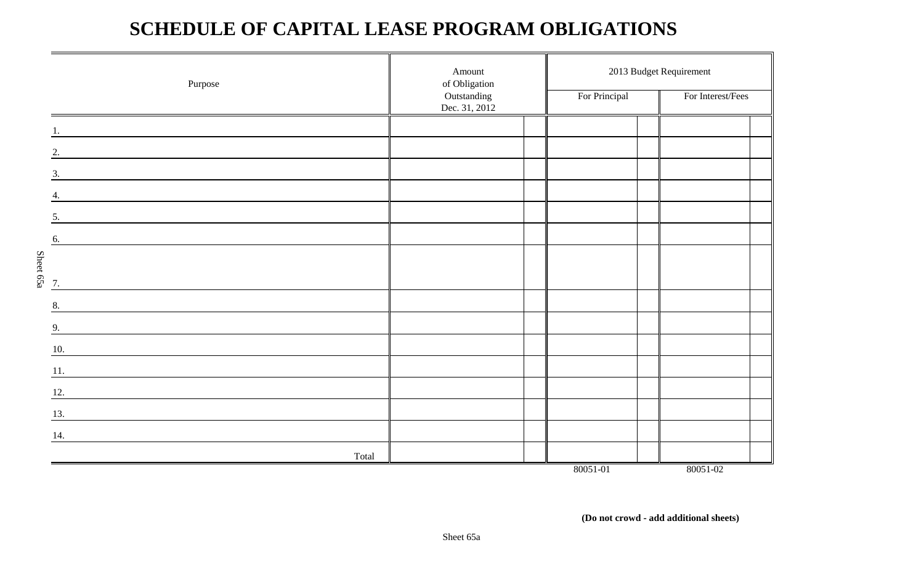## **SCHEDULE OF CAPITAL LEASE PROGRAM OBLIGATIONS**

|                 | Purpose                                                                                                               | Amount<br>of Obligation<br>Outstanding<br>Dec. 31, 2012 | For Principal | 2013 Budget Requirement<br>For Interest/Fees |
|-----------------|-----------------------------------------------------------------------------------------------------------------------|---------------------------------------------------------|---------------|----------------------------------------------|
|                 |                                                                                                                       |                                                         |               |                                              |
| 2.              |                                                                                                                       |                                                         |               |                                              |
| 3.              |                                                                                                                       |                                                         |               |                                              |
|                 |                                                                                                                       |                                                         |               |                                              |
| 5.              |                                                                                                                       |                                                         |               |                                              |
| 6.              |                                                                                                                       |                                                         |               |                                              |
|                 |                                                                                                                       |                                                         |               |                                              |
| Sheet 65a<br>7. | <u>and the state of the state of the state of the state of the state of the state of the state of the state of th</u> |                                                         |               |                                              |
| 8.              |                                                                                                                       |                                                         |               |                                              |
| 9.              |                                                                                                                       |                                                         |               |                                              |
| 10.             |                                                                                                                       |                                                         |               |                                              |
| 11.             |                                                                                                                       |                                                         |               |                                              |
| 12.             | <u> 1980 - John Stein, amerikansk politiker (</u>                                                                     |                                                         |               |                                              |
| 13.             | <u> 1989 - Johann Stein, mars an dùthchan an Amhair Aonaich an t-</u>                                                 |                                                         |               |                                              |
| 14.             |                                                                                                                       |                                                         |               |                                              |
|                 | Total                                                                                                                 |                                                         |               |                                              |
|                 |                                                                                                                       |                                                         | 80051-01      | 80051-02                                     |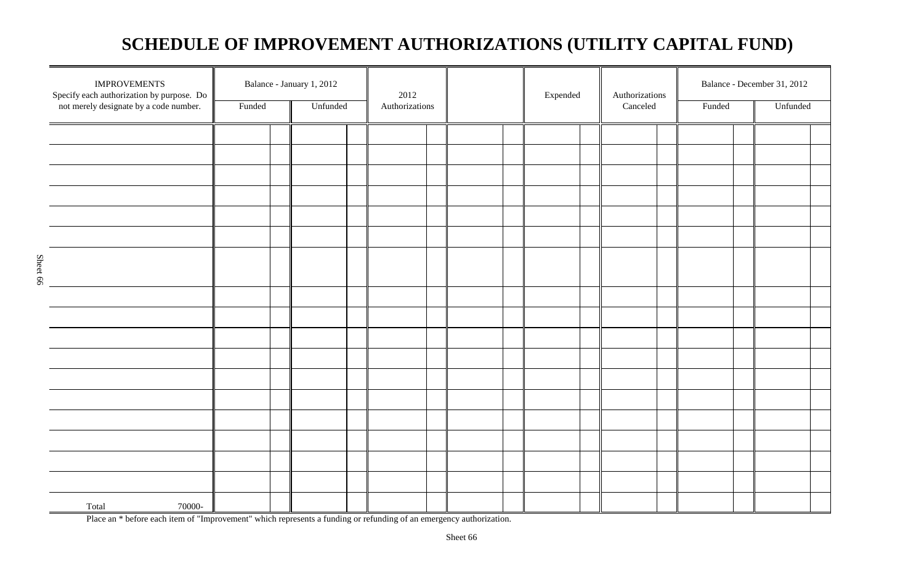## **SCHEDULE OF IMPROVEMENT AUTHORIZATIONS (UTILITY CAPITAL FUND)**

| <b>IMPROVEMENTS</b><br>Specify each authorization by purpose. Do |        | Balance - January 1, 2012 | 2012           |  | Expended | Authorizations |        | Balance - December 31, 2012 |          |  |
|------------------------------------------------------------------|--------|---------------------------|----------------|--|----------|----------------|--------|-----------------------------|----------|--|
| not merely designate by a code number.                           | Funded | Unfunded                  | Authorizations |  |          | Canceled       | Funded |                             | Unfunded |  |
|                                                                  |        |                           |                |  |          |                |        |                             |          |  |
|                                                                  |        |                           |                |  |          |                |        |                             |          |  |
|                                                                  |        |                           |                |  |          |                |        |                             |          |  |
|                                                                  |        |                           |                |  |          |                |        |                             |          |  |
|                                                                  |        |                           |                |  |          |                |        |                             |          |  |
|                                                                  |        |                           |                |  |          |                |        |                             |          |  |
|                                                                  |        |                           |                |  |          |                |        |                             |          |  |
|                                                                  |        |                           |                |  |          |                |        |                             |          |  |
|                                                                  |        |                           |                |  |          |                |        |                             |          |  |
|                                                                  |        |                           |                |  |          |                |        |                             |          |  |
|                                                                  |        |                           |                |  |          |                |        |                             |          |  |
|                                                                  |        |                           |                |  |          |                |        |                             |          |  |
|                                                                  |        |                           |                |  |          |                |        |                             |          |  |
|                                                                  |        |                           |                |  |          |                |        |                             |          |  |
|                                                                  |        |                           |                |  |          |                |        |                             |          |  |
|                                                                  |        |                           |                |  |          |                |        |                             |          |  |
|                                                                  |        |                           |                |  |          |                |        |                             |          |  |
|                                                                  |        |                           |                |  |          |                |        |                             |          |  |
| Total<br>70000-                                                  |        |                           |                |  |          |                |        |                             |          |  |

Sheet 66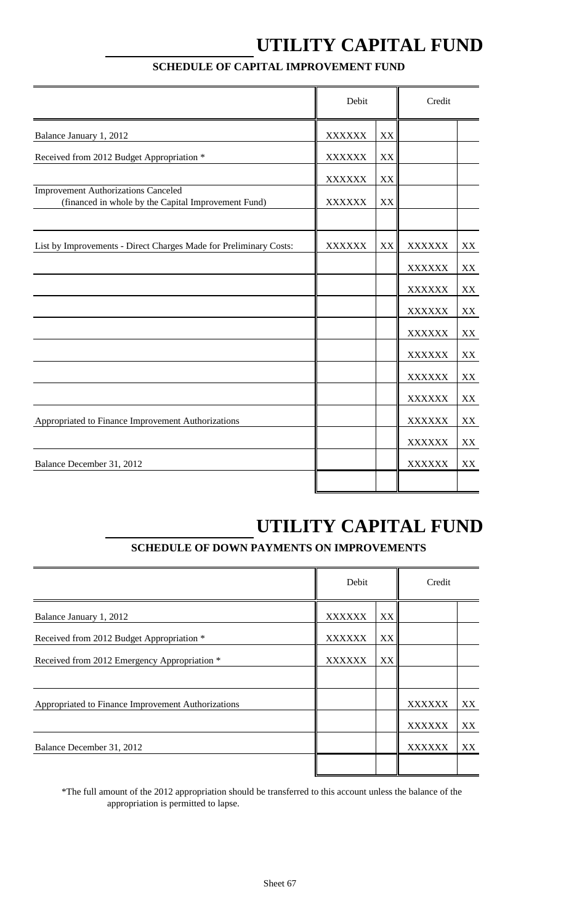## **UTILITY CAPITAL FUND**

|                                                                                                   | Debit         |    | Credit        |    |
|---------------------------------------------------------------------------------------------------|---------------|----|---------------|----|
| Balance January 1, 2012                                                                           | <b>XXXXXX</b> | XX |               |    |
| Received from 2012 Budget Appropriation *                                                         | <b>XXXXXX</b> | XX |               |    |
|                                                                                                   | <b>XXXXXX</b> | XX |               |    |
| <b>Improvement Authorizations Canceled</b><br>(financed in whole by the Capital Improvement Fund) | <b>XXXXXX</b> | XX |               |    |
|                                                                                                   |               |    |               |    |
| List by Improvements - Direct Charges Made for Preliminary Costs:                                 | <b>XXXXXX</b> | XX | <b>XXXXXX</b> | XX |
|                                                                                                   |               |    | <b>XXXXXX</b> | XX |
|                                                                                                   |               |    | <b>XXXXXX</b> | XX |
|                                                                                                   |               |    | <b>XXXXXX</b> | XX |
|                                                                                                   |               |    | <b>XXXXXX</b> | XX |
|                                                                                                   |               |    | <b>XXXXXX</b> | XX |
|                                                                                                   |               |    | <b>XXXXXX</b> | XX |
|                                                                                                   |               |    | <b>XXXXXX</b> | XX |
| Appropriated to Finance Improvement Authorizations                                                |               |    | <b>XXXXXX</b> | XX |
|                                                                                                   |               |    | <b>XXXXXX</b> | XX |
| Balance December 31, 2012                                                                         |               |    | <b>XXXXXX</b> | XX |
|                                                                                                   |               |    |               |    |

### **SCHEDULE OF CAPITAL IMPROVEMENT FUND**

## **UTILITY CAPITAL FUND**

### **SCHEDULE OF DOWN PAYMENTS ON IMPROVEMENTS**

|                                                    | Debit         |    | Credit        |    |
|----------------------------------------------------|---------------|----|---------------|----|
| Balance January 1, 2012                            | <b>XXXXXX</b> | XX |               |    |
| Received from 2012 Budget Appropriation *          | <b>XXXXXX</b> | XX |               |    |
| Received from 2012 Emergency Appropriation *       | <b>XXXXXX</b> | XX |               |    |
|                                                    |               |    |               |    |
| Appropriated to Finance Improvement Authorizations |               |    | <b>XXXXXX</b> | XX |
|                                                    |               |    | <b>XXXXXX</b> | XX |
| Balance December 31, 2012                          |               |    | <b>XXXXXX</b> | XX |
|                                                    |               |    |               |    |

\*The full amount of the 2012 appropriation should be transferred to this account unless the balance of the appropriation is permitted to lapse.